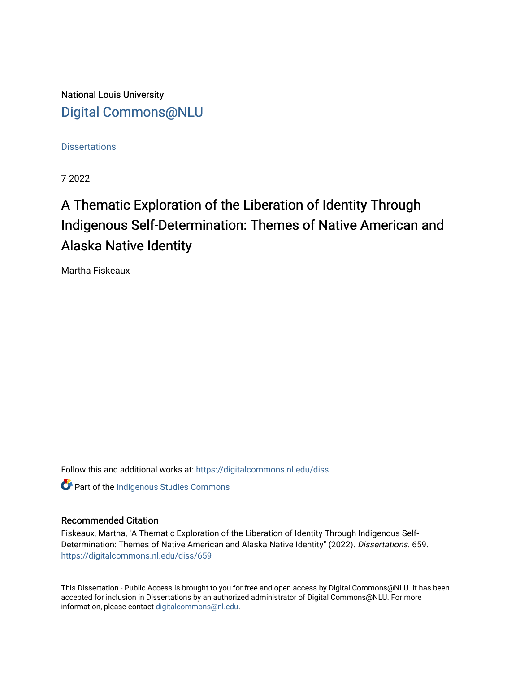National Louis University [Digital Commons@NLU](https://digitalcommons.nl.edu/)

**Dissertations** 

7-2022

## A Thematic Exploration of the Liberation of Identity Through Indigenous Self-Determination: Themes of Native American and Alaska Native Identity

Martha Fiskeaux

Follow this and additional works at: [https://digitalcommons.nl.edu/diss](https://digitalcommons.nl.edu/diss?utm_source=digitalcommons.nl.edu%2Fdiss%2F659&utm_medium=PDF&utm_campaign=PDFCoverPages) 

**Part of the Indigenous Studies Commons** 

#### Recommended Citation

Fiskeaux, Martha, "A Thematic Exploration of the Liberation of Identity Through Indigenous Self-Determination: Themes of Native American and Alaska Native Identity" (2022). Dissertations. 659. [https://digitalcommons.nl.edu/diss/659](https://digitalcommons.nl.edu/diss/659?utm_source=digitalcommons.nl.edu%2Fdiss%2F659&utm_medium=PDF&utm_campaign=PDFCoverPages) 

This Dissertation - Public Access is brought to you for free and open access by Digital Commons@NLU. It has been accepted for inclusion in Dissertations by an authorized administrator of Digital Commons@NLU. For more information, please contact [digitalcommons@nl.edu.](mailto:digitalcommons@nl.edu)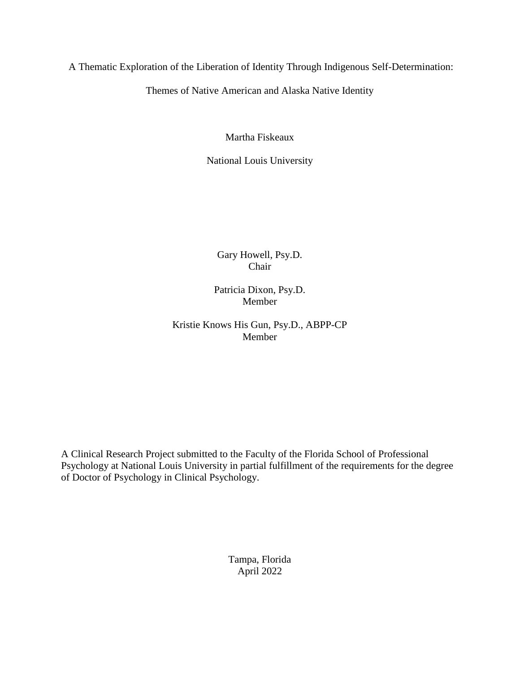A Thematic Exploration of the Liberation of Identity Through Indigenous Self-Determination:

Themes of Native American and Alaska Native Identity

Martha Fiskeaux

National Louis University

Gary Howell, Psy.D. Chair

Patricia Dixon, Psy.D. Member

Kristie Knows His Gun, Psy.D., ABPP-CP Member

A Clinical Research Project submitted to the Faculty of the Florida School of Professional Psychology at National Louis University in partial fulfillment of the requirements for the degree of Doctor of Psychology in Clinical Psychology.

> Tampa, Florida April 2022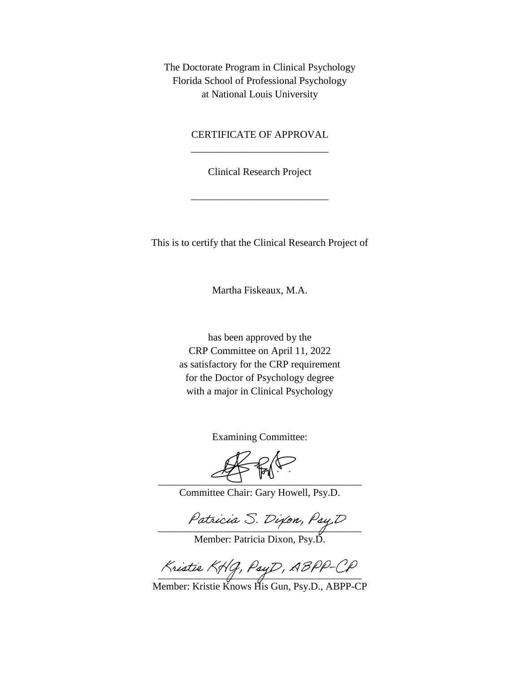The Doctorate Program in Clinical Psychology Florida School of Professional Psychology at National Louis University

### CERTIFICATE OF APPROVAL \_\_\_\_\_\_\_\_\_\_\_\_\_\_\_\_\_\_\_\_\_\_\_\_\_\_\_

Clinical Research Project

\_\_\_\_\_\_\_\_\_\_\_\_\_\_\_\_\_\_\_\_\_\_\_\_\_\_\_

This is to certify that the Clinical Research Project of

Martha Fiskeaux, M.A.

has been approved by the CRP Committee on April 11, 2022 as satisfactory for the CRP requirement for the Doctor of Psychology degree with a major in Clinical Psychology

Examining Committee:

 $\overline{\phantom{a}}$ 

Committee Chair: Gary Howell, Psy.D.

 $\overline{\phantom{a}}$ 

Member: Patricia Dixon, Psy.D.

 $\frac{1}{2}$ 

Member: Kristie Knows His Gun, Psy.D., ABPP-CP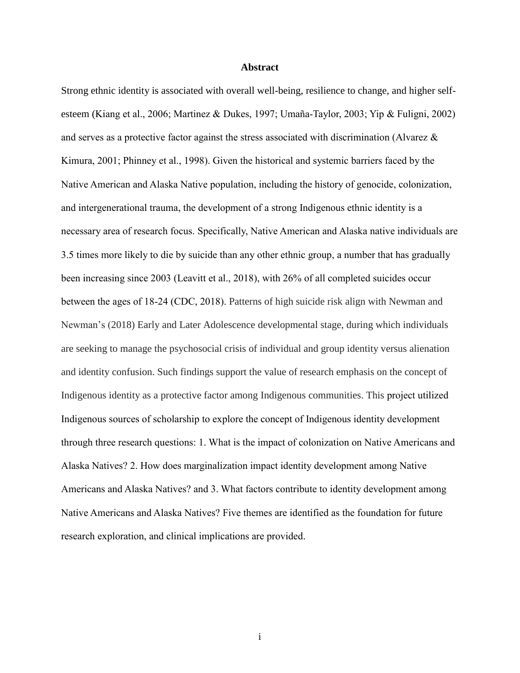#### **Abstract**

Strong ethnic identity is associated with overall well-being, resilience to change, and higher selfesteem (Kiang et al., 2006; Martinez & Dukes, 1997; Umaña-Taylor, 2003; Yip & Fuligni, 2002) and serves as a protective factor against the stress associated with discrimination (Alvarez & Kimura, 2001; Phinney et al., 1998). Given the historical and systemic barriers faced by the Native American and Alaska Native population, including the history of genocide, colonization, and intergenerational trauma, the development of a strong Indigenous ethnic identity is a necessary area of research focus. Specifically, Native American and Alaska native individuals are 3.5 times more likely to die by suicide than any other ethnic group, a number that has gradually been increasing since 2003 (Leavitt et al., 2018), with 26% of all completed suicides occur between the ages of 18-24 (CDC, 2018). Patterns of high suicide risk align with Newman and Newman's (2018) Early and Later Adolescence developmental stage, during which individuals are seeking to manage the psychosocial crisis of individual and group identity versus alienation and identity confusion. Such findings support the value of research emphasis on the concept of Indigenous identity as a protective factor among Indigenous communities. This project utilized Indigenous sources of scholarship to explore the concept of Indigenous identity development through three research questions: 1. What is the impact of colonization on Native Americans and Alaska Natives? 2. How does marginalization impact identity development among Native Americans and Alaska Natives? and 3. What factors contribute to identity development among Native Americans and Alaska Natives? Five themes are identified as the foundation for future research exploration, and clinical implications are provided.

i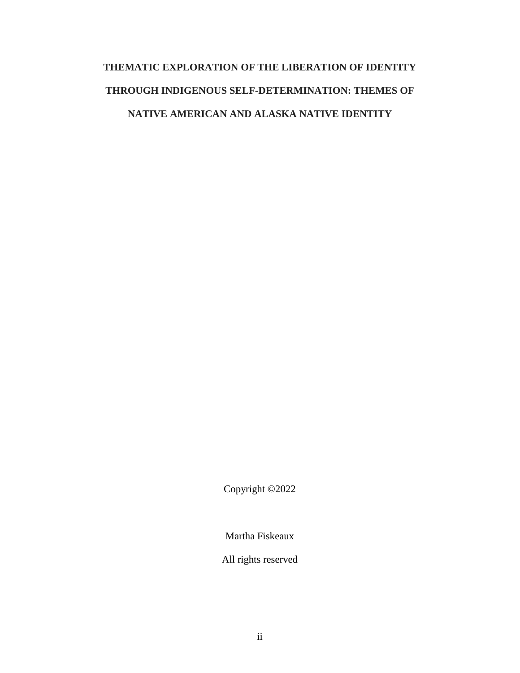# **THEMATIC EXPLORATION OF THE LIBERATION OF IDENTITY THROUGH INDIGENOUS SELF-DETERMINATION: THEMES OF NATIVE AMERICAN AND ALASKA NATIVE IDENTITY**

Copyright ©2022

Martha Fiskeaux

All rights reserved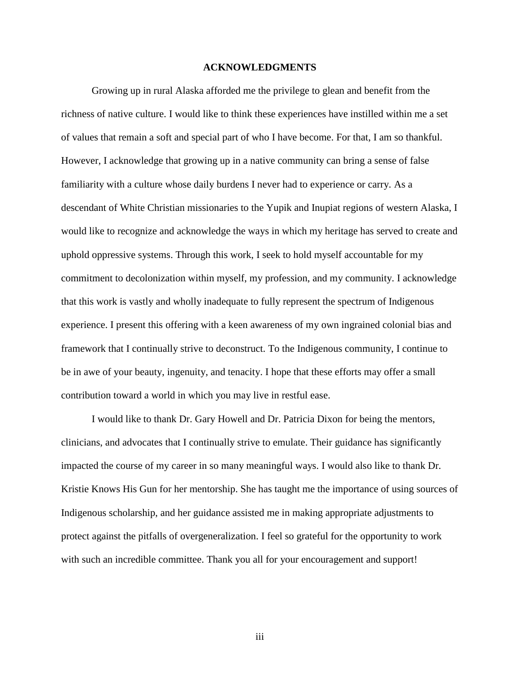#### **ACKNOWLEDGMENTS**

<span id="page-5-0"></span>Growing up in rural Alaska afforded me the privilege to glean and benefit from the richness of native culture. I would like to think these experiences have instilled within me a set of values that remain a soft and special part of who I have become. For that, I am so thankful. However, I acknowledge that growing up in a native community can bring a sense of false familiarity with a culture whose daily burdens I never had to experience or carry. As a descendant of White Christian missionaries to the Yupik and Inupiat regions of western Alaska, I would like to recognize and acknowledge the ways in which my heritage has served to create and uphold oppressive systems. Through this work, I seek to hold myself accountable for my commitment to decolonization within myself, my profession, and my community. I acknowledge that this work is vastly and wholly inadequate to fully represent the spectrum of Indigenous experience. I present this offering with a keen awareness of my own ingrained colonial bias and framework that I continually strive to deconstruct. To the Indigenous community, I continue to be in awe of your beauty, ingenuity, and tenacity. I hope that these efforts may offer a small contribution toward a world in which you may live in restful ease.

I would like to thank Dr. Gary Howell and Dr. Patricia Dixon for being the mentors, clinicians, and advocates that I continually strive to emulate. Their guidance has significantly impacted the course of my career in so many meaningful ways. I would also like to thank Dr. Kristie Knows His Gun for her mentorship. She has taught me the importance of using sources of Indigenous scholarship, and her guidance assisted me in making appropriate adjustments to protect against the pitfalls of overgeneralization. I feel so grateful for the opportunity to work with such an incredible committee. Thank you all for your encouragement and support!

iii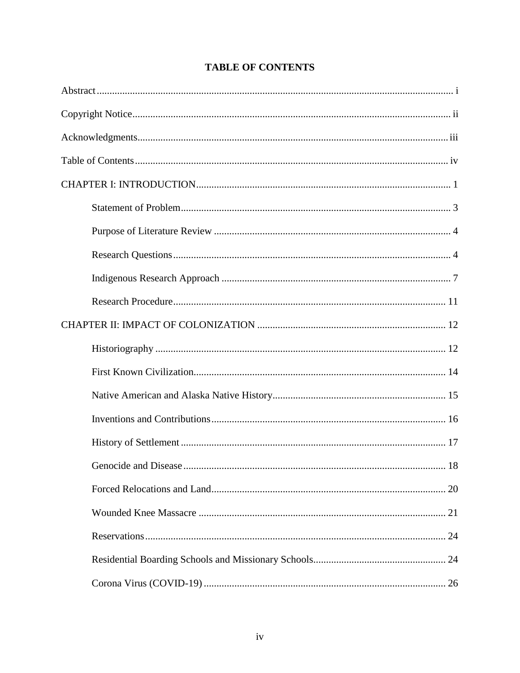<span id="page-6-0"></span>

### **TABLE OF CONTENTS**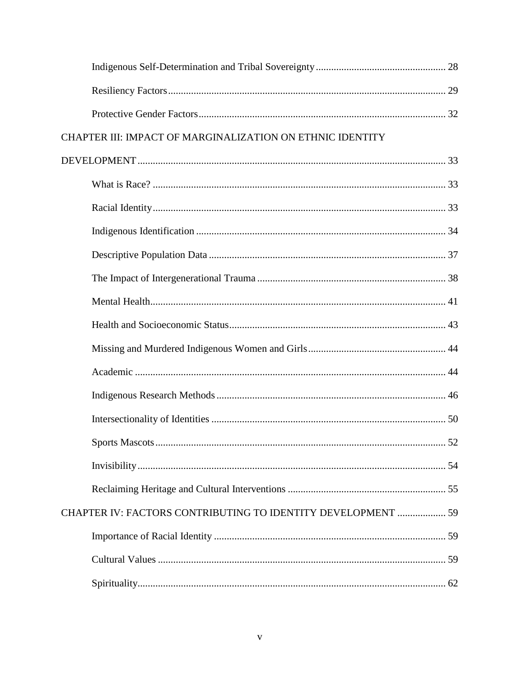| CHAPTER III: IMPACT OF MARGINALIZATION ON ETHNIC IDENTITY    |  |
|--------------------------------------------------------------|--|
|                                                              |  |
|                                                              |  |
|                                                              |  |
|                                                              |  |
|                                                              |  |
|                                                              |  |
|                                                              |  |
|                                                              |  |
|                                                              |  |
|                                                              |  |
|                                                              |  |
|                                                              |  |
|                                                              |  |
|                                                              |  |
|                                                              |  |
| CHAPTER IV: FACTORS CONTRIBUTING TO IDENTITY DEVELOPMENT  59 |  |
|                                                              |  |
|                                                              |  |
|                                                              |  |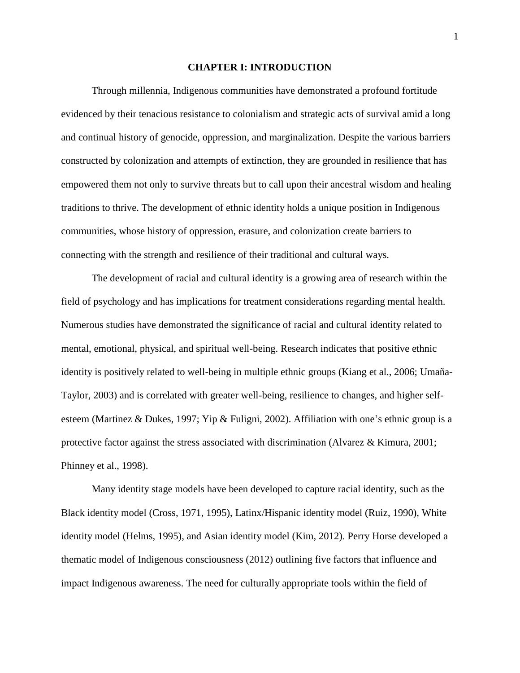#### **CHAPTER I: INTRODUCTION**

<span id="page-9-0"></span>Through millennia, Indigenous communities have demonstrated a profound fortitude evidenced by their tenacious resistance to colonialism and strategic acts of survival amid a long and continual history of genocide, oppression, and marginalization. Despite the various barriers constructed by colonization and attempts of extinction, they are grounded in resilience that has empowered them not only to survive threats but to call upon their ancestral wisdom and healing traditions to thrive. The development of ethnic identity holds a unique position in Indigenous communities, whose history of oppression, erasure, and colonization create barriers to connecting with the strength and resilience of their traditional and cultural ways.

The development of racial and cultural identity is a growing area of research within the field of psychology and has implications for treatment considerations regarding mental health. Numerous studies have demonstrated the significance of racial and cultural identity related to mental, emotional, physical, and spiritual well-being. Research indicates that positive ethnic identity is positively related to well-being in multiple ethnic groups (Kiang et al., 2006; Umaña-Taylor, 2003) and is correlated with greater well-being, resilience to changes, and higher selfesteem (Martinez & Dukes, 1997; Yip & Fuligni, 2002). Affiliation with one's ethnic group is a protective factor against the stress associated with discrimination (Alvarez & Kimura, 2001; Phinney et al., 1998).

Many identity stage models have been developed to capture racial identity, such as the Black identity model (Cross, 1971, 1995), Latinx/Hispanic identity model (Ruiz, 1990), White identity model (Helms, 1995), and Asian identity model (Kim, 2012). Perry Horse developed a thematic model of Indigenous consciousness (2012) outlining five factors that influence and impact Indigenous awareness. The need for culturally appropriate tools within the field of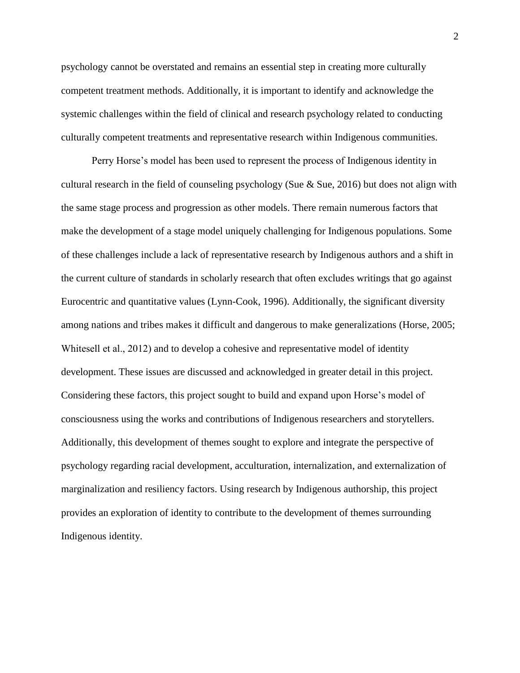psychology cannot be overstated and remains an essential step in creating more culturally competent treatment methods. Additionally, it is important to identify and acknowledge the systemic challenges within the field of clinical and research psychology related to conducting culturally competent treatments and representative research within Indigenous communities.

Perry Horse's model has been used to represent the process of Indigenous identity in cultural research in the field of counseling psychology (Sue  $\&$  Sue, 2016) but does not align with the same stage process and progression as other models. There remain numerous factors that make the development of a stage model uniquely challenging for Indigenous populations. Some of these challenges include a lack of representative research by Indigenous authors and a shift in the current culture of standards in scholarly research that often excludes writings that go against Eurocentric and quantitative values (Lynn-Cook, 1996). Additionally, the significant diversity among nations and tribes makes it difficult and dangerous to make generalizations (Horse, 2005; Whitesell et al., 2012) and to develop a cohesive and representative model of identity development. These issues are discussed and acknowledged in greater detail in this project. Considering these factors, this project sought to build and expand upon Horse's model of consciousness using the works and contributions of Indigenous researchers and storytellers. Additionally, this development of themes sought to explore and integrate the perspective of psychology regarding racial development, acculturation, internalization, and externalization of marginalization and resiliency factors. Using research by Indigenous authorship, this project provides an exploration of identity to contribute to the development of themes surrounding Indigenous identity.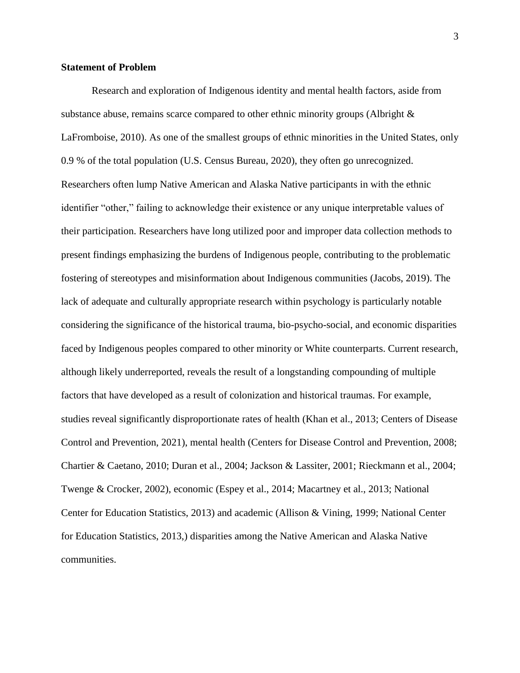#### <span id="page-11-0"></span>**Statement of Problem**

Research and exploration of Indigenous identity and mental health factors, aside from substance abuse, remains scarce compared to other ethnic minority groups (Albright  $\&$ LaFromboise, 2010). As one of the smallest groups of ethnic minorities in the United States, only 0.9 % of the total population (U.S. Census Bureau, 2020), they often go unrecognized. Researchers often lump Native American and Alaska Native participants in with the ethnic identifier "other," failing to acknowledge their existence or any unique interpretable values of their participation. Researchers have long utilized poor and improper data collection methods to present findings emphasizing the burdens of Indigenous people, contributing to the problematic fostering of stereotypes and misinformation about Indigenous communities (Jacobs, 2019). The lack of adequate and culturally appropriate research within psychology is particularly notable considering the significance of the historical trauma, bio-psycho-social, and economic disparities faced by Indigenous peoples compared to other minority or White counterparts. Current research, although likely underreported, reveals the result of a longstanding compounding of multiple factors that have developed as a result of colonization and historical traumas. For example, studies reveal significantly disproportionate rates of health (Khan et al., 2013; Centers of Disease Control and Prevention, 2021), mental health (Centers for Disease Control and Prevention, 2008; Chartier & Caetano, 2010; Duran et al., 2004; Jackson & Lassiter, 2001; Rieckmann et al., 2004; Twenge & Crocker, 2002), economic (Espey et al., 2014; Macartney et al., 2013; National Center for Education Statistics, 2013) and academic (Allison & Vining, 1999; National Center for Education Statistics, 2013,) disparities among the Native American and Alaska Native communities.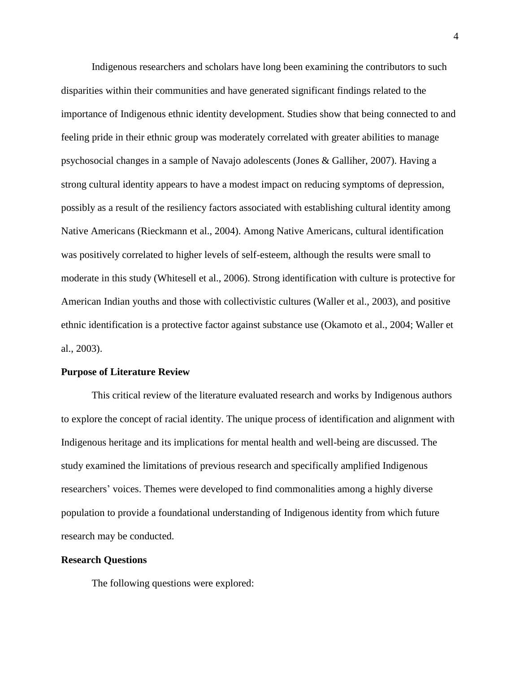Indigenous researchers and scholars have long been examining the contributors to such disparities within their communities and have generated significant findings related to the importance of Indigenous ethnic identity development. Studies show that being connected to and feeling pride in their ethnic group was moderately correlated with greater abilities to manage psychosocial changes in a sample of Navajo adolescents (Jones & Galliher, 2007). Having a strong cultural identity appears to have a modest impact on reducing symptoms of depression, possibly as a result of the resiliency factors associated with establishing cultural identity among Native Americans (Rieckmann et al., 2004). Among Native Americans, cultural identification was positively correlated to higher levels of self-esteem, although the results were small to moderate in this study (Whitesell et al., 2006). Strong identification with culture is protective for American Indian youths and those with collectivistic cultures (Waller et al., 2003), and positive ethnic identification is a protective factor against substance use (Okamoto et al., 2004; Waller et al., 2003).

#### <span id="page-12-0"></span>**Purpose of Literature Review**

This critical review of the literature evaluated research and works by Indigenous authors to explore the concept of racial identity. The unique process of identification and alignment with Indigenous heritage and its implications for mental health and well-being are discussed. The study examined the limitations of previous research and specifically amplified Indigenous researchers' voices. Themes were developed to find commonalities among a highly diverse population to provide a foundational understanding of Indigenous identity from which future research may be conducted.

#### <span id="page-12-1"></span>**Research Questions**

The following questions were explored: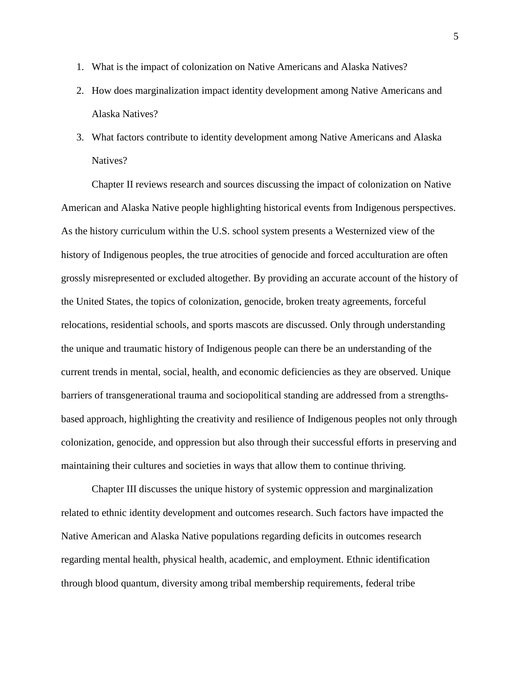- 1. What is the impact of colonization on Native Americans and Alaska Natives?
- 2. How does marginalization impact identity development among Native Americans and Alaska Natives?
- 3. What factors contribute to identity development among Native Americans and Alaska Natives?

Chapter II reviews research and sources discussing the impact of colonization on Native American and Alaska Native people highlighting historical events from Indigenous perspectives. As the history curriculum within the U.S. school system presents a Westernized view of the history of Indigenous peoples, the true atrocities of genocide and forced acculturation are often grossly misrepresented or excluded altogether. By providing an accurate account of the history of the United States, the topics of colonization, genocide, broken treaty agreements, forceful relocations, residential schools, and sports mascots are discussed. Only through understanding the unique and traumatic history of Indigenous people can there be an understanding of the current trends in mental, social, health, and economic deficiencies as they are observed. Unique barriers of transgenerational trauma and sociopolitical standing are addressed from a strengthsbased approach, highlighting the creativity and resilience of Indigenous peoples not only through colonization, genocide, and oppression but also through their successful efforts in preserving and maintaining their cultures and societies in ways that allow them to continue thriving.

Chapter III discusses the unique history of systemic oppression and marginalization related to ethnic identity development and outcomes research. Such factors have impacted the Native American and Alaska Native populations regarding deficits in outcomes research regarding mental health, physical health, academic, and employment. Ethnic identification through blood quantum, diversity among tribal membership requirements, federal tribe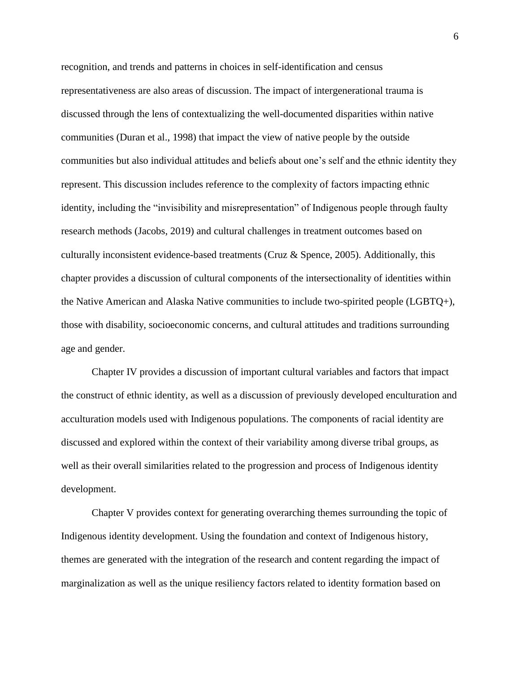recognition, and trends and patterns in choices in self-identification and census representativeness are also areas of discussion. The impact of intergenerational trauma is discussed through the lens of contextualizing the well-documented disparities within native communities (Duran et al., 1998) that impact the view of native people by the outside communities but also individual attitudes and beliefs about one's self and the ethnic identity they represent. This discussion includes reference to the complexity of factors impacting ethnic identity, including the "invisibility and misrepresentation" of Indigenous people through faulty research methods (Jacobs, 2019) and cultural challenges in treatment outcomes based on culturally inconsistent evidence-based treatments (Cruz  $\&$  Spence, 2005). Additionally, this chapter provides a discussion of cultural components of the intersectionality of identities within the Native American and Alaska Native communities to include two-spirited people (LGBTQ+), those with disability, socioeconomic concerns, and cultural attitudes and traditions surrounding age and gender.

Chapter IV provides a discussion of important cultural variables and factors that impact the construct of ethnic identity, as well as a discussion of previously developed enculturation and acculturation models used with Indigenous populations. The components of racial identity are discussed and explored within the context of their variability among diverse tribal groups, as well as their overall similarities related to the progression and process of Indigenous identity development.

Chapter V provides context for generating overarching themes surrounding the topic of Indigenous identity development. Using the foundation and context of Indigenous history, themes are generated with the integration of the research and content regarding the impact of marginalization as well as the unique resiliency factors related to identity formation based on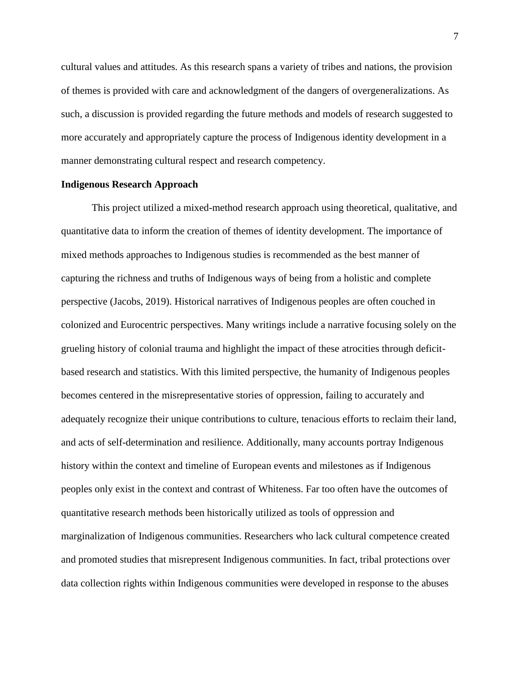cultural values and attitudes. As this research spans a variety of tribes and nations, the provision of themes is provided with care and acknowledgment of the dangers of overgeneralizations. As such, a discussion is provided regarding the future methods and models of research suggested to more accurately and appropriately capture the process of Indigenous identity development in a manner demonstrating cultural respect and research competency.

#### <span id="page-15-0"></span>**Indigenous Research Approach**

This project utilized a mixed-method research approach using theoretical, qualitative, and quantitative data to inform the creation of themes of identity development. The importance of mixed methods approaches to Indigenous studies is recommended as the best manner of capturing the richness and truths of Indigenous ways of being from a holistic and complete perspective (Jacobs, 2019). Historical narratives of Indigenous peoples are often couched in colonized and Eurocentric perspectives. Many writings include a narrative focusing solely on the grueling history of colonial trauma and highlight the impact of these atrocities through deficitbased research and statistics. With this limited perspective, the humanity of Indigenous peoples becomes centered in the misrepresentative stories of oppression, failing to accurately and adequately recognize their unique contributions to culture, tenacious efforts to reclaim their land, and acts of self-determination and resilience. Additionally, many accounts portray Indigenous history within the context and timeline of European events and milestones as if Indigenous peoples only exist in the context and contrast of Whiteness. Far too often have the outcomes of quantitative research methods been historically utilized as tools of oppression and marginalization of Indigenous communities. Researchers who lack cultural competence created and promoted studies that misrepresent Indigenous communities. In fact, tribal protections over data collection rights within Indigenous communities were developed in response to the abuses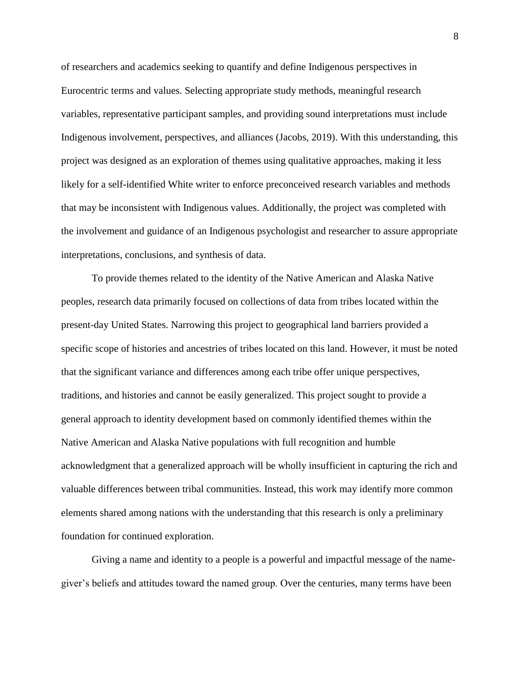of researchers and academics seeking to quantify and define Indigenous perspectives in Eurocentric terms and values. Selecting appropriate study methods, meaningful research variables, representative participant samples, and providing sound interpretations must include Indigenous involvement, perspectives, and alliances (Jacobs, 2019). With this understanding, this project was designed as an exploration of themes using qualitative approaches, making it less likely for a self-identified White writer to enforce preconceived research variables and methods that may be inconsistent with Indigenous values. Additionally, the project was completed with the involvement and guidance of an Indigenous psychologist and researcher to assure appropriate interpretations, conclusions, and synthesis of data.

To provide themes related to the identity of the Native American and Alaska Native peoples, research data primarily focused on collections of data from tribes located within the present-day United States. Narrowing this project to geographical land barriers provided a specific scope of histories and ancestries of tribes located on this land. However, it must be noted that the significant variance and differences among each tribe offer unique perspectives, traditions, and histories and cannot be easily generalized. This project sought to provide a general approach to identity development based on commonly identified themes within the Native American and Alaska Native populations with full recognition and humble acknowledgment that a generalized approach will be wholly insufficient in capturing the rich and valuable differences between tribal communities. Instead, this work may identify more common elements shared among nations with the understanding that this research is only a preliminary foundation for continued exploration.

Giving a name and identity to a people is a powerful and impactful message of the namegiver's beliefs and attitudes toward the named group. Over the centuries, many terms have been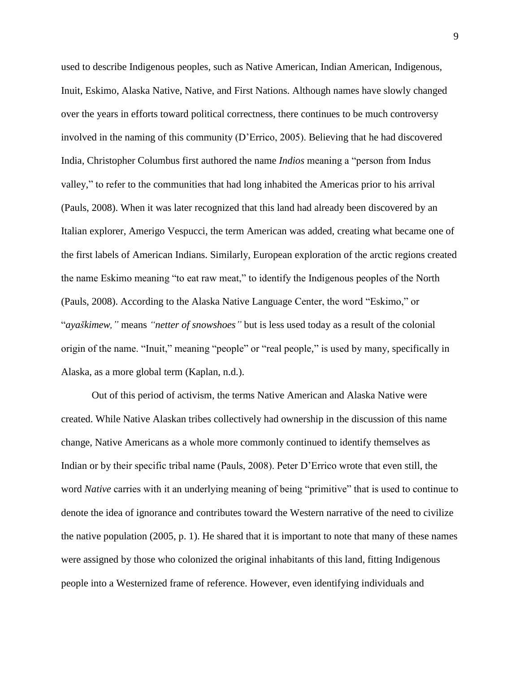used to describe Indigenous peoples, such as Native American, Indian American, Indigenous, Inuit, Eskimo, Alaska Native, Native, and First Nations. Although names have slowly changed over the years in efforts toward political correctness, there continues to be much controversy involved in the naming of this community (D'Errico, 2005). Believing that he had discovered India, Christopher Columbus first authored the name *Indios* meaning a "person from Indus valley," to refer to the communities that had long inhabited the Americas prior to his arrival (Pauls, 2008). When it was later recognized that this land had already been discovered by an Italian explorer, Amerigo Vespucci, the term American was added, creating what became one of the first labels of American Indians. Similarly, European exploration of the arctic regions created the name Eskimo meaning "to eat raw meat," to identify the Indigenous peoples of the North (Pauls, 2008). According to the Alaska Native Language Center, the word "Eskimo," or "*ayas̆kimew,"* means *"netter of snowshoes"* but is less used today as a result of the colonial origin of the name. "Inuit," meaning "people" or "real people," is used by many, specifically in Alaska, as a more global term (Kaplan, n.d.).

Out of this period of activism, the terms Native American and Alaska Native were created. While Native Alaskan tribes collectively had ownership in the discussion of this name change, Native Americans as a whole more commonly continued to identify themselves as Indian or by their specific tribal name (Pauls, 2008). Peter D'Errico wrote that even still, the word *Native* carries with it an underlying meaning of being "primitive" that is used to continue to denote the idea of ignorance and contributes toward the Western narrative of the need to civilize the native population (2005, p. 1). He shared that it is important to note that many of these names were assigned by those who colonized the original inhabitants of this land, fitting Indigenous people into a Westernized frame of reference. However, even identifying individuals and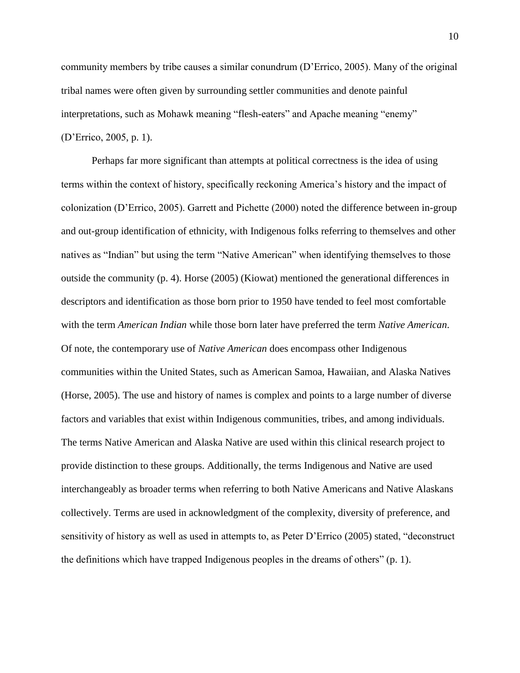community members by tribe causes a similar conundrum (D'Errico, 2005). Many of the original tribal names were often given by surrounding settler communities and denote painful interpretations, such as Mohawk meaning "flesh-eaters" and Apache meaning "enemy" (D'Errico, 2005, p. 1).

Perhaps far more significant than attempts at political correctness is the idea of using terms within the context of history, specifically reckoning America's history and the impact of colonization (D'Errico, 2005). Garrett and Pichette (2000) noted the difference between in-group and out-group identification of ethnicity, with Indigenous folks referring to themselves and other natives as "Indian" but using the term "Native American" when identifying themselves to those outside the community (p. 4). Horse (2005) (Kiowat) mentioned the generational differences in descriptors and identification as those born prior to 1950 have tended to feel most comfortable with the term *American Indian* while those born later have preferred the term *Native American*. Of note, the contemporary use of *Native American* does encompass other Indigenous communities within the United States, such as American Samoa, Hawaiian, and Alaska Natives (Horse, 2005). The use and history of names is complex and points to a large number of diverse factors and variables that exist within Indigenous communities, tribes, and among individuals. The terms Native American and Alaska Native are used within this clinical research project to provide distinction to these groups. Additionally, the terms Indigenous and Native are used interchangeably as broader terms when referring to both Native Americans and Native Alaskans collectively. Terms are used in acknowledgment of the complexity, diversity of preference, and sensitivity of history as well as used in attempts to, as Peter D'Errico (2005) stated, "deconstruct the definitions which have trapped Indigenous peoples in the dreams of others" (p. 1).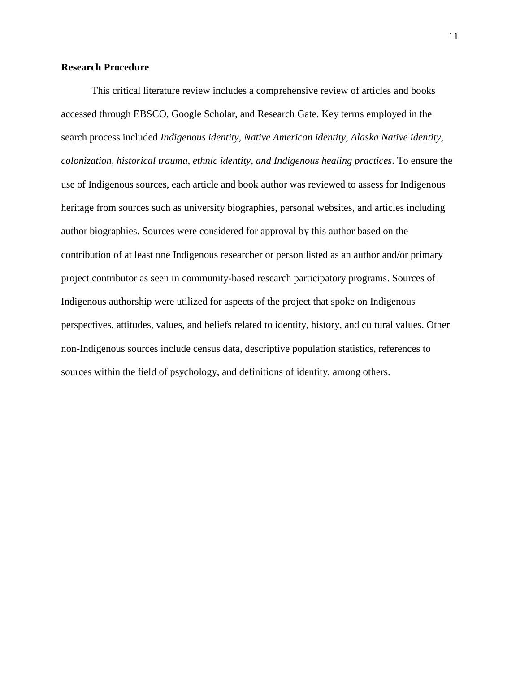#### <span id="page-19-0"></span>**Research Procedure**

This critical literature review includes a comprehensive review of articles and books accessed through EBSCO, Google Scholar, and Research Gate. Key terms employed in the search process included *Indigenous identity, Native American identity, Alaska Native identity, colonization, historical trauma, ethnic identity, and Indigenous healing practices*. To ensure the use of Indigenous sources, each article and book author was reviewed to assess for Indigenous heritage from sources such as university biographies, personal websites, and articles including author biographies. Sources were considered for approval by this author based on the contribution of at least one Indigenous researcher or person listed as an author and/or primary project contributor as seen in community-based research participatory programs. Sources of Indigenous authorship were utilized for aspects of the project that spoke on Indigenous perspectives, attitudes, values, and beliefs related to identity, history, and cultural values. Other non-Indigenous sources include census data, descriptive population statistics, references to sources within the field of psychology, and definitions of identity, among others.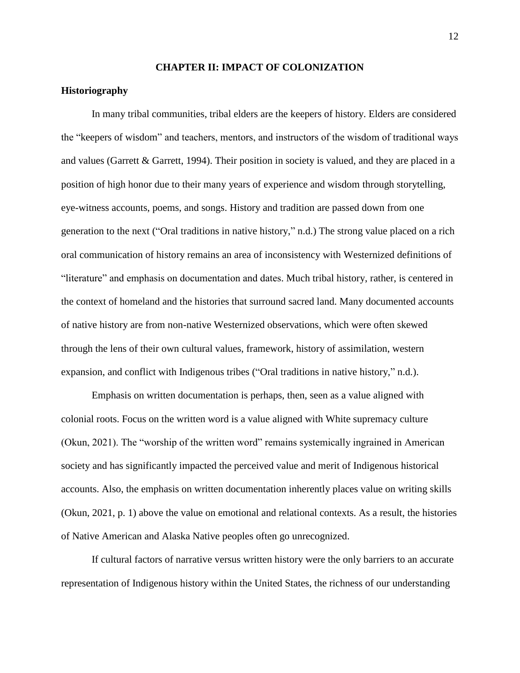#### **CHAPTER II: IMPACT OF COLONIZATION**

#### <span id="page-20-1"></span><span id="page-20-0"></span>**Historiography**

In many tribal communities, tribal elders are the keepers of history. Elders are considered the "keepers of wisdom" and teachers, mentors, and instructors of the wisdom of traditional ways and values (Garrett  $\&$  Garrett, 1994). Their position in society is valued, and they are placed in a position of high honor due to their many years of experience and wisdom through storytelling, eye-witness accounts, poems, and songs. History and tradition are passed down from one generation to the next ("Oral traditions in native history," n.d.) The strong value placed on a rich oral communication of history remains an area of inconsistency with Westernized definitions of "literature" and emphasis on documentation and dates. Much tribal history, rather, is centered in the context of homeland and the histories that surround sacred land. Many documented accounts of native history are from non-native Westernized observations, which were often skewed through the lens of their own cultural values, framework, history of assimilation, western expansion, and conflict with Indigenous tribes ("Oral traditions in native history," n.d.).

Emphasis on written documentation is perhaps, then, seen as a value aligned with colonial roots. Focus on the written word is a value aligned with White supremacy culture (Okun, 2021). The "worship of the written word" remains systemically ingrained in American society and has significantly impacted the perceived value and merit of Indigenous historical accounts. Also, the emphasis on written documentation inherently places value on writing skills (Okun, 2021, p. 1) above the value on emotional and relational contexts. As a result, the histories of Native American and Alaska Native peoples often go unrecognized.

If cultural factors of narrative versus written history were the only barriers to an accurate representation of Indigenous history within the United States, the richness of our understanding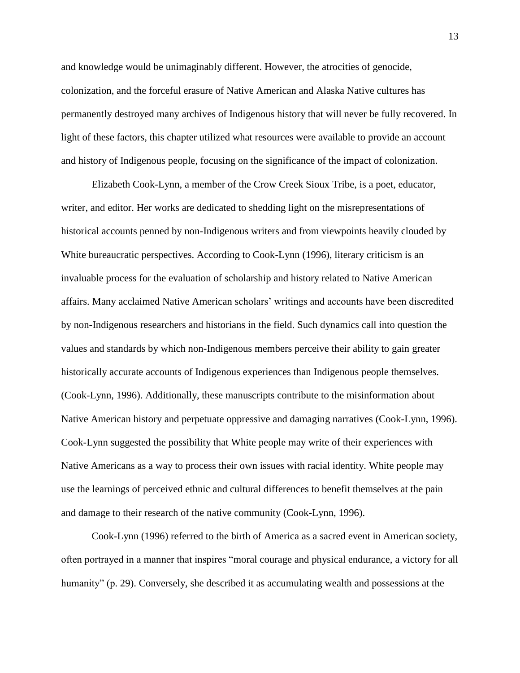and knowledge would be unimaginably different. However, the atrocities of genocide, colonization, and the forceful erasure of Native American and Alaska Native cultures has permanently destroyed many archives of Indigenous history that will never be fully recovered. In light of these factors, this chapter utilized what resources were available to provide an account and history of Indigenous people, focusing on the significance of the impact of colonization.

Elizabeth Cook-Lynn, a member of the Crow Creek Sioux Tribe, is a poet, educator, writer, and editor. Her works are dedicated to shedding light on the misrepresentations of historical accounts penned by non-Indigenous writers and from viewpoints heavily clouded by White bureaucratic perspectives. According to Cook-Lynn (1996), literary criticism is an invaluable process for the evaluation of scholarship and history related to Native American affairs. Many acclaimed Native American scholars' writings and accounts have been discredited by non-Indigenous researchers and historians in the field. Such dynamics call into question the values and standards by which non-Indigenous members perceive their ability to gain greater historically accurate accounts of Indigenous experiences than Indigenous people themselves. (Cook-Lynn, 1996). Additionally, these manuscripts contribute to the misinformation about Native American history and perpetuate oppressive and damaging narratives (Cook-Lynn, 1996). Cook-Lynn suggested the possibility that White people may write of their experiences with Native Americans as a way to process their own issues with racial identity. White people may use the learnings of perceived ethnic and cultural differences to benefit themselves at the pain and damage to their research of the native community (Cook-Lynn, 1996).

Cook-Lynn (1996) referred to the birth of America as a sacred event in American society, often portrayed in a manner that inspires "moral courage and physical endurance, a victory for all humanity" (p. 29). Conversely, she described it as accumulating wealth and possessions at the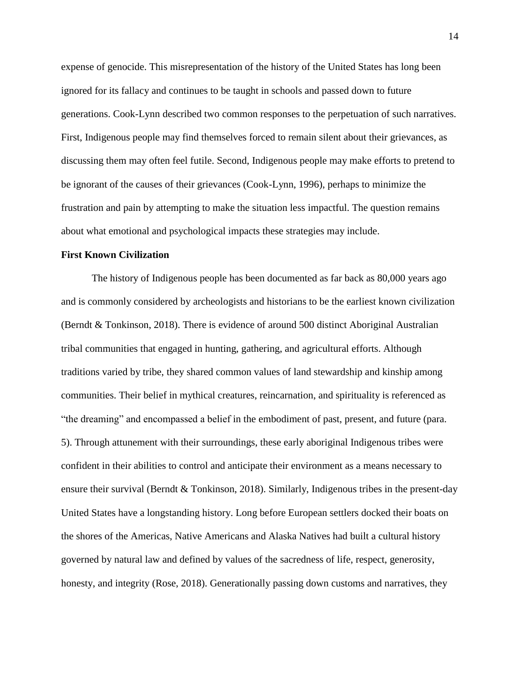expense of genocide. This misrepresentation of the history of the United States has long been ignored for its fallacy and continues to be taught in schools and passed down to future generations. Cook-Lynn described two common responses to the perpetuation of such narratives. First, Indigenous people may find themselves forced to remain silent about their grievances, as discussing them may often feel futile. Second, Indigenous people may make efforts to pretend to be ignorant of the causes of their grievances (Cook-Lynn, 1996), perhaps to minimize the frustration and pain by attempting to make the situation less impactful. The question remains about what emotional and psychological impacts these strategies may include.

#### <span id="page-22-0"></span>**First Known Civilization**

The history of Indigenous people has been documented as far back as 80,000 years ago and is commonly considered by archeologists and historians to be the earliest known civilization (Berndt & Tonkinson, 2018). There is evidence of around 500 distinct Aboriginal Australian tribal communities that engaged in hunting, gathering, and agricultural efforts. Although traditions varied by tribe, they shared common values of land stewardship and kinship among communities. Their belief in mythical creatures, reincarnation, and spirituality is referenced as "the dreaming" and encompassed a belief in the embodiment of past, present, and future (para. 5). Through attunement with their surroundings, these early aboriginal Indigenous tribes were confident in their abilities to control and anticipate their environment as a means necessary to ensure their survival (Berndt & Tonkinson, 2018). Similarly, Indigenous tribes in the present-day United States have a longstanding history. Long before European settlers docked their boats on the shores of the Americas, Native Americans and Alaska Natives had built a cultural history governed by natural law and defined by values of the sacredness of life, respect, generosity, honesty, and integrity (Rose, 2018). Generationally passing down customs and narratives, they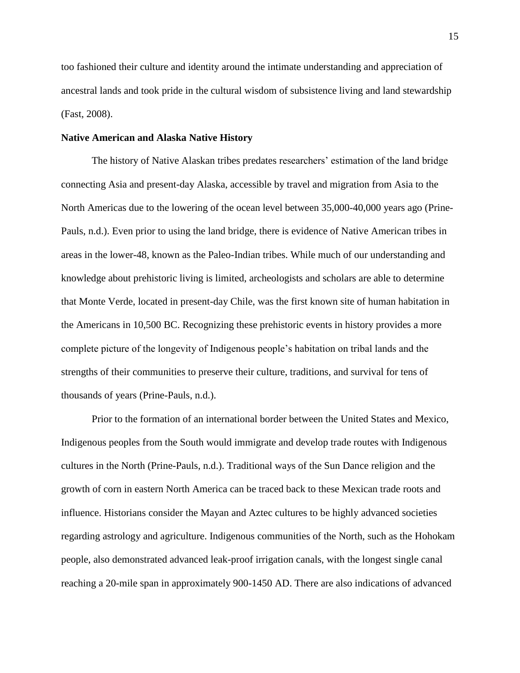too fashioned their culture and identity around the intimate understanding and appreciation of ancestral lands and took pride in the cultural wisdom of subsistence living and land stewardship (Fast, 2008).

#### <span id="page-23-0"></span>**Native American and Alaska Native History**

The history of Native Alaskan tribes predates researchers' estimation of the land bridge connecting Asia and present-day Alaska, accessible by travel and migration from Asia to the North Americas due to the lowering of the ocean level between 35,000-40,000 years ago (Prine-Pauls, n.d.). Even prior to using the land bridge, there is evidence of Native American tribes in areas in the lower-48, known as the Paleo-Indian tribes. While much of our understanding and knowledge about prehistoric living is limited, archeologists and scholars are able to determine that Monte Verde, located in present-day Chile, was the first known site of human habitation in the Americans in 10,500 BC. Recognizing these prehistoric events in history provides a more complete picture of the longevity of Indigenous people's habitation on tribal lands and the strengths of their communities to preserve their culture, traditions, and survival for tens of thousands of years (Prine-Pauls, n.d.).

Prior to the formation of an international border between the United States and Mexico, Indigenous peoples from the South would immigrate and develop trade routes with Indigenous cultures in the North (Prine-Pauls, n.d.). Traditional ways of the Sun Dance religion and the growth of corn in eastern North America can be traced back to these Mexican trade roots and influence. Historians consider the Mayan and Aztec cultures to be highly advanced societies regarding astrology and agriculture. Indigenous communities of the North, such as the Hohokam people, also demonstrated advanced leak-proof irrigation canals, with the longest single canal reaching a 20-mile span in approximately 900-1450 AD. There are also indications of advanced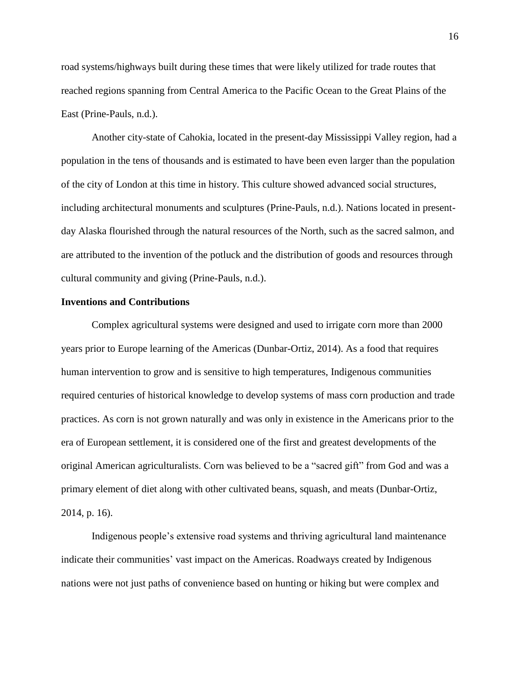road systems/highways built during these times that were likely utilized for trade routes that reached regions spanning from Central America to the Pacific Ocean to the Great Plains of the East (Prine-Pauls, n.d.).

Another city-state of Cahokia, located in the present-day Mississippi Valley region, had a population in the tens of thousands and is estimated to have been even larger than the population of the city of London at this time in history. This culture showed advanced social structures, including architectural monuments and sculptures (Prine-Pauls, n.d.). Nations located in presentday Alaska flourished through the natural resources of the North, such as the sacred salmon, and are attributed to the invention of the potluck and the distribution of goods and resources through cultural community and giving (Prine-Pauls, n.d.).

#### <span id="page-24-0"></span>**Inventions and Contributions**

Complex agricultural systems were designed and used to irrigate corn more than 2000 years prior to Europe learning of the Americas (Dunbar-Ortiz, 2014). As a food that requires human intervention to grow and is sensitive to high temperatures, Indigenous communities required centuries of historical knowledge to develop systems of mass corn production and trade practices. As corn is not grown naturally and was only in existence in the Americans prior to the era of European settlement, it is considered one of the first and greatest developments of the original American agriculturalists. Corn was believed to be a "sacred gift" from God and was a primary element of diet along with other cultivated beans, squash, and meats (Dunbar-Ortiz, 2014, p. 16).

Indigenous people's extensive road systems and thriving agricultural land maintenance indicate their communities' vast impact on the Americas. Roadways created by Indigenous nations were not just paths of convenience based on hunting or hiking but were complex and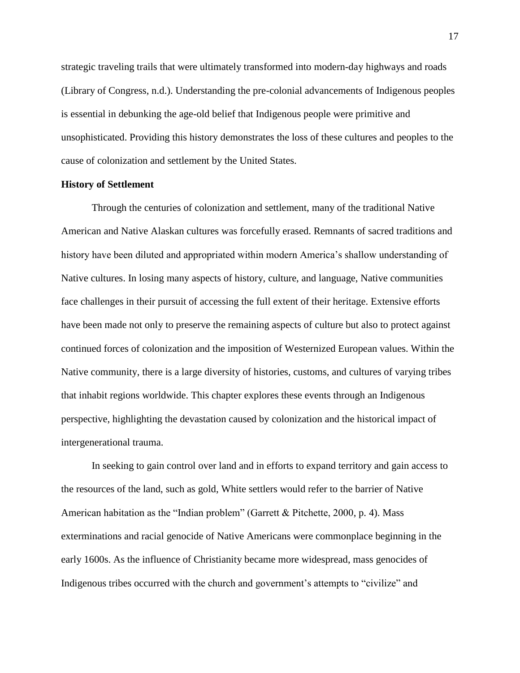strategic traveling trails that were ultimately transformed into modern-day highways and roads (Library of Congress, n.d.). Understanding the pre-colonial advancements of Indigenous peoples is essential in debunking the age-old belief that Indigenous people were primitive and unsophisticated. Providing this history demonstrates the loss of these cultures and peoples to the cause of colonization and settlement by the United States.

#### <span id="page-25-0"></span>**History of Settlement**

Through the centuries of colonization and settlement, many of the traditional Native American and Native Alaskan cultures was forcefully erased. Remnants of sacred traditions and history have been diluted and appropriated within modern America's shallow understanding of Native cultures. In losing many aspects of history, culture, and language, Native communities face challenges in their pursuit of accessing the full extent of their heritage. Extensive efforts have been made not only to preserve the remaining aspects of culture but also to protect against continued forces of colonization and the imposition of Westernized European values. Within the Native community, there is a large diversity of histories, customs, and cultures of varying tribes that inhabit regions worldwide. This chapter explores these events through an Indigenous perspective, highlighting the devastation caused by colonization and the historical impact of intergenerational trauma.

In seeking to gain control over land and in efforts to expand territory and gain access to the resources of the land, such as gold, White settlers would refer to the barrier of Native American habitation as the "Indian problem" (Garrett & Pitchette, 2000, p. 4). Mass exterminations and racial genocide of Native Americans were commonplace beginning in the early 1600s. As the influence of Christianity became more widespread, mass genocides of Indigenous tribes occurred with the church and government's attempts to "civilize" and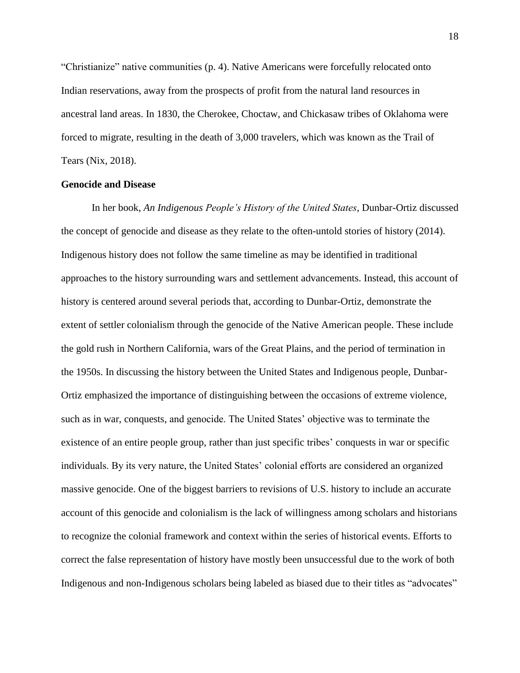"Christianize" native communities (p. 4). Native Americans were forcefully relocated onto Indian reservations, away from the prospects of profit from the natural land resources in ancestral land areas. In 1830, the Cherokee, Choctaw, and Chickasaw tribes of Oklahoma were forced to migrate, resulting in the death of 3,000 travelers, which was known as the Trail of Tears (Nix, 2018).

#### <span id="page-26-0"></span>**Genocide and Disease**

In her book, *An Indigenous People's History of the United States*, Dunbar-Ortiz discussed the concept of genocide and disease as they relate to the often-untold stories of history (2014). Indigenous history does not follow the same timeline as may be identified in traditional approaches to the history surrounding wars and settlement advancements. Instead, this account of history is centered around several periods that, according to Dunbar-Ortiz, demonstrate the extent of settler colonialism through the genocide of the Native American people. These include the gold rush in Northern California, wars of the Great Plains, and the period of termination in the 1950s. In discussing the history between the United States and Indigenous people, Dunbar-Ortiz emphasized the importance of distinguishing between the occasions of extreme violence, such as in war, conquests, and genocide. The United States' objective was to terminate the existence of an entire people group, rather than just specific tribes' conquests in war or specific individuals. By its very nature, the United States' colonial efforts are considered an organized massive genocide. One of the biggest barriers to revisions of U.S. history to include an accurate account of this genocide and colonialism is the lack of willingness among scholars and historians to recognize the colonial framework and context within the series of historical events. Efforts to correct the false representation of history have mostly been unsuccessful due to the work of both Indigenous and non-Indigenous scholars being labeled as biased due to their titles as "advocates"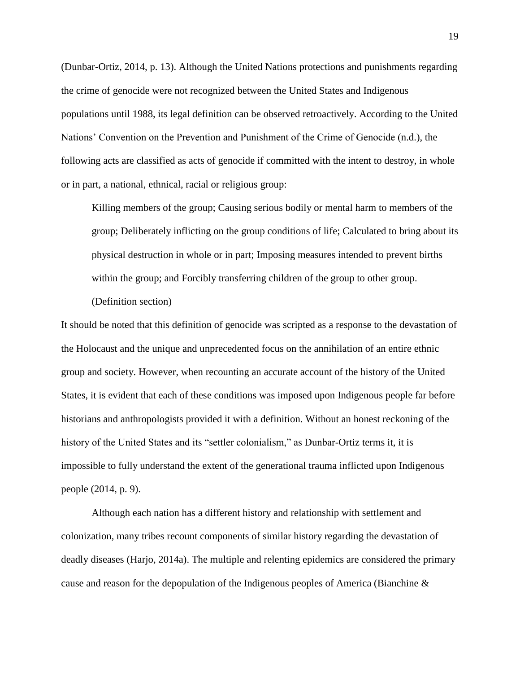(Dunbar-Ortiz, 2014, p. 13). Although the United Nations protections and punishments regarding the crime of genocide were not recognized between the United States and Indigenous populations until 1988, its legal definition can be observed retroactively. According to the United Nations' Convention on the Prevention and Punishment of the Crime of Genocide (n.d.), the following acts are classified as acts of genocide if committed with the intent to destroy, in whole or in part, a national, ethnical, racial or religious group:

Killing members of the group; Causing serious bodily or mental harm to members of the group; Deliberately inflicting on the group conditions of life; Calculated to bring about its physical destruction in whole or in part; Imposing measures intended to prevent births within the group; and Forcibly transferring children of the group to other group.

(Definition section)

It should be noted that this definition of genocide was scripted as a response to the devastation of the Holocaust and the unique and unprecedented focus on the annihilation of an entire ethnic group and society. However, when recounting an accurate account of the history of the United States, it is evident that each of these conditions was imposed upon Indigenous people far before historians and anthropologists provided it with a definition. Without an honest reckoning of the history of the United States and its "settler colonialism," as Dunbar-Ortiz terms it, it is impossible to fully understand the extent of the generational trauma inflicted upon Indigenous people (2014, p. 9).

Although each nation has a different history and relationship with settlement and colonization, many tribes recount components of similar history regarding the devastation of deadly diseases (Harjo, 2014a). The multiple and relenting epidemics are considered the primary cause and reason for the depopulation of the Indigenous peoples of America (Bianchine &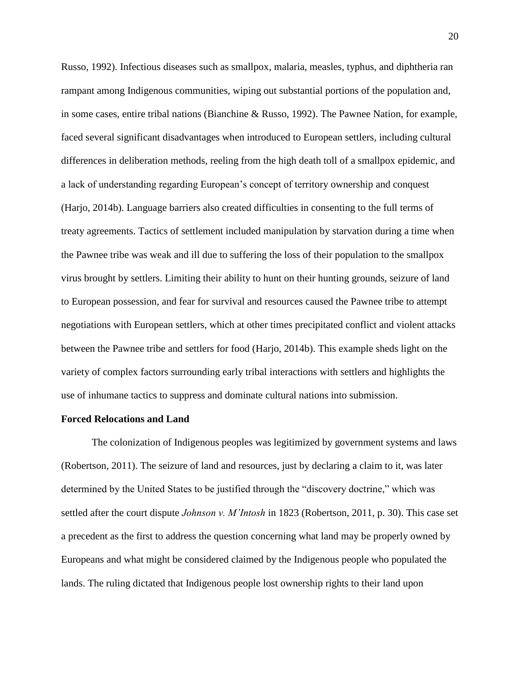Russo, 1992). Infectious diseases such as smallpox, malaria, measles, typhus, and diphtheria ran rampant among Indigenous communities, wiping out substantial portions of the population and, in some cases, entire tribal nations (Bianchine & Russo, 1992). The Pawnee Nation, for example, faced several significant disadvantages when introduced to European settlers, including cultural differences in deliberation methods, reeling from the high death toll of a smallpox epidemic, and a lack of understanding regarding European's concept of territory ownership and conquest (Harjo, 2014b). Language barriers also created difficulties in consenting to the full terms of treaty agreements. Tactics of settlement included manipulation by starvation during a time when the Pawnee tribe was weak and ill due to suffering the loss of their population to the smallpox virus brought by settlers. Limiting their ability to hunt on their hunting grounds, seizure of land to European possession, and fear for survival and resources caused the Pawnee tribe to attempt negotiations with European settlers, which at other times precipitated conflict and violent attacks between the Pawnee tribe and settlers for food (Harjo, 2014b). This example sheds light on the variety of complex factors surrounding early tribal interactions with settlers and highlights the use of inhumane tactics to suppress and dominate cultural nations into submission.

#### <span id="page-28-0"></span>**Forced Relocations and Land**

The colonization of Indigenous peoples was legitimized by government systems and laws (Robertson, 2011). The seizure of land and resources, just by declaring a claim to it, was later determined by the United States to be justified through the "discovery doctrine," which was settled after the court dispute *Johnson v. M'Intosh* in 1823 (Robertson, 2011, p. 30). This case set a precedent as the first to address the question concerning what land may be properly owned by Europeans and what might be considered claimed by the Indigenous people who populated the lands. The ruling dictated that Indigenous people lost ownership rights to their land upon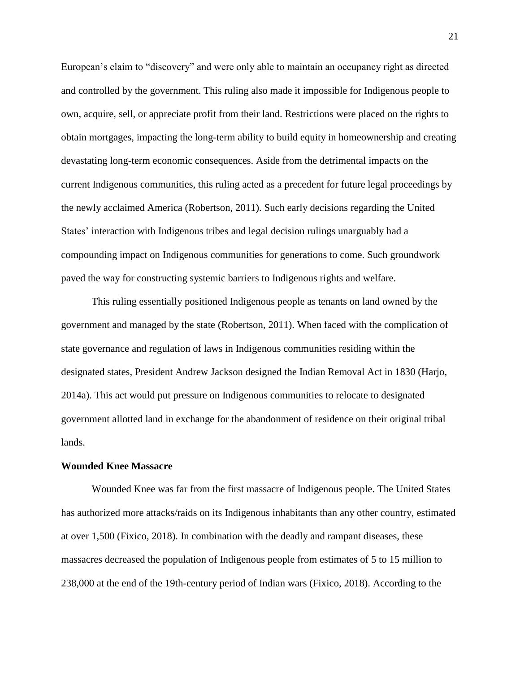European's claim to "discovery" and were only able to maintain an occupancy right as directed and controlled by the government. This ruling also made it impossible for Indigenous people to own, acquire, sell, or appreciate profit from their land. Restrictions were placed on the rights to obtain mortgages, impacting the long-term ability to build equity in homeownership and creating devastating long-term economic consequences. Aside from the detrimental impacts on the current Indigenous communities, this ruling acted as a precedent for future legal proceedings by the newly acclaimed America (Robertson, 2011). Such early decisions regarding the United States' interaction with Indigenous tribes and legal decision rulings unarguably had a compounding impact on Indigenous communities for generations to come. Such groundwork paved the way for constructing systemic barriers to Indigenous rights and welfare.

This ruling essentially positioned Indigenous people as tenants on land owned by the government and managed by the state (Robertson, 2011). When faced with the complication of state governance and regulation of laws in Indigenous communities residing within the designated states, President Andrew Jackson designed the Indian Removal Act in 1830 (Harjo, 2014a). This act would put pressure on Indigenous communities to relocate to designated government allotted land in exchange for the abandonment of residence on their original tribal lands.

#### <span id="page-29-0"></span>**Wounded Knee Massacre**

Wounded Knee was far from the first massacre of Indigenous people. The United States has authorized more attacks/raids on its Indigenous inhabitants than any other country, estimated at over 1,500 (Fixico, 2018). In combination with the deadly and rampant diseases, these massacres decreased the population of Indigenous people from estimates of 5 to 15 million to 238,000 at the end of the 19th-century period of Indian wars (Fixico, 2018). According to the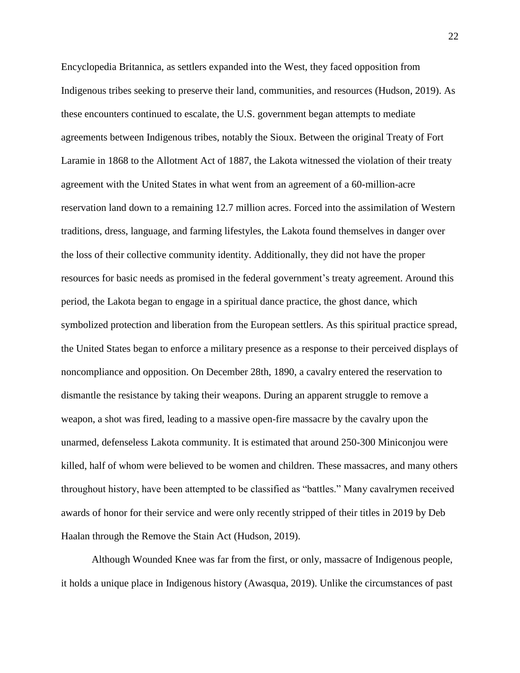Encyclopedia Britannica, as settlers expanded into the West, they faced opposition from Indigenous tribes seeking to preserve their land, communities, and resources (Hudson, 2019). As these encounters continued to escalate, the U.S. government began attempts to mediate agreements between Indigenous tribes, notably the Sioux. Between the original Treaty of Fort Laramie in 1868 to the Allotment Act of 1887, the Lakota witnessed the violation of their treaty agreement with the United States in what went from an agreement of a 60-million-acre reservation land down to a remaining 12.7 million acres. Forced into the assimilation of Western traditions, dress, language, and farming lifestyles, the Lakota found themselves in danger over the loss of their collective community identity. Additionally, they did not have the proper resources for basic needs as promised in the federal government's treaty agreement. Around this period, the Lakota began to engage in a spiritual dance practice, the ghost dance, which symbolized protection and liberation from the European settlers. As this spiritual practice spread, the United States began to enforce a military presence as a response to their perceived displays of noncompliance and opposition. On December 28th, 1890, a cavalry entered the reservation to dismantle the resistance by taking their weapons. During an apparent struggle to remove a weapon, a shot was fired, leading to a massive open-fire massacre by the cavalry upon the unarmed, defenseless Lakota community. It is estimated that around 250-300 Miniconjou were killed, half of whom were believed to be women and children. These massacres, and many others throughout history, have been attempted to be classified as "battles." Many cavalrymen received awards of honor for their service and were only recently stripped of their titles in 2019 by Deb Haalan through the Remove the Stain Act (Hudson, 2019).

Although Wounded Knee was far from the first, or only, massacre of Indigenous people, it holds a unique place in Indigenous history (Awasqua, 2019). Unlike the circumstances of past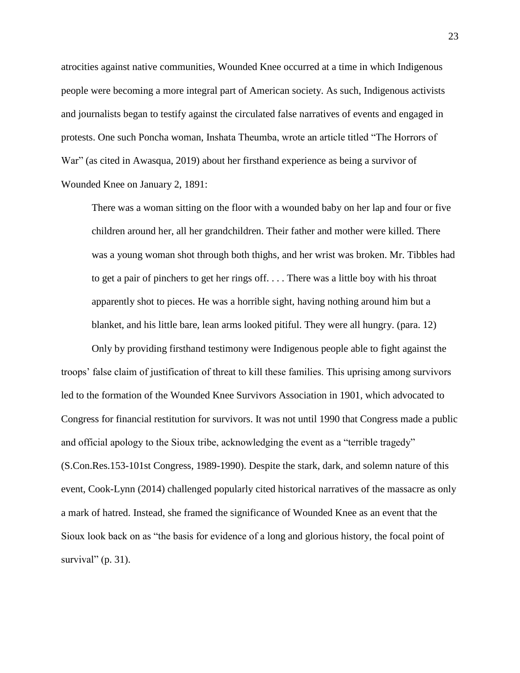atrocities against native communities, Wounded Knee occurred at a time in which Indigenous people were becoming a more integral part of American society. As such, Indigenous activists and journalists began to testify against the circulated false narratives of events and engaged in protests. One such Poncha woman, Inshata Theumba, wrote an article titled "The Horrors of War" (as cited in Awasqua, 2019) about her firsthand experience as being a survivor of Wounded Knee on January 2, 1891:

There was a woman sitting on the floor with a wounded baby on her lap and four or five children around her, all her grandchildren. Their father and mother were killed. There was a young woman shot through both thighs, and her wrist was broken. Mr. Tibbles had to get a pair of pinchers to get her rings off. . . . There was a little boy with his throat apparently shot to pieces. He was a horrible sight, having nothing around him but a blanket, and his little bare, lean arms looked pitiful. They were all hungry. (para. 12)

Only by providing firsthand testimony were Indigenous people able to fight against the troops' false claim of justification of threat to kill these families. This uprising among survivors led to the formation of the Wounded Knee Survivors Association in 1901, which advocated to Congress for financial restitution for survivors. It was not until 1990 that Congress made a public and official apology to the Sioux tribe, acknowledging the event as a "terrible tragedy" (S.Con.Res.153-101st Congress, 1989-1990). Despite the stark, dark, and solemn nature of this event, Cook-Lynn (2014) challenged popularly cited historical narratives of the massacre as only a mark of hatred. Instead, she framed the significance of Wounded Knee as an event that the Sioux look back on as "the basis for evidence of a long and glorious history, the focal point of survival"  $(p. 31)$ .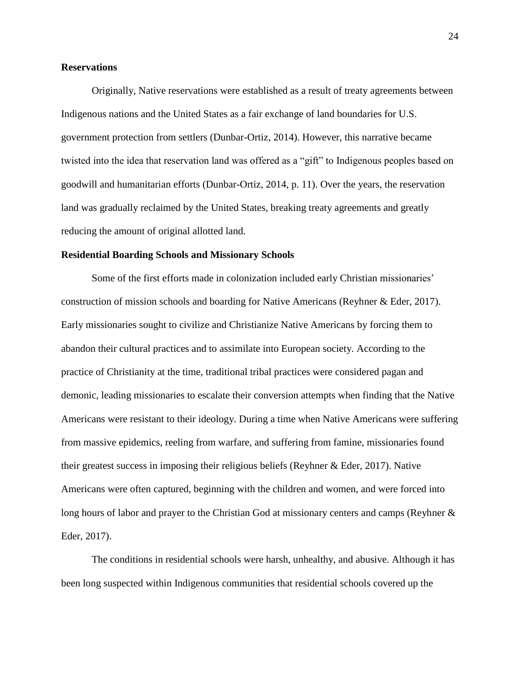#### <span id="page-32-0"></span>**Reservations**

Originally, Native reservations were established as a result of treaty agreements between Indigenous nations and the United States as a fair exchange of land boundaries for U.S. government protection from settlers (Dunbar-Ortiz, 2014). However, this narrative became twisted into the idea that reservation land was offered as a "gift" to Indigenous peoples based on goodwill and humanitarian efforts (Dunbar-Ortiz, 2014, p. 11). Over the years, the reservation land was gradually reclaimed by the United States, breaking treaty agreements and greatly reducing the amount of original allotted land.

#### <span id="page-32-1"></span>**Residential Boarding Schools and Missionary Schools**

Some of the first efforts made in colonization included early Christian missionaries' construction of mission schools and boarding for Native Americans (Reyhner & Eder, 2017). Early missionaries sought to civilize and Christianize Native Americans by forcing them to abandon their cultural practices and to assimilate into European society. According to the practice of Christianity at the time, traditional tribal practices were considered pagan and demonic, leading missionaries to escalate their conversion attempts when finding that the Native Americans were resistant to their ideology. During a time when Native Americans were suffering from massive epidemics, reeling from warfare, and suffering from famine, missionaries found their greatest success in imposing their religious beliefs (Reyhner & Eder, 2017). Native Americans were often captured, beginning with the children and women, and were forced into long hours of labor and prayer to the Christian God at missionary centers and camps (Reyhner & Eder, 2017).

The conditions in residential schools were harsh, unhealthy, and abusive. Although it has been long suspected within Indigenous communities that residential schools covered up the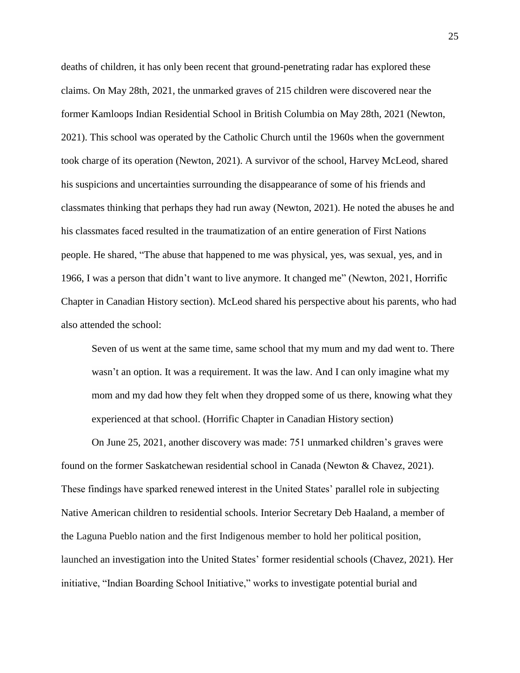deaths of children, it has only been recent that ground-penetrating radar has explored these claims. On May 28th, 2021, the unmarked graves of 215 children were discovered near the former Kamloops Indian Residential School in British Columbia on May 28th, 2021 (Newton, 2021). This school was operated by the Catholic Church until the 1960s when the government took charge of its operation (Newton, 2021). A survivor of the school, Harvey McLeod, shared his suspicions and uncertainties surrounding the disappearance of some of his friends and classmates thinking that perhaps they had run away (Newton, 2021). He noted the abuses he and his classmates faced resulted in the traumatization of an entire generation of First Nations people. He shared, "The abuse that happened to me was physical, yes, was sexual, yes, and in 1966, I was a person that didn't want to live anymore. It changed me" (Newton, 2021, Horrific Chapter in Canadian History section). McLeod shared his perspective about his parents, who had also attended the school:

Seven of us went at the same time, same school that my mum and my dad went to. There wasn't an option. It was a requirement. It was the law. And I can only imagine what my mom and my dad how they felt when they dropped some of us there, knowing what they experienced at that school. (Horrific Chapter in Canadian History section)

On June 25, 2021, another discovery was made: 751 unmarked children's graves were found on the former Saskatchewan residential school in Canada (Newton & Chavez, 2021). These findings have sparked renewed interest in the United States' parallel role in subjecting Native American children to residential schools. Interior Secretary Deb Haaland, a member of the Laguna Pueblo nation and the first Indigenous member to hold her political position, launched an investigation into the United States' former residential schools (Chavez, 2021). Her initiative, "Indian Boarding School Initiative," works to investigate potential burial and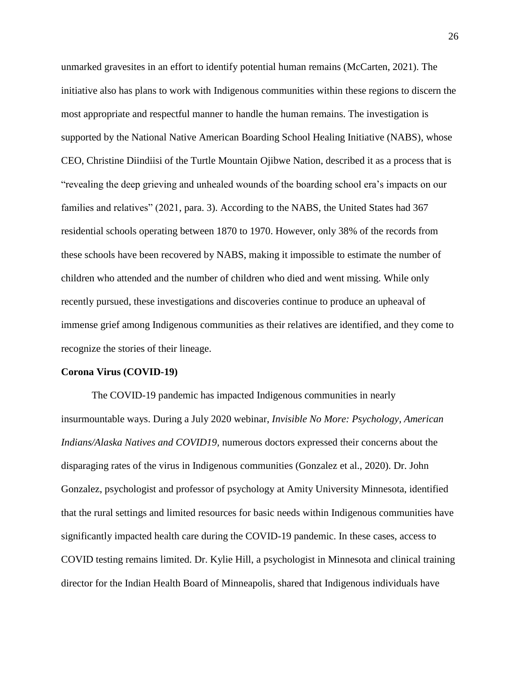unmarked gravesites in an effort to identify potential human remains (McCarten, 2021). The initiative also has plans to work with Indigenous communities within these regions to discern the most appropriate and respectful manner to handle the human remains. The investigation is supported by the National Native American Boarding School Healing Initiative (NABS), whose CEO, Christine Diindiisi of the Turtle Mountain Ojibwe Nation, described it as a process that is "revealing the deep grieving and unhealed wounds of the boarding school era's impacts on our families and relatives" (2021, para. 3). According to the NABS, the United States had 367 residential schools operating between 1870 to 1970. However, only 38% of the records from these schools have been recovered by NABS, making it impossible to estimate the number of children who attended and the number of children who died and went missing. While only recently pursued, these investigations and discoveries continue to produce an upheaval of immense grief among Indigenous communities as their relatives are identified, and they come to recognize the stories of their lineage.

#### <span id="page-34-0"></span>**Corona Virus (COVID-19)**

The COVID-19 pandemic has impacted Indigenous communities in nearly insurmountable ways. During a July 2020 webinar, *Invisible No More: Psychology, American Indians/Alaska Natives and COVID19,* numerous doctors expressed their concerns about the disparaging rates of the virus in Indigenous communities (Gonzalez et al., 2020). Dr. John Gonzalez, psychologist and professor of psychology at Amity University Minnesota, identified that the rural settings and limited resources for basic needs within Indigenous communities have significantly impacted health care during the COVID-19 pandemic. In these cases, access to COVID testing remains limited. Dr. Kylie Hill, a psychologist in Minnesota and clinical training director for the Indian Health Board of Minneapolis, shared that Indigenous individuals have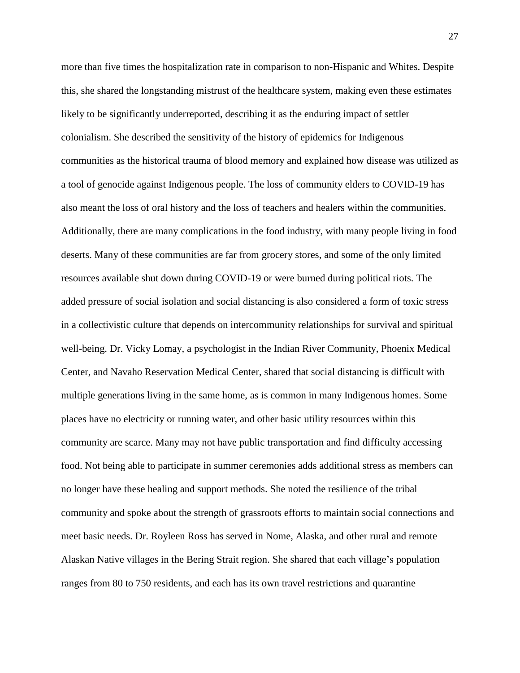more than five times the hospitalization rate in comparison to non-Hispanic and Whites. Despite this, she shared the longstanding mistrust of the healthcare system, making even these estimates likely to be significantly underreported, describing it as the enduring impact of settler colonialism. She described the sensitivity of the history of epidemics for Indigenous communities as the historical trauma of blood memory and explained how disease was utilized as a tool of genocide against Indigenous people. The loss of community elders to COVID-19 has also meant the loss of oral history and the loss of teachers and healers within the communities. Additionally, there are many complications in the food industry, with many people living in food deserts. Many of these communities are far from grocery stores, and some of the only limited resources available shut down during COVID-19 or were burned during political riots. The added pressure of social isolation and social distancing is also considered a form of toxic stress in a collectivistic culture that depends on intercommunity relationships for survival and spiritual well-being. Dr. Vicky Lomay, a psychologist in the Indian River Community, Phoenix Medical Center, and Navaho Reservation Medical Center, shared that social distancing is difficult with multiple generations living in the same home, as is common in many Indigenous homes. Some places have no electricity or running water, and other basic utility resources within this community are scarce. Many may not have public transportation and find difficulty accessing food. Not being able to participate in summer ceremonies adds additional stress as members can no longer have these healing and support methods. She noted the resilience of the tribal community and spoke about the strength of grassroots efforts to maintain social connections and meet basic needs. Dr. Royleen Ross has served in Nome, Alaska, and other rural and remote Alaskan Native villages in the Bering Strait region. She shared that each village's population ranges from 80 to 750 residents, and each has its own travel restrictions and quarantine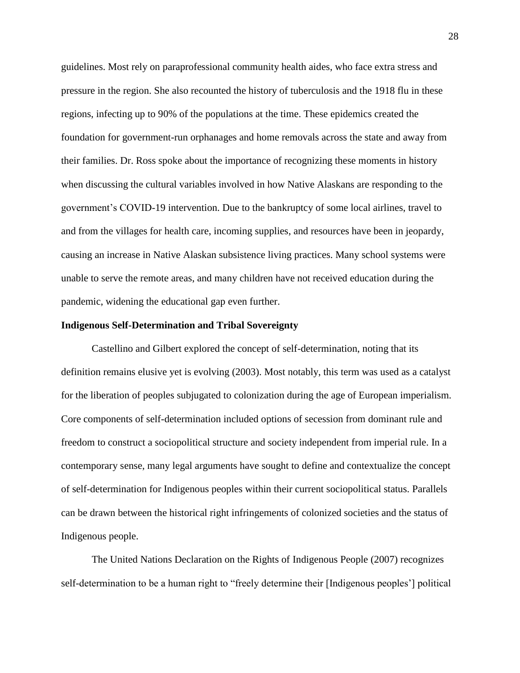guidelines. Most rely on paraprofessional community health aides, who face extra stress and pressure in the region. She also recounted the history of tuberculosis and the 1918 flu in these regions, infecting up to 90% of the populations at the time. These epidemics created the foundation for government-run orphanages and home removals across the state and away from their families. Dr. Ross spoke about the importance of recognizing these moments in history when discussing the cultural variables involved in how Native Alaskans are responding to the government's COVID-19 intervention. Due to the bankruptcy of some local airlines, travel to and from the villages for health care, incoming supplies, and resources have been in jeopardy, causing an increase in Native Alaskan subsistence living practices. Many school systems were unable to serve the remote areas, and many children have not received education during the pandemic, widening the educational gap even further.

#### **Indigenous Self-Determination and Tribal Sovereignty**

Castellino and Gilbert explored the concept of self-determination, noting that its definition remains elusive yet is evolving (2003). Most notably, this term was used as a catalyst for the liberation of peoples subjugated to colonization during the age of European imperialism. Core components of self-determination included options of secession from dominant rule and freedom to construct a sociopolitical structure and society independent from imperial rule. In a contemporary sense, many legal arguments have sought to define and contextualize the concept of self-determination for Indigenous peoples within their current sociopolitical status. Parallels can be drawn between the historical right infringements of colonized societies and the status of Indigenous people.

The United Nations Declaration on the Rights of Indigenous People (2007) recognizes self-determination to be a human right to "freely determine their [Indigenous peoples'] political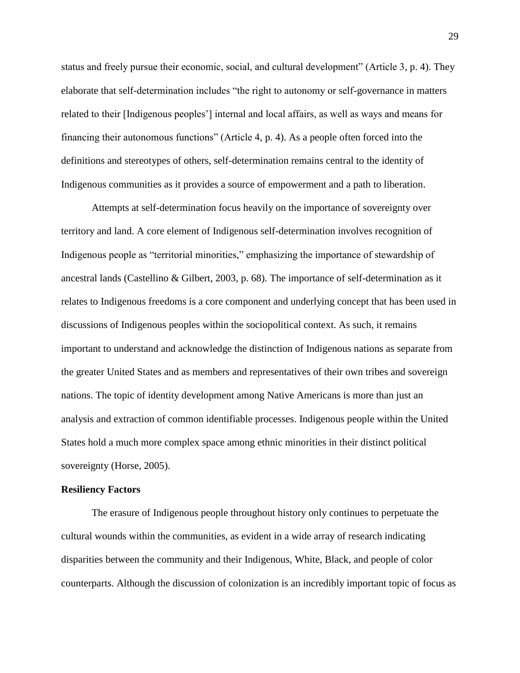status and freely pursue their economic, social, and cultural development" (Article 3, p. 4). They elaborate that self-determination includes "the right to autonomy or self-governance in matters related to their [Indigenous peoples'] internal and local affairs, as well as ways and means for financing their autonomous functions" (Article 4, p. 4). As a people often forced into the definitions and stereotypes of others, self-determination remains central to the identity of Indigenous communities as it provides a source of empowerment and a path to liberation.

Attempts at self-determination focus heavily on the importance of sovereignty over territory and land. A core element of Indigenous self-determination involves recognition of Indigenous people as "territorial minorities," emphasizing the importance of stewardship of ancestral lands (Castellino & Gilbert, 2003, p. 68). The importance of self-determination as it relates to Indigenous freedoms is a core component and underlying concept that has been used in discussions of Indigenous peoples within the sociopolitical context. As such, it remains important to understand and acknowledge the distinction of Indigenous nations as separate from the greater United States and as members and representatives of their own tribes and sovereign nations. The topic of identity development among Native Americans is more than just an analysis and extraction of common identifiable processes. Indigenous people within the United States hold a much more complex space among ethnic minorities in their distinct political sovereignty (Horse, 2005).

#### **Resiliency Factors**

The erasure of Indigenous people throughout history only continues to perpetuate the cultural wounds within the communities, as evident in a wide array of research indicating disparities between the community and their Indigenous, White, Black, and people of color counterparts. Although the discussion of colonization is an incredibly important topic of focus as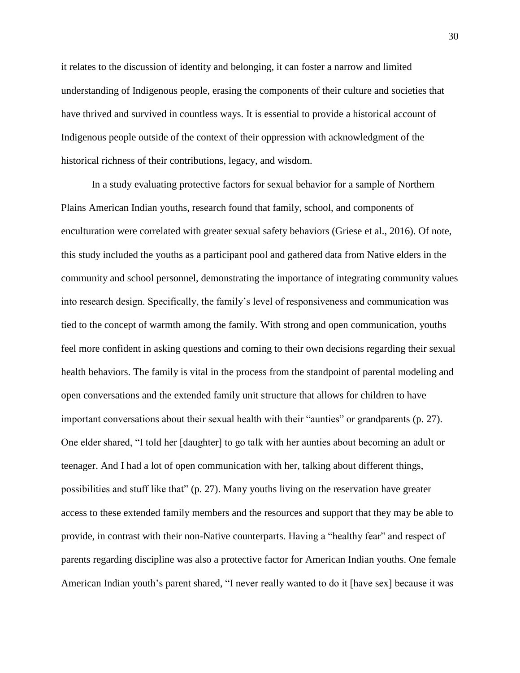it relates to the discussion of identity and belonging, it can foster a narrow and limited understanding of Indigenous people, erasing the components of their culture and societies that have thrived and survived in countless ways. It is essential to provide a historical account of Indigenous people outside of the context of their oppression with acknowledgment of the historical richness of their contributions, legacy, and wisdom.

In a study evaluating protective factors for sexual behavior for a sample of Northern Plains American Indian youths, research found that family, school, and components of enculturation were correlated with greater sexual safety behaviors (Griese et al., 2016). Of note, this study included the youths as a participant pool and gathered data from Native elders in the community and school personnel, demonstrating the importance of integrating community values into research design. Specifically, the family's level of responsiveness and communication was tied to the concept of warmth among the family. With strong and open communication, youths feel more confident in asking questions and coming to their own decisions regarding their sexual health behaviors. The family is vital in the process from the standpoint of parental modeling and open conversations and the extended family unit structure that allows for children to have important conversations about their sexual health with their "aunties" or grandparents (p. 27). One elder shared, "I told her [daughter] to go talk with her aunties about becoming an adult or teenager. And I had a lot of open communication with her, talking about different things, possibilities and stuff like that" (p. 27). Many youths living on the reservation have greater access to these extended family members and the resources and support that they may be able to provide, in contrast with their non-Native counterparts. Having a "healthy fear" and respect of parents regarding discipline was also a protective factor for American Indian youths. One female American Indian youth's parent shared, "I never really wanted to do it [have sex] because it was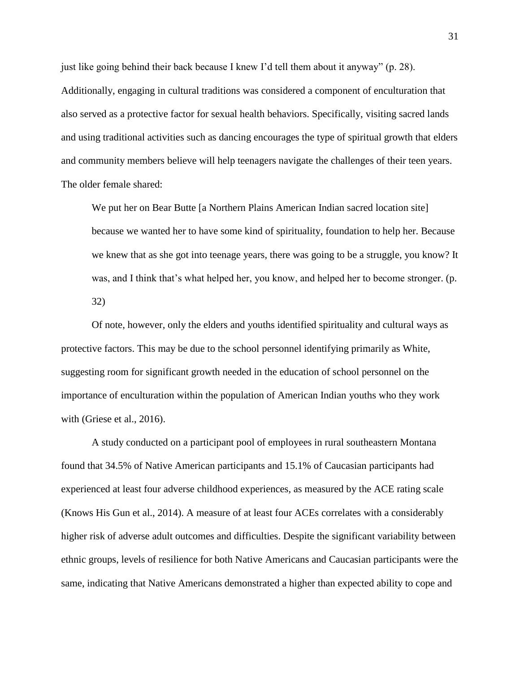just like going behind their back because I knew I'd tell them about it anyway" (p. 28). Additionally, engaging in cultural traditions was considered a component of enculturation that also served as a protective factor for sexual health behaviors. Specifically, visiting sacred lands and using traditional activities such as dancing encourages the type of spiritual growth that elders and community members believe will help teenagers navigate the challenges of their teen years. The older female shared:

We put her on Bear Butte [a Northern Plains American Indian sacred location site] because we wanted her to have some kind of spirituality, foundation to help her. Because we knew that as she got into teenage years, there was going to be a struggle, you know? It was, and I think that's what helped her, you know, and helped her to become stronger. (p. 32)

Of note, however, only the elders and youths identified spirituality and cultural ways as protective factors. This may be due to the school personnel identifying primarily as White, suggesting room for significant growth needed in the education of school personnel on the importance of enculturation within the population of American Indian youths who they work with (Griese et al., 2016).

A study conducted on a participant pool of employees in rural southeastern Montana found that 34.5% of Native American participants and 15.1% of Caucasian participants had experienced at least four adverse childhood experiences, as measured by the ACE rating scale (Knows His Gun et al., 2014). A measure of at least four ACEs correlates with a considerably higher risk of adverse adult outcomes and difficulties. Despite the significant variability between ethnic groups, levels of resilience for both Native Americans and Caucasian participants were the same, indicating that Native Americans demonstrated a higher than expected ability to cope and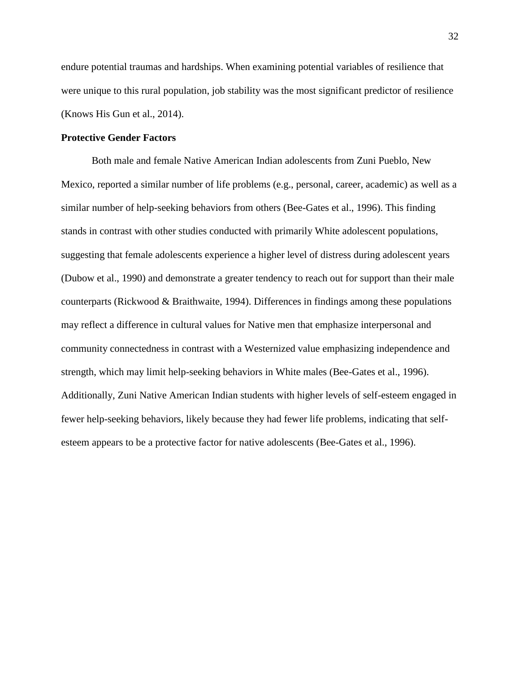endure potential traumas and hardships. When examining potential variables of resilience that were unique to this rural population, job stability was the most significant predictor of resilience (Knows His Gun et al., 2014).

### **Protective Gender Factors**

Both male and female Native American Indian adolescents from Zuni Pueblo, New Mexico, reported a similar number of life problems (e.g., personal, career, academic) as well as a similar number of help-seeking behaviors from others (Bee-Gates et al., 1996). This finding stands in contrast with other studies conducted with primarily White adolescent populations, suggesting that female adolescents experience a higher level of distress during adolescent years (Dubow et al., 1990) and demonstrate a greater tendency to reach out for support than their male counterparts (Rickwood & Braithwaite, 1994). Differences in findings among these populations may reflect a difference in cultural values for Native men that emphasize interpersonal and community connectedness in contrast with a Westernized value emphasizing independence and strength, which may limit help-seeking behaviors in White males (Bee-Gates et al., 1996). Additionally, Zuni Native American Indian students with higher levels of self-esteem engaged in fewer help-seeking behaviors, likely because they had fewer life problems, indicating that selfesteem appears to be a protective factor for native adolescents (Bee-Gates et al., 1996).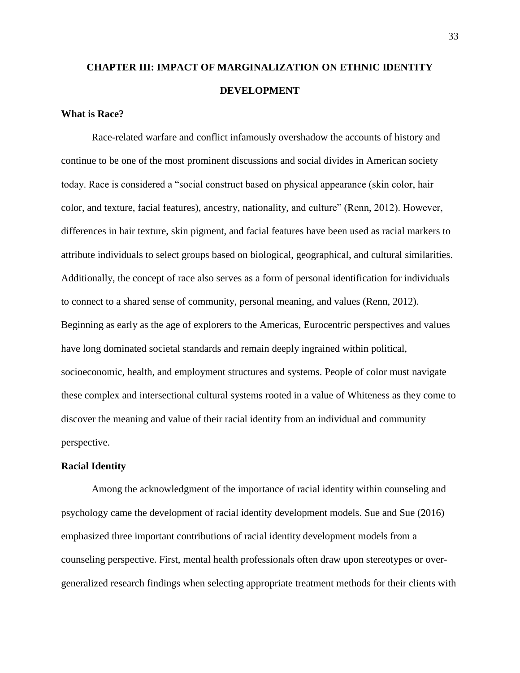# **CHAPTER III: IMPACT OF MARGINALIZATION ON ETHNIC IDENTITY DEVELOPMENT**

## **What is Race?**

Race-related warfare and conflict infamously overshadow the accounts of history and continue to be one of the most prominent discussions and social divides in American society today. Race is considered a "social construct based on physical appearance (skin color, hair color, and texture, facial features), ancestry, nationality, and culture" (Renn, 2012). However, differences in hair texture, skin pigment, and facial features have been used as racial markers to attribute individuals to select groups based on biological, geographical, and cultural similarities. Additionally, the concept of race also serves as a form of personal identification for individuals to connect to a shared sense of community, personal meaning, and values (Renn, 2012). Beginning as early as the age of explorers to the Americas, Eurocentric perspectives and values have long dominated societal standards and remain deeply ingrained within political, socioeconomic, health, and employment structures and systems. People of color must navigate these complex and intersectional cultural systems rooted in a value of Whiteness as they come to discover the meaning and value of their racial identity from an individual and community perspective.

#### **Racial Identity**

Among the acknowledgment of the importance of racial identity within counseling and psychology came the development of racial identity development models. Sue and Sue (2016) emphasized three important contributions of racial identity development models from a counseling perspective. First, mental health professionals often draw upon stereotypes or overgeneralized research findings when selecting appropriate treatment methods for their clients with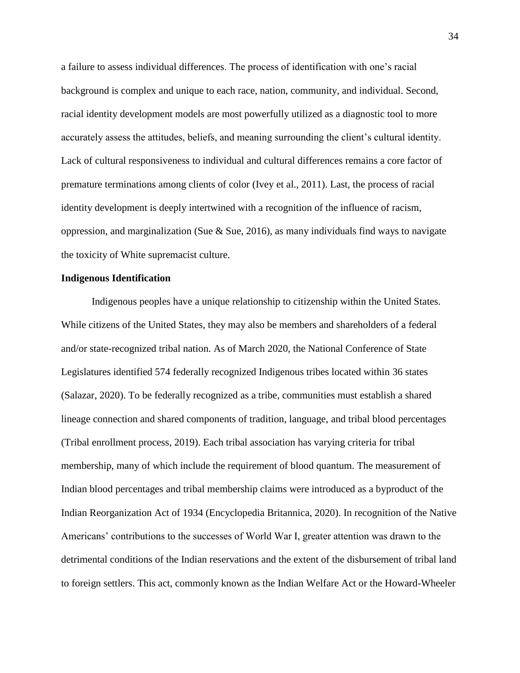a failure to assess individual differences. The process of identification with one's racial background is complex and unique to each race, nation, community, and individual. Second, racial identity development models are most powerfully utilized as a diagnostic tool to more accurately assess the attitudes, beliefs, and meaning surrounding the client's cultural identity. Lack of cultural responsiveness to individual and cultural differences remains a core factor of premature terminations among clients of color (Ivey et al., 2011). Last, the process of racial identity development is deeply intertwined with a recognition of the influence of racism, oppression, and marginalization (Sue  $\&$  Sue, 2016), as many individuals find ways to navigate the toxicity of White supremacist culture.

### **Indigenous Identification**

Indigenous peoples have a unique relationship to citizenship within the United States. While citizens of the United States, they may also be members and shareholders of a federal and/or state-recognized tribal nation. As of March 2020, the National Conference of State Legislatures identified 574 federally recognized Indigenous tribes located within 36 states (Salazar, 2020). To be federally recognized as a tribe, communities must establish a shared lineage connection and shared components of tradition, language, and tribal blood percentages (Tribal enrollment process, 2019). Each tribal association has varying criteria for tribal membership, many of which include the requirement of blood quantum. The measurement of Indian blood percentages and tribal membership claims were introduced as a byproduct of the Indian Reorganization Act of 1934 (Encyclopedia Britannica, 2020). In recognition of the Native Americans' contributions to the successes of World War I, greater attention was drawn to the detrimental conditions of the Indian reservations and the extent of the disbursement of tribal land to foreign settlers. This act, commonly known as the Indian Welfare Act or the Howard-Wheeler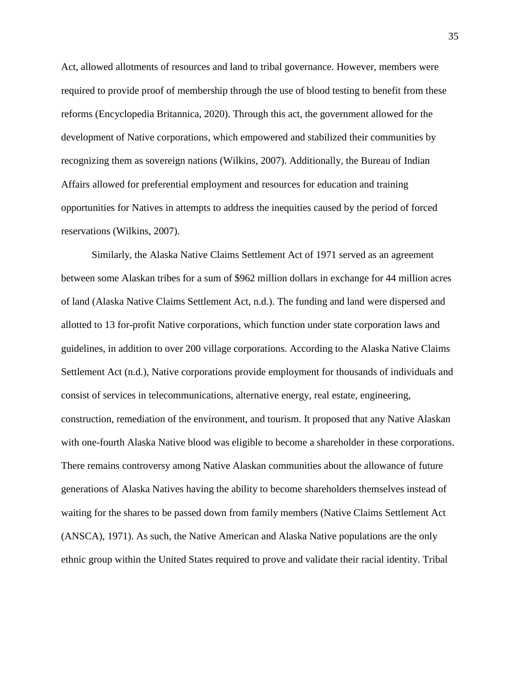Act, allowed allotments of resources and land to tribal governance. However, members were required to provide proof of membership through the use of blood testing to benefit from these reforms (Encyclopedia Britannica, 2020). Through this act, the government allowed for the development of Native corporations, which empowered and stabilized their communities by recognizing them as sovereign nations (Wilkins, 2007). Additionally, the Bureau of Indian Affairs allowed for preferential employment and resources for education and training opportunities for Natives in attempts to address the inequities caused by the period of forced reservations (Wilkins, 2007).

Similarly, the Alaska Native Claims Settlement Act of 1971 served as an agreement between some Alaskan tribes for a sum of \$962 million dollars in exchange for 44 million acres of land (Alaska Native Claims Settlement Act, n.d.). The funding and land were dispersed and allotted to 13 for-profit Native corporations, which function under state corporation laws and guidelines, in addition to over 200 village corporations. According to the Alaska Native Claims Settlement Act (n.d.), Native corporations provide employment for thousands of individuals and consist of services in telecommunications, alternative energy, real estate, engineering, construction, remediation of the environment, and tourism. It proposed that any Native Alaskan with one-fourth Alaska Native blood was eligible to become a shareholder in these corporations. There remains controversy among Native Alaskan communities about the allowance of future generations of Alaska Natives having the ability to become shareholders themselves instead of waiting for the shares to be passed down from family members (Native Claims Settlement Act (ANSCA), 1971). As such, the Native American and Alaska Native populations are the only ethnic group within the United States required to prove and validate their racial identity. Tribal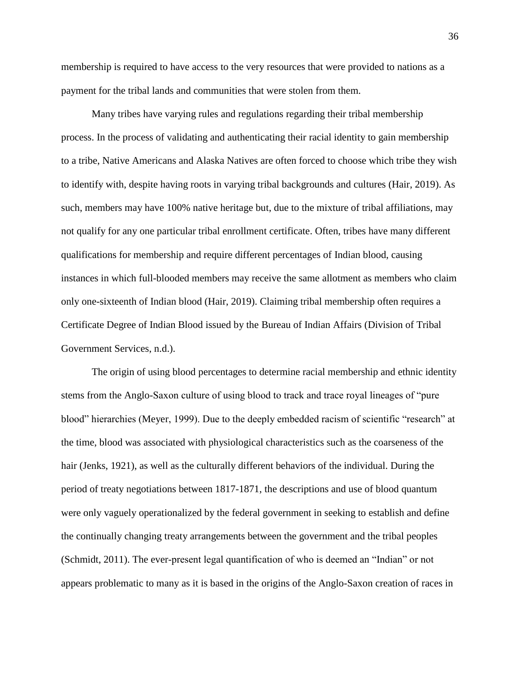membership is required to have access to the very resources that were provided to nations as a payment for the tribal lands and communities that were stolen from them.

Many tribes have varying rules and regulations regarding their tribal membership process. In the process of validating and authenticating their racial identity to gain membership to a tribe, Native Americans and Alaska Natives are often forced to choose which tribe they wish to identify with, despite having roots in varying tribal backgrounds and cultures (Hair, 2019). As such, members may have 100% native heritage but, due to the mixture of tribal affiliations, may not qualify for any one particular tribal enrollment certificate. Often, tribes have many different qualifications for membership and require different percentages of Indian blood, causing instances in which full-blooded members may receive the same allotment as members who claim only one-sixteenth of Indian blood (Hair, 2019). Claiming tribal membership often requires a Certificate Degree of Indian Blood issued by the Bureau of Indian Affairs (Division of Tribal Government Services, n.d.).

The origin of using blood percentages to determine racial membership and ethnic identity stems from the Anglo-Saxon culture of using blood to track and trace royal lineages of "pure blood" hierarchies (Meyer, 1999). Due to the deeply embedded racism of scientific "research" at the time, blood was associated with physiological characteristics such as the coarseness of the hair (Jenks, 1921), as well as the culturally different behaviors of the individual. During the period of treaty negotiations between 1817-1871, the descriptions and use of blood quantum were only vaguely operationalized by the federal government in seeking to establish and define the continually changing treaty arrangements between the government and the tribal peoples (Schmidt, 2011). The ever-present legal quantification of who is deemed an "Indian" or not appears problematic to many as it is based in the origins of the Anglo-Saxon creation of races in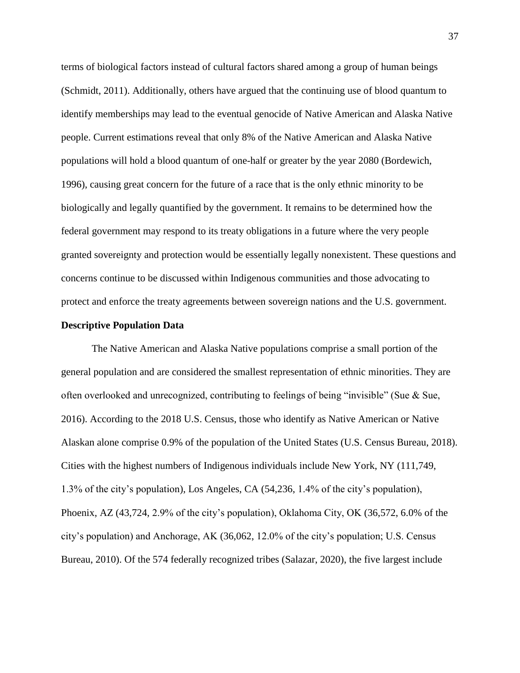terms of biological factors instead of cultural factors shared among a group of human beings (Schmidt, 2011). Additionally, others have argued that the continuing use of blood quantum to identify memberships may lead to the eventual genocide of Native American and Alaska Native people. Current estimations reveal that only 8% of the Native American and Alaska Native populations will hold a blood quantum of one-half or greater by the year 2080 (Bordewich, 1996), causing great concern for the future of a race that is the only ethnic minority to be biologically and legally quantified by the government. It remains to be determined how the federal government may respond to its treaty obligations in a future where the very people granted sovereignty and protection would be essentially legally nonexistent. These questions and concerns continue to be discussed within Indigenous communities and those advocating to protect and enforce the treaty agreements between sovereign nations and the U.S. government.

#### **Descriptive Population Data**

The Native American and Alaska Native populations comprise a small portion of the general population and are considered the smallest representation of ethnic minorities. They are often overlooked and unrecognized, contributing to feelings of being "invisible" (Sue  $\&$  Sue, 2016). According to the 2018 U.S. Census, those who identify as Native American or Native Alaskan alone comprise 0.9% of the population of the United States (U.S. Census Bureau, 2018). Cities with the highest numbers of Indigenous individuals include New York, NY (111,749, 1.3% of the city's population), Los Angeles, CA (54,236, 1.4% of the city's population), Phoenix, AZ (43,724, 2.9% of the city's population), Oklahoma City, OK (36,572, 6.0% of the city's population) and Anchorage, AK (36,062, 12.0% of the city's population; U.S. Census Bureau, 2010). Of the 574 federally recognized tribes (Salazar, 2020), the five largest include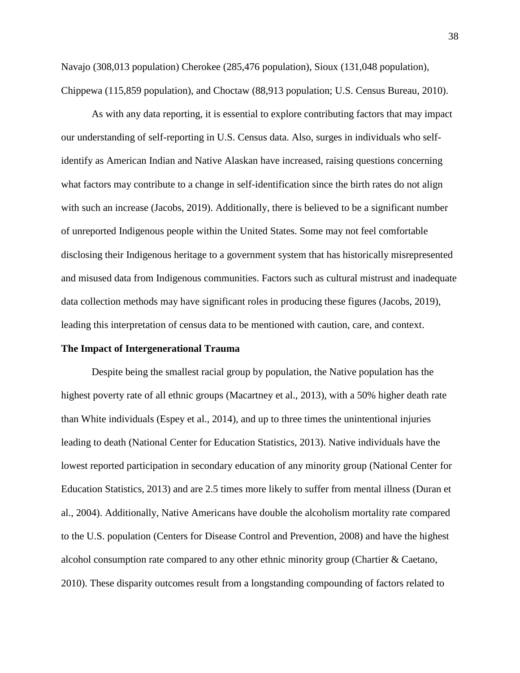Navajo (308,013 population) Cherokee (285,476 population), Sioux (131,048 population), Chippewa (115,859 population), and Choctaw (88,913 population; U.S. Census Bureau, 2010).

As with any data reporting, it is essential to explore contributing factors that may impact our understanding of self-reporting in U.S. Census data. Also, surges in individuals who selfidentify as American Indian and Native Alaskan have increased, raising questions concerning what factors may contribute to a change in self-identification since the birth rates do not align with such an increase (Jacobs, 2019). Additionally, there is believed to be a significant number of unreported Indigenous people within the United States. Some may not feel comfortable disclosing their Indigenous heritage to a government system that has historically misrepresented and misused data from Indigenous communities. Factors such as cultural mistrust and inadequate data collection methods may have significant roles in producing these figures (Jacobs, 2019), leading this interpretation of census data to be mentioned with caution, care, and context.

#### **The Impact of Intergenerational Trauma**

Despite being the smallest racial group by population, the Native population has the highest poverty rate of all ethnic groups (Macartney et al., 2013), with a 50% higher death rate than White individuals (Espey et al., 2014), and up to three times the unintentional injuries leading to death (National Center for Education Statistics, 2013). Native individuals have the lowest reported participation in secondary education of any minority group (National Center for Education Statistics, 2013) and are 2.5 times more likely to suffer from mental illness (Duran et al., 2004). Additionally, Native Americans have double the alcoholism mortality rate compared to the U.S. population (Centers for Disease Control and Prevention, 2008) and have the highest alcohol consumption rate compared to any other ethnic minority group (Chartier & Caetano, 2010). These disparity outcomes result from a longstanding compounding of factors related to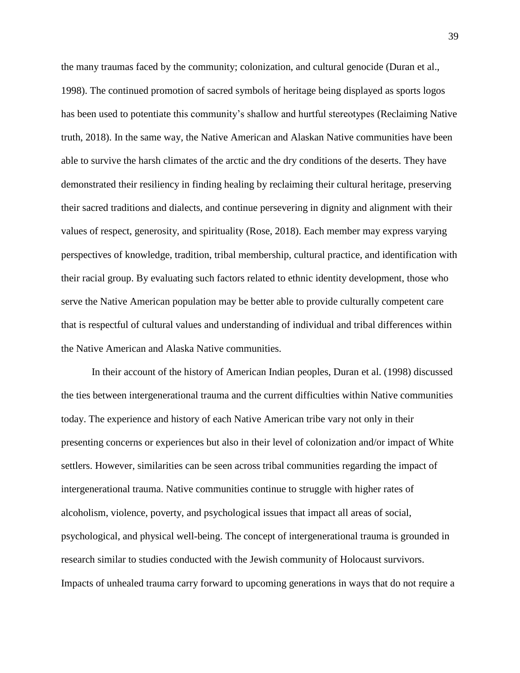the many traumas faced by the community; colonization, and cultural genocide (Duran et al., 1998). The continued promotion of sacred symbols of heritage being displayed as sports logos has been used to potentiate this community's shallow and hurtful stereotypes (Reclaiming Native truth, 2018). In the same way, the Native American and Alaskan Native communities have been able to survive the harsh climates of the arctic and the dry conditions of the deserts. They have demonstrated their resiliency in finding healing by reclaiming their cultural heritage, preserving their sacred traditions and dialects, and continue persevering in dignity and alignment with their values of respect, generosity, and spirituality (Rose, 2018). Each member may express varying perspectives of knowledge, tradition, tribal membership, cultural practice, and identification with their racial group. By evaluating such factors related to ethnic identity development, those who serve the Native American population may be better able to provide culturally competent care that is respectful of cultural values and understanding of individual and tribal differences within the Native American and Alaska Native communities.

In their account of the history of American Indian peoples, Duran et al. (1998) discussed the ties between intergenerational trauma and the current difficulties within Native communities today. The experience and history of each Native American tribe vary not only in their presenting concerns or experiences but also in their level of colonization and/or impact of White settlers. However, similarities can be seen across tribal communities regarding the impact of intergenerational trauma. Native communities continue to struggle with higher rates of alcoholism, violence, poverty, and psychological issues that impact all areas of social, psychological, and physical well-being. The concept of intergenerational trauma is grounded in research similar to studies conducted with the Jewish community of Holocaust survivors. Impacts of unhealed trauma carry forward to upcoming generations in ways that do not require a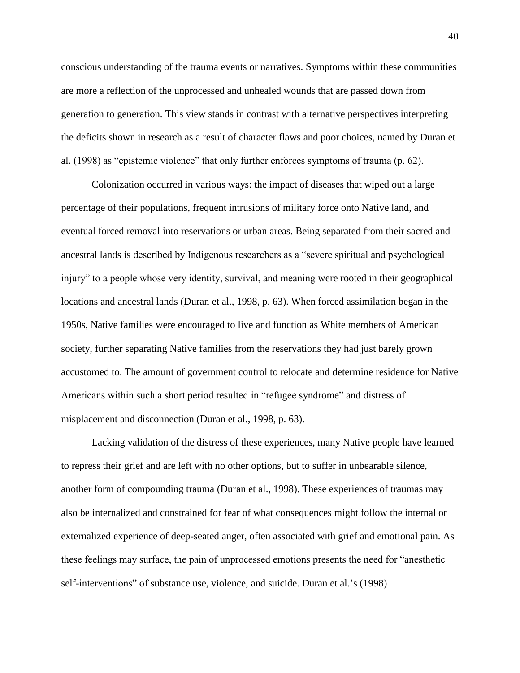conscious understanding of the trauma events or narratives. Symptoms within these communities are more a reflection of the unprocessed and unhealed wounds that are passed down from generation to generation. This view stands in contrast with alternative perspectives interpreting the deficits shown in research as a result of character flaws and poor choices, named by Duran et al. (1998) as "epistemic violence" that only further enforces symptoms of trauma (p. 62).

Colonization occurred in various ways: the impact of diseases that wiped out a large percentage of their populations, frequent intrusions of military force onto Native land, and eventual forced removal into reservations or urban areas. Being separated from their sacred and ancestral lands is described by Indigenous researchers as a "severe spiritual and psychological injury" to a people whose very identity, survival, and meaning were rooted in their geographical locations and ancestral lands (Duran et al., 1998, p. 63). When forced assimilation began in the 1950s, Native families were encouraged to live and function as White members of American society, further separating Native families from the reservations they had just barely grown accustomed to. The amount of government control to relocate and determine residence for Native Americans within such a short period resulted in "refugee syndrome" and distress of misplacement and disconnection (Duran et al., 1998, p. 63).

Lacking validation of the distress of these experiences, many Native people have learned to repress their grief and are left with no other options, but to suffer in unbearable silence, another form of compounding trauma (Duran et al., 1998). These experiences of traumas may also be internalized and constrained for fear of what consequences might follow the internal or externalized experience of deep-seated anger, often associated with grief and emotional pain. As these feelings may surface, the pain of unprocessed emotions presents the need for "anesthetic self-interventions" of substance use, violence, and suicide. Duran et al.'s (1998)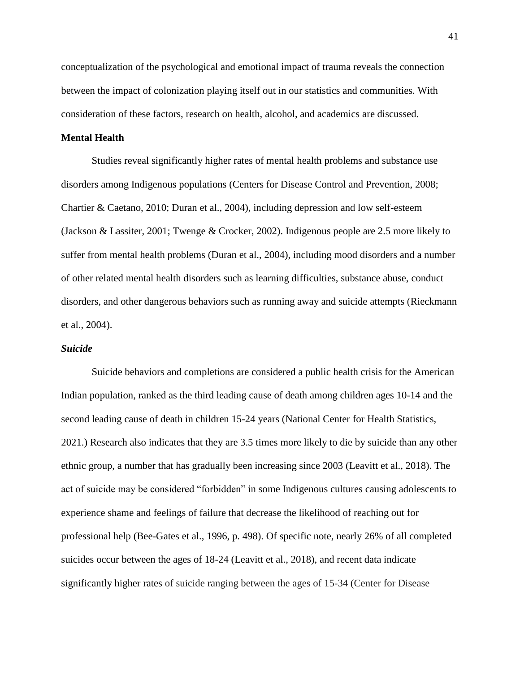conceptualization of the psychological and emotional impact of trauma reveals the connection between the impact of colonization playing itself out in our statistics and communities. With consideration of these factors, research on health, alcohol, and academics are discussed.

### **Mental Health**

Studies reveal significantly higher rates of mental health problems and substance use disorders among Indigenous populations (Centers for Disease Control and Prevention, 2008; Chartier & Caetano, 2010; Duran et al., 2004), including depression and low self-esteem (Jackson & Lassiter, 2001; Twenge & Crocker, 2002). Indigenous people are 2.5 more likely to suffer from mental health problems (Duran et al., 2004), including mood disorders and a number of other related mental health disorders such as learning difficulties, substance abuse, conduct disorders, and other dangerous behaviors such as running away and suicide attempts (Rieckmann et al., 2004).

#### *Suicide*

Suicide behaviors and completions are considered a public health crisis for the American Indian population, ranked as the third leading cause of death among children ages 10-14 and the second leading cause of death in children 15-24 years (National Center for Health Statistics, 2021.) Research also indicates that they are 3.5 times more likely to die by suicide than any other ethnic group, a number that has gradually been increasing since 2003 (Leavitt et al., 2018). The act of suicide may be considered "forbidden" in some Indigenous cultures causing adolescents to experience shame and feelings of failure that decrease the likelihood of reaching out for professional help (Bee-Gates et al., 1996, p. 498). Of specific note, nearly 26% of all completed suicides occur between the ages of 18-24 (Leavitt et al., 2018), and recent data indicate significantly higher rates of suicide ranging between the ages of 15-34 (Center for Disease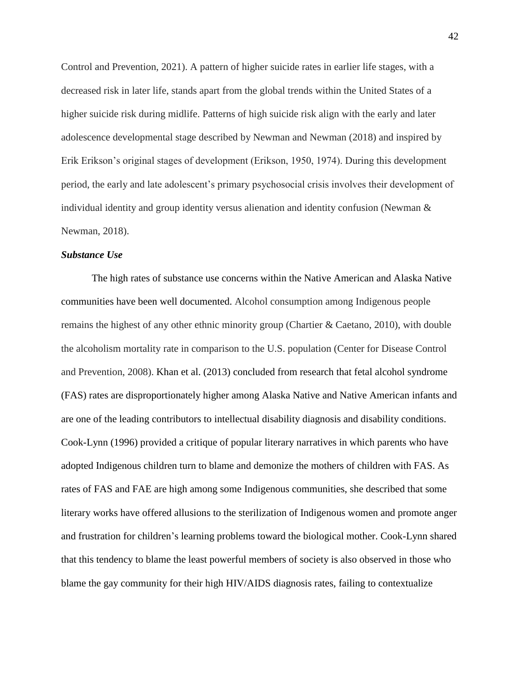Control and Prevention, 2021). A pattern of higher suicide rates in earlier life stages, with a decreased risk in later life, stands apart from the global trends within the United States of a higher suicide risk during midlife. Patterns of high suicide risk align with the early and later adolescence developmental stage described by Newman and Newman (2018) and inspired by Erik Erikson's original stages of development (Erikson, 1950, 1974). During this development period, the early and late adolescent's primary psychosocial crisis involves their development of individual identity and group identity versus alienation and identity confusion (Newman & Newman, 2018).

#### *Substance Use*

The high rates of substance use concerns within the Native American and Alaska Native communities have been well documented. Alcohol consumption among Indigenous people remains the highest of any other ethnic minority group (Chartier & Caetano, 2010), with double the alcoholism mortality rate in comparison to the U.S. population (Center for Disease Control and Prevention, 2008). Khan et al. (2013) concluded from research that fetal alcohol syndrome (FAS) rates are disproportionately higher among Alaska Native and Native American infants and are one of the leading contributors to intellectual disability diagnosis and disability conditions. Cook-Lynn (1996) provided a critique of popular literary narratives in which parents who have adopted Indigenous children turn to blame and demonize the mothers of children with FAS. As rates of FAS and FAE are high among some Indigenous communities, she described that some literary works have offered allusions to the sterilization of Indigenous women and promote anger and frustration for children's learning problems toward the biological mother. Cook-Lynn shared that this tendency to blame the least powerful members of society is also observed in those who blame the gay community for their high HIV/AIDS diagnosis rates, failing to contextualize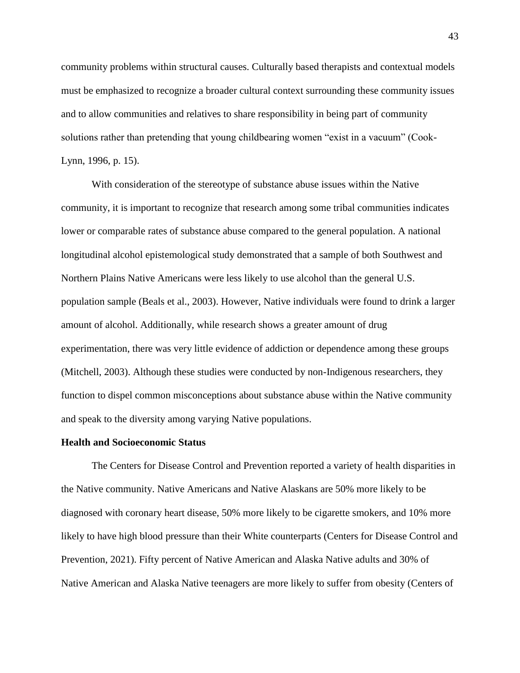community problems within structural causes. Culturally based therapists and contextual models must be emphasized to recognize a broader cultural context surrounding these community issues and to allow communities and relatives to share responsibility in being part of community solutions rather than pretending that young childbearing women "exist in a vacuum" (Cook-Lynn, 1996, p. 15).

With consideration of the stereotype of substance abuse issues within the Native community, it is important to recognize that research among some tribal communities indicates lower or comparable rates of substance abuse compared to the general population. A national longitudinal alcohol epistemological study demonstrated that a sample of both Southwest and Northern Plains Native Americans were less likely to use alcohol than the general U.S. population sample (Beals et al., 2003). However, Native individuals were found to drink a larger amount of alcohol. Additionally, while research shows a greater amount of drug experimentation, there was very little evidence of addiction or dependence among these groups (Mitchell, 2003). Although these studies were conducted by non-Indigenous researchers, they function to dispel common misconceptions about substance abuse within the Native community and speak to the diversity among varying Native populations.

#### **Health and Socioeconomic Status**

The Centers for Disease Control and Prevention reported a variety of health disparities in the Native community. Native Americans and Native Alaskans are 50% more likely to be diagnosed with coronary heart disease, 50% more likely to be cigarette smokers, and 10% more likely to have high blood pressure than their White counterparts (Centers for Disease Control and Prevention, 2021). Fifty percent of Native American and Alaska Native adults and 30% of Native American and Alaska Native teenagers are more likely to suffer from obesity (Centers of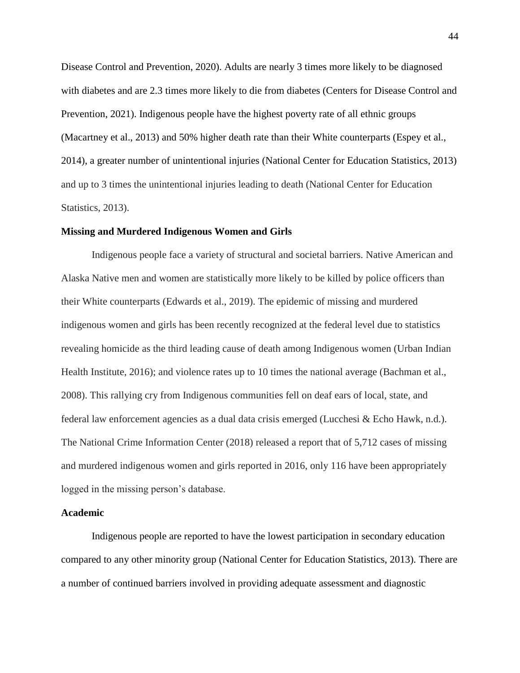Disease Control and Prevention, 2020). Adults are nearly 3 times more likely to be diagnosed with diabetes and are 2.3 times more likely to die from diabetes (Centers for Disease Control and Prevention, 2021). Indigenous people have the highest poverty rate of all ethnic groups (Macartney et al., 2013) and 50% higher death rate than their White counterparts (Espey et al., 2014), a greater number of unintentional injuries (National Center for Education Statistics, 2013) and up to 3 times the unintentional injuries leading to death (National Center for Education Statistics, 2013).

#### **Missing and Murdered Indigenous Women and Girls**

Indigenous people face a variety of structural and societal barriers. Native American and Alaska Native men and women are statistically more likely to be killed by police officers than their White counterparts (Edwards et al., 2019). The epidemic of missing and murdered indigenous women and girls has been recently recognized at the federal level due to statistics revealing homicide as the third leading cause of death among Indigenous women (Urban Indian Health Institute, 2016); and violence rates up to 10 times the national average (Bachman et al., 2008). This rallying cry from Indigenous communities fell on deaf ears of local, state, and federal law enforcement agencies as a dual data crisis emerged (Lucchesi & Echo Hawk, n.d.). The National Crime Information Center (2018) released a report that of 5,712 cases of missing and murdered indigenous women and girls reported in 2016, only 116 have been appropriately logged in the missing person's database.

### **Academic**

Indigenous people are reported to have the lowest participation in secondary education compared to any other minority group (National Center for Education Statistics, 2013). There are a number of continued barriers involved in providing adequate assessment and diagnostic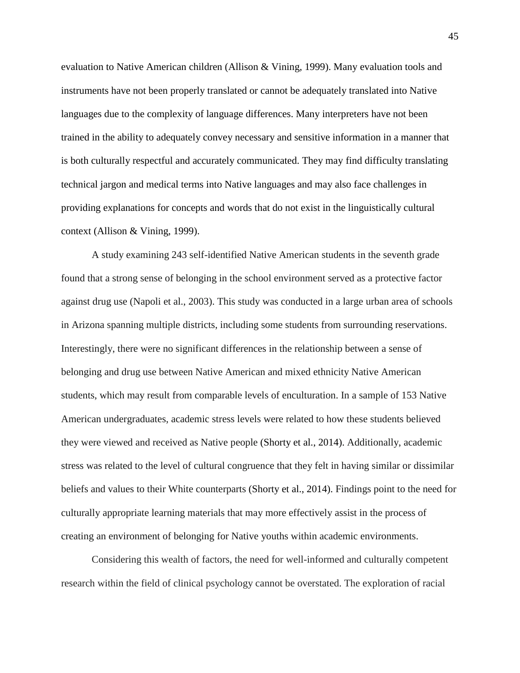evaluation to Native American children (Allison & Vining, 1999). Many evaluation tools and instruments have not been properly translated or cannot be adequately translated into Native languages due to the complexity of language differences. Many interpreters have not been trained in the ability to adequately convey necessary and sensitive information in a manner that is both culturally respectful and accurately communicated. They may find difficulty translating technical jargon and medical terms into Native languages and may also face challenges in providing explanations for concepts and words that do not exist in the linguistically cultural context (Allison & Vining, 1999).

A study examining 243 self-identified Native American students in the seventh grade found that a strong sense of belonging in the school environment served as a protective factor against drug use (Napoli et al., 2003). This study was conducted in a large urban area of schools in Arizona spanning multiple districts, including some students from surrounding reservations. Interestingly, there were no significant differences in the relationship between a sense of belonging and drug use between Native American and mixed ethnicity Native American students, which may result from comparable levels of enculturation. In a sample of 153 Native American undergraduates, academic stress levels were related to how these students believed they were viewed and received as Native people (Shorty et al., 2014). Additionally, academic stress was related to the level of cultural congruence that they felt in having similar or dissimilar beliefs and values to their White counterparts (Shorty et al., 2014). Findings point to the need for culturally appropriate learning materials that may more effectively assist in the process of creating an environment of belonging for Native youths within academic environments.

Considering this wealth of factors, the need for well-informed and culturally competent research within the field of clinical psychology cannot be overstated. The exploration of racial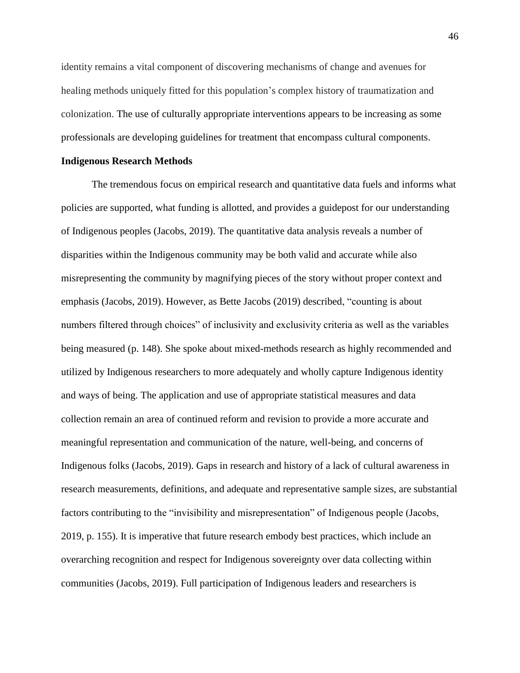identity remains a vital component of discovering mechanisms of change and avenues for healing methods uniquely fitted for this population's complex history of traumatization and colonization. The use of culturally appropriate interventions appears to be increasing as some professionals are developing guidelines for treatment that encompass cultural components.

#### **Indigenous Research Methods**

The tremendous focus on empirical research and quantitative data fuels and informs what policies are supported, what funding is allotted, and provides a guidepost for our understanding of Indigenous peoples (Jacobs, 2019). The quantitative data analysis reveals a number of disparities within the Indigenous community may be both valid and accurate while also misrepresenting the community by magnifying pieces of the story without proper context and emphasis (Jacobs, 2019). However, as Bette Jacobs (2019) described, "counting is about numbers filtered through choices" of inclusivity and exclusivity criteria as well as the variables being measured (p. 148). She spoke about mixed-methods research as highly recommended and utilized by Indigenous researchers to more adequately and wholly capture Indigenous identity and ways of being. The application and use of appropriate statistical measures and data collection remain an area of continued reform and revision to provide a more accurate and meaningful representation and communication of the nature, well-being, and concerns of Indigenous folks (Jacobs, 2019). Gaps in research and history of a lack of cultural awareness in research measurements, definitions, and adequate and representative sample sizes, are substantial factors contributing to the "invisibility and misrepresentation" of Indigenous people (Jacobs, 2019, p. 155). It is imperative that future research embody best practices, which include an overarching recognition and respect for Indigenous sovereignty over data collecting within communities (Jacobs, 2019). Full participation of Indigenous leaders and researchers is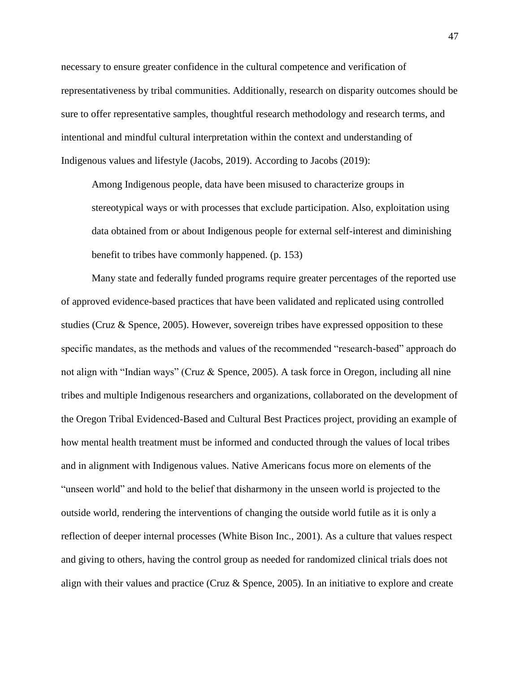necessary to ensure greater confidence in the cultural competence and verification of representativeness by tribal communities. Additionally, research on disparity outcomes should be sure to offer representative samples, thoughtful research methodology and research terms, and intentional and mindful cultural interpretation within the context and understanding of Indigenous values and lifestyle (Jacobs, 2019). According to Jacobs (2019):

Among Indigenous people, data have been misused to characterize groups in stereotypical ways or with processes that exclude participation. Also, exploitation using data obtained from or about Indigenous people for external self-interest and diminishing benefit to tribes have commonly happened. (p. 153)

Many state and federally funded programs require greater percentages of the reported use of approved evidence-based practices that have been validated and replicated using controlled studies (Cruz & Spence, 2005). However, sovereign tribes have expressed opposition to these specific mandates, as the methods and values of the recommended "research-based" approach do not align with "Indian ways" (Cruz & Spence, 2005). A task force in Oregon, including all nine tribes and multiple Indigenous researchers and organizations, collaborated on the development of the Oregon Tribal Evidenced-Based and Cultural Best Practices project, providing an example of how mental health treatment must be informed and conducted through the values of local tribes and in alignment with Indigenous values. Native Americans focus more on elements of the "unseen world" and hold to the belief that disharmony in the unseen world is projected to the outside world, rendering the interventions of changing the outside world futile as it is only a reflection of deeper internal processes (White Bison Inc., 2001). As a culture that values respect and giving to others, having the control group as needed for randomized clinical trials does not align with their values and practice (Cruz & Spence, 2005). In an initiative to explore and create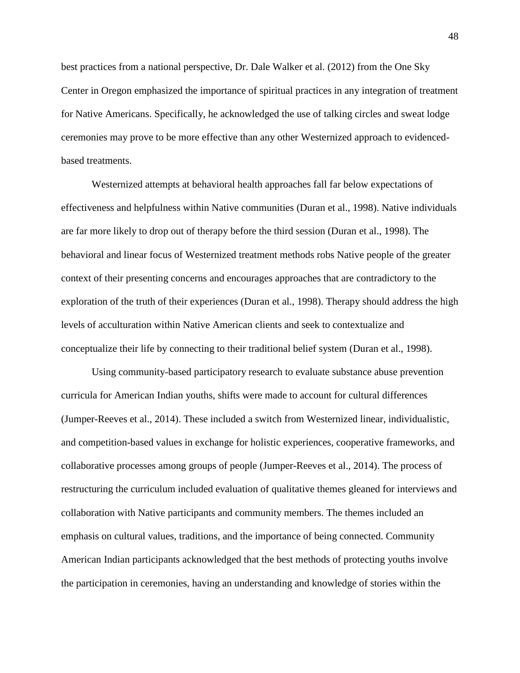best practices from a national perspective, Dr. Dale Walker et al. (2012) from the One Sky Center in Oregon emphasized the importance of spiritual practices in any integration of treatment for Native Americans. Specifically, he acknowledged the use of talking circles and sweat lodge ceremonies may prove to be more effective than any other Westernized approach to evidencedbased treatments.

Westernized attempts at behavioral health approaches fall far below expectations of effectiveness and helpfulness within Native communities (Duran et al., 1998). Native individuals are far more likely to drop out of therapy before the third session (Duran et al., 1998). The behavioral and linear focus of Westernized treatment methods robs Native people of the greater context of their presenting concerns and encourages approaches that are contradictory to the exploration of the truth of their experiences (Duran et al., 1998). Therapy should address the high levels of acculturation within Native American clients and seek to contextualize and conceptualize their life by connecting to their traditional belief system (Duran et al., 1998).

Using community-based participatory research to evaluate substance abuse prevention curricula for American Indian youths, shifts were made to account for cultural differences (Jumper-Reeves et al., 2014). These included a switch from Westernized linear, individualistic, and competition-based values in exchange for holistic experiences, cooperative frameworks, and collaborative processes among groups of people (Jumper-Reeves et al., 2014). The process of restructuring the curriculum included evaluation of qualitative themes gleaned for interviews and collaboration with Native participants and community members. The themes included an emphasis on cultural values, traditions, and the importance of being connected. Community American Indian participants acknowledged that the best methods of protecting youths involve the participation in ceremonies, having an understanding and knowledge of stories within the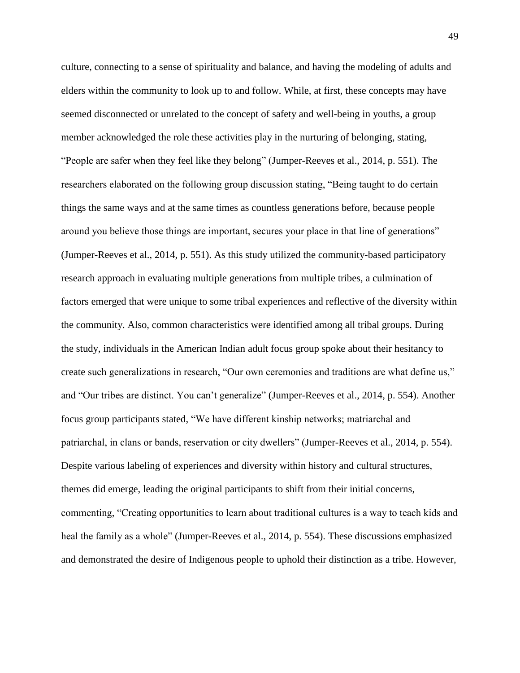culture, connecting to a sense of spirituality and balance, and having the modeling of adults and elders within the community to look up to and follow. While, at first, these concepts may have seemed disconnected or unrelated to the concept of safety and well-being in youths, a group member acknowledged the role these activities play in the nurturing of belonging, stating, "People are safer when they feel like they belong" (Jumper-Reeves et al., 2014, p. 551). The researchers elaborated on the following group discussion stating, "Being taught to do certain things the same ways and at the same times as countless generations before, because people around you believe those things are important, secures your place in that line of generations" (Jumper-Reeves et al., 2014, p. 551). As this study utilized the community-based participatory research approach in evaluating multiple generations from multiple tribes, a culmination of factors emerged that were unique to some tribal experiences and reflective of the diversity within the community. Also, common characteristics were identified among all tribal groups. During the study, individuals in the American Indian adult focus group spoke about their hesitancy to create such generalizations in research, "Our own ceremonies and traditions are what define us," and "Our tribes are distinct. You can't generalize" (Jumper-Reeves et al., 2014, p. 554). Another focus group participants stated, "We have different kinship networks; matriarchal and patriarchal, in clans or bands, reservation or city dwellers" (Jumper-Reeves et al., 2014, p. 554). Despite various labeling of experiences and diversity within history and cultural structures, themes did emerge, leading the original participants to shift from their initial concerns, commenting, "Creating opportunities to learn about traditional cultures is a way to teach kids and heal the family as a whole" (Jumper-Reeves et al., 2014, p. 554). These discussions emphasized and demonstrated the desire of Indigenous people to uphold their distinction as a tribe. However,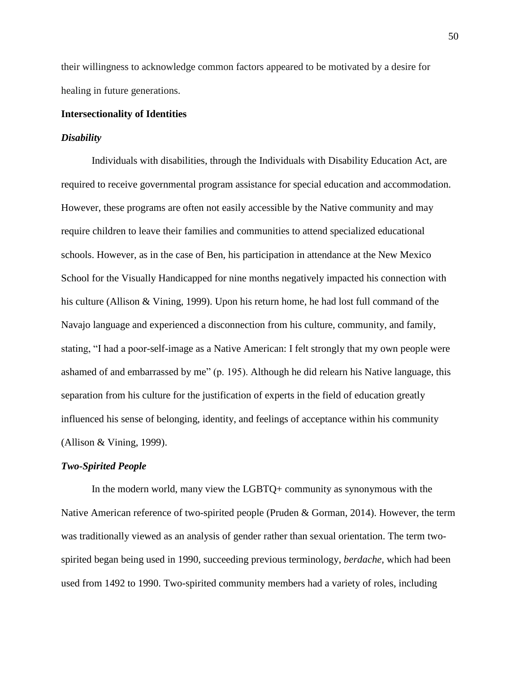their willingness to acknowledge common factors appeared to be motivated by a desire for healing in future generations.

## **Intersectionality of Identities**

#### *Disability*

Individuals with disabilities, through the Individuals with Disability Education Act, are required to receive governmental program assistance for special education and accommodation. However, these programs are often not easily accessible by the Native community and may require children to leave their families and communities to attend specialized educational schools. However, as in the case of Ben, his participation in attendance at the New Mexico School for the Visually Handicapped for nine months negatively impacted his connection with his culture (Allison & Vining, 1999). Upon his return home, he had lost full command of the Navajo language and experienced a disconnection from his culture, community, and family, stating, "I had a poor-self-image as a Native American: I felt strongly that my own people were ashamed of and embarrassed by me" (p. 195). Although he did relearn his Native language, this separation from his culture for the justification of experts in the field of education greatly influenced his sense of belonging, identity, and feelings of acceptance within his community (Allison & Vining, 1999).

#### *Two-Spirited People*

In the modern world, many view the LGBTQ+ community as synonymous with the Native American reference of two-spirited people (Pruden & Gorman, 2014). However, the term was traditionally viewed as an analysis of gender rather than sexual orientation. The term twospirited began being used in 1990, succeeding previous terminology, *berdache,* which had been used from 1492 to 1990. Two-spirited community members had a variety of roles, including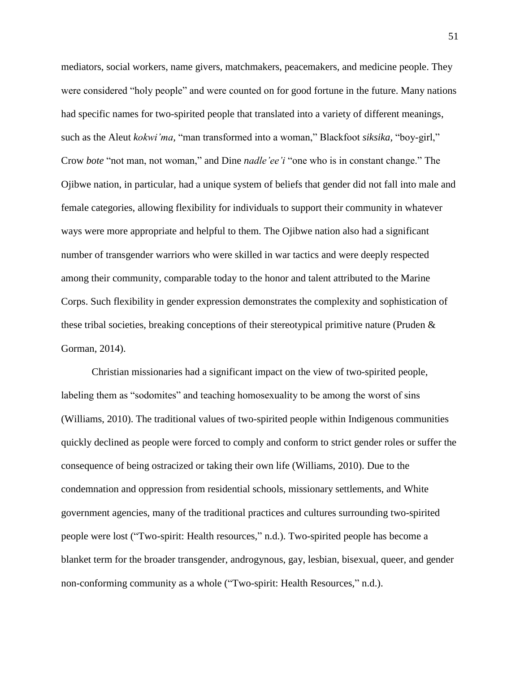mediators, social workers, name givers, matchmakers, peacemakers, and medicine people. They were considered "holy people" and were counted on for good fortune in the future. Many nations had specific names for two-spirited people that translated into a variety of different meanings, such as the Aleut *kokwi'ma,* "man transformed into a woman," Blackfoot *siksika,* "boy-girl," Crow *bote* "not man, not woman," and Dine *nadle'ee'i* "one who is in constant change." The Ojibwe nation, in particular, had a unique system of beliefs that gender did not fall into male and female categories, allowing flexibility for individuals to support their community in whatever ways were more appropriate and helpful to them. The Ojibwe nation also had a significant number of transgender warriors who were skilled in war tactics and were deeply respected among their community, comparable today to the honor and talent attributed to the Marine Corps. Such flexibility in gender expression demonstrates the complexity and sophistication of these tribal societies, breaking conceptions of their stereotypical primitive nature (Pruden & Gorman, 2014).

Christian missionaries had a significant impact on the view of two-spirited people, labeling them as "sodomites" and teaching homosexuality to be among the worst of sins (Williams, 2010). The traditional values of two-spirited people within Indigenous communities quickly declined as people were forced to comply and conform to strict gender roles or suffer the consequence of being ostracized or taking their own life (Williams, 2010). Due to the condemnation and oppression from residential schools, missionary settlements, and White government agencies, many of the traditional practices and cultures surrounding two-spirited people were lost ("Two-spirit: Health resources," n.d.). Two-spirited people has become a blanket term for the broader transgender, androgynous, gay, lesbian, bisexual, queer, and gender non-conforming community as a whole ("Two-spirit: Health Resources," n.d.).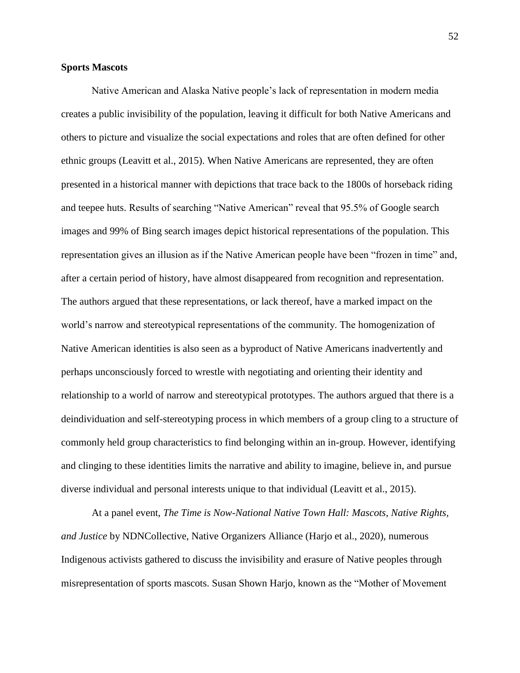### **Sports Mascots**

Native American and Alaska Native people's lack of representation in modern media creates a public invisibility of the population, leaving it difficult for both Native Americans and others to picture and visualize the social expectations and roles that are often defined for other ethnic groups (Leavitt et al., 2015). When Native Americans are represented, they are often presented in a historical manner with depictions that trace back to the 1800s of horseback riding and teepee huts. Results of searching "Native American" reveal that 95.5% of Google search images and 99% of Bing search images depict historical representations of the population. This representation gives an illusion as if the Native American people have been "frozen in time" and, after a certain period of history, have almost disappeared from recognition and representation. The authors argued that these representations, or lack thereof, have a marked impact on the world's narrow and stereotypical representations of the community. The homogenization of Native American identities is also seen as a byproduct of Native Americans inadvertently and perhaps unconsciously forced to wrestle with negotiating and orienting their identity and relationship to a world of narrow and stereotypical prototypes. The authors argued that there is a deindividuation and self-stereotyping process in which members of a group cling to a structure of commonly held group characteristics to find belonging within an in-group. However, identifying and clinging to these identities limits the narrative and ability to imagine, believe in, and pursue diverse individual and personal interests unique to that individual (Leavitt et al., 2015).

At a panel event, *The Time is Now-National Native Town Hall: Mascots, Native Rights, and Justice* by NDNCollective, Native Organizers Alliance (Harjo et al., 2020), numerous Indigenous activists gathered to discuss the invisibility and erasure of Native peoples through misrepresentation of sports mascots. Susan Shown Harjo, known as the "Mother of Movement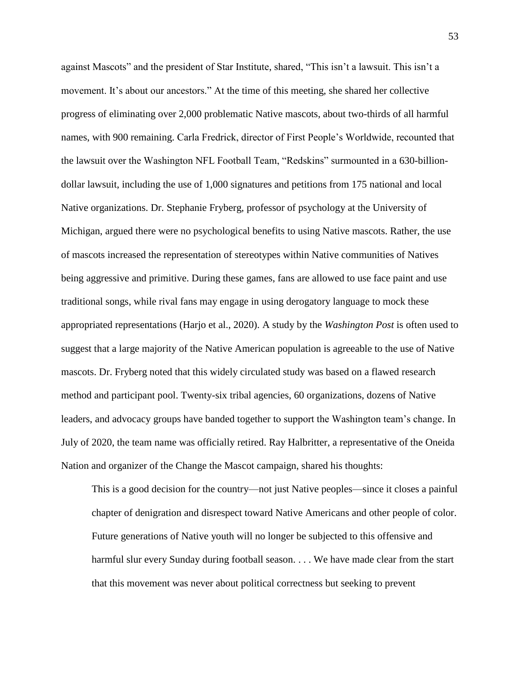against Mascots" and the president of Star Institute, shared, "This isn't a lawsuit. This isn't a movement. It's about our ancestors." At the time of this meeting, she shared her collective progress of eliminating over 2,000 problematic Native mascots, about two-thirds of all harmful names, with 900 remaining. Carla Fredrick, director of First People's Worldwide, recounted that the lawsuit over the Washington NFL Football Team, "Redskins" surmounted in a 630-billiondollar lawsuit, including the use of 1,000 signatures and petitions from 175 national and local Native organizations. Dr. Stephanie Fryberg, professor of psychology at the University of Michigan, argued there were no psychological benefits to using Native mascots. Rather, the use of mascots increased the representation of stereotypes within Native communities of Natives being aggressive and primitive. During these games, fans are allowed to use face paint and use traditional songs, while rival fans may engage in using derogatory language to mock these appropriated representations (Harjo et al., 2020). A study by the *Washington Post* is often used to suggest that a large majority of the Native American population is agreeable to the use of Native mascots. Dr. Fryberg noted that this widely circulated study was based on a flawed research method and participant pool. Twenty-six tribal agencies, 60 organizations, dozens of Native leaders, and advocacy groups have banded together to support the Washington team's change. In July of 2020, the team name was officially retired. Ray Halbritter, a representative of the Oneida Nation and organizer of the Change the Mascot campaign, shared his thoughts:

This is a good decision for the country—not just Native peoples—since it closes a painful chapter of denigration and disrespect toward Native Americans and other people of color. Future generations of Native youth will no longer be subjected to this offensive and harmful slur every Sunday during football season. . . . We have made clear from the start that this movement was never about political correctness but seeking to prevent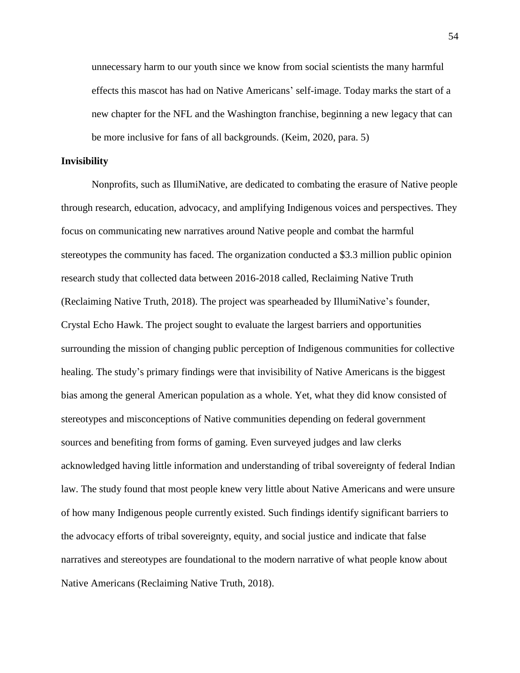unnecessary harm to our youth since we know from social scientists the many harmful effects this mascot has had on Native Americans' self-image. Today marks the start of a new chapter for the NFL and the Washington franchise, beginning a new legacy that can be more inclusive for fans of all backgrounds. (Keim, 2020, para. 5)

#### **Invisibility**

Nonprofits, such as IllumiNative, are dedicated to combating the erasure of Native people through research, education, advocacy, and amplifying Indigenous voices and perspectives. They focus on communicating new narratives around Native people and combat the harmful stereotypes the community has faced. The organization conducted a \$3.3 million public opinion research study that collected data between 2016-2018 called, Reclaiming Native Truth (Reclaiming Native Truth, 2018). The project was spearheaded by IllumiNative's founder, Crystal Echo Hawk. The project sought to evaluate the largest barriers and opportunities surrounding the mission of changing public perception of Indigenous communities for collective healing. The study's primary findings were that invisibility of Native Americans is the biggest bias among the general American population as a whole. Yet, what they did know consisted of stereotypes and misconceptions of Native communities depending on federal government sources and benefiting from forms of gaming. Even surveyed judges and law clerks acknowledged having little information and understanding of tribal sovereignty of federal Indian law. The study found that most people knew very little about Native Americans and were unsure of how many Indigenous people currently existed. Such findings identify significant barriers to the advocacy efforts of tribal sovereignty, equity, and social justice and indicate that false narratives and stereotypes are foundational to the modern narrative of what people know about Native Americans (Reclaiming Native Truth, 2018).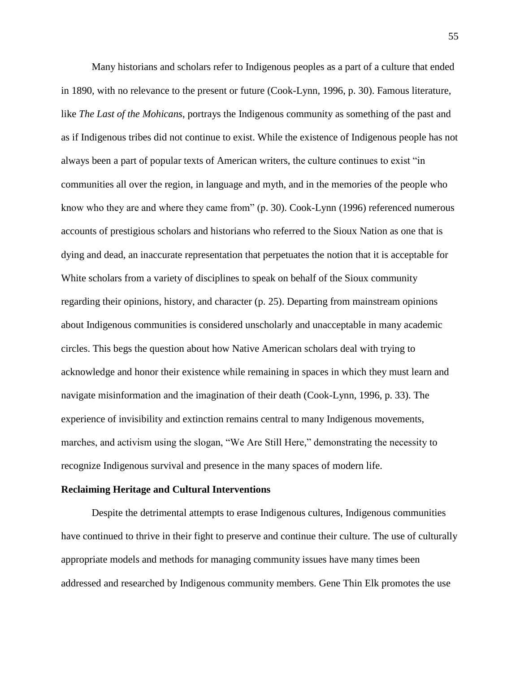Many historians and scholars refer to Indigenous peoples as a part of a culture that ended in 1890, with no relevance to the present or future (Cook-Lynn, 1996, p. 30). Famous literature, like *The Last of the Mohicans*, portrays the Indigenous community as something of the past and as if Indigenous tribes did not continue to exist. While the existence of Indigenous people has not always been a part of popular texts of American writers, the culture continues to exist "in communities all over the region, in language and myth, and in the memories of the people who know who they are and where they came from" (p. 30). Cook-Lynn (1996) referenced numerous accounts of prestigious scholars and historians who referred to the Sioux Nation as one that is dying and dead, an inaccurate representation that perpetuates the notion that it is acceptable for White scholars from a variety of disciplines to speak on behalf of the Sioux community regarding their opinions, history, and character (p. 25). Departing from mainstream opinions about Indigenous communities is considered unscholarly and unacceptable in many academic circles. This begs the question about how Native American scholars deal with trying to acknowledge and honor their existence while remaining in spaces in which they must learn and navigate misinformation and the imagination of their death (Cook-Lynn, 1996, p. 33). The experience of invisibility and extinction remains central to many Indigenous movements, marches, and activism using the slogan, "We Are Still Here," demonstrating the necessity to recognize Indigenous survival and presence in the many spaces of modern life.

#### **Reclaiming Heritage and Cultural Interventions**

Despite the detrimental attempts to erase Indigenous cultures, Indigenous communities have continued to thrive in their fight to preserve and continue their culture. The use of culturally appropriate models and methods for managing community issues have many times been addressed and researched by Indigenous community members. Gene Thin Elk promotes the use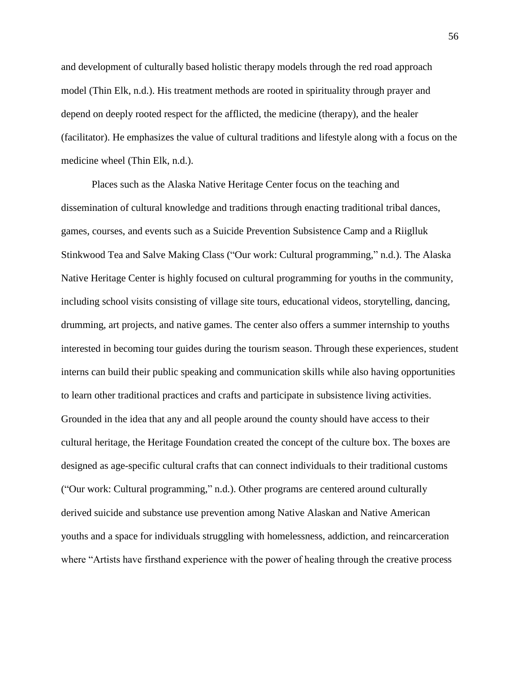and development of culturally based holistic therapy models through the red road approach model (Thin Elk, n.d.). His treatment methods are rooted in spirituality through prayer and depend on deeply rooted respect for the afflicted, the medicine (therapy), and the healer (facilitator). He emphasizes the value of cultural traditions and lifestyle along with a focus on the medicine wheel (Thin Elk, n.d.).

Places such as the Alaska Native Heritage Center focus on the teaching and dissemination of cultural knowledge and traditions through enacting traditional tribal dances, games, courses, and events such as a Suicide Prevention Subsistence Camp and a Riiglluk Stinkwood Tea and Salve Making Class ("Our work: Cultural programming," n.d.). The Alaska Native Heritage Center is highly focused on cultural programming for youths in the community, including school visits consisting of village site tours, educational videos, storytelling, dancing, drumming, art projects, and native games. The center also offers a summer internship to youths interested in becoming tour guides during the tourism season. Through these experiences, student interns can build their public speaking and communication skills while also having opportunities to learn other traditional practices and crafts and participate in subsistence living activities. Grounded in the idea that any and all people around the county should have access to their cultural heritage, the Heritage Foundation created the concept of the culture box. The boxes are designed as age-specific cultural crafts that can connect individuals to their traditional customs ("Our work: Cultural programming," n.d.). Other programs are centered around culturally derived suicide and substance use prevention among Native Alaskan and Native American youths and a space for individuals struggling with homelessness, addiction, and reincarceration where "Artists have firsthand experience with the power of healing through the creative process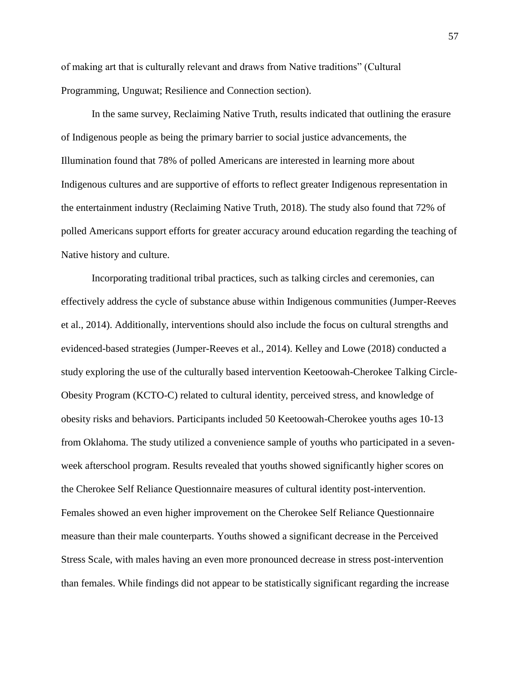of making art that is culturally relevant and draws from Native traditions" (Cultural Programming, Unguwat; Resilience and Connection section).

In the same survey, Reclaiming Native Truth, results indicated that outlining the erasure of Indigenous people as being the primary barrier to social justice advancements, the Illumination found that 78% of polled Americans are interested in learning more about Indigenous cultures and are supportive of efforts to reflect greater Indigenous representation in the entertainment industry (Reclaiming Native Truth, 2018). The study also found that 72% of polled Americans support efforts for greater accuracy around education regarding the teaching of Native history and culture.

Incorporating traditional tribal practices, such as talking circles and ceremonies, can effectively address the cycle of substance abuse within Indigenous communities (Jumper-Reeves et al., 2014). Additionally, interventions should also include the focus on cultural strengths and evidenced-based strategies (Jumper-Reeves et al., 2014). Kelley and Lowe (2018) conducted a study exploring the use of the culturally based intervention Keetoowah-Cherokee Talking Circle-Obesity Program (KCTO-C) related to cultural identity, perceived stress, and knowledge of obesity risks and behaviors. Participants included 50 Keetoowah-Cherokee youths ages 10-13 from Oklahoma. The study utilized a convenience sample of youths who participated in a sevenweek afterschool program. Results revealed that youths showed significantly higher scores on the Cherokee Self Reliance Questionnaire measures of cultural identity post-intervention. Females showed an even higher improvement on the Cherokee Self Reliance Questionnaire measure than their male counterparts. Youths showed a significant decrease in the Perceived Stress Scale, with males having an even more pronounced decrease in stress post-intervention than females. While findings did not appear to be statistically significant regarding the increase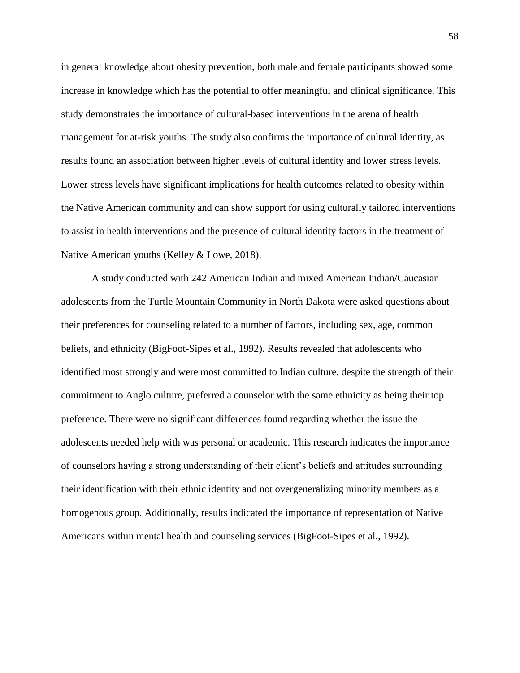in general knowledge about obesity prevention, both male and female participants showed some increase in knowledge which has the potential to offer meaningful and clinical significance. This study demonstrates the importance of cultural-based interventions in the arena of health management for at-risk youths. The study also confirms the importance of cultural identity, as results found an association between higher levels of cultural identity and lower stress levels. Lower stress levels have significant implications for health outcomes related to obesity within the Native American community and can show support for using culturally tailored interventions to assist in health interventions and the presence of cultural identity factors in the treatment of Native American youths (Kelley & Lowe, 2018).

A study conducted with 242 American Indian and mixed American Indian/Caucasian adolescents from the Turtle Mountain Community in North Dakota were asked questions about their preferences for counseling related to a number of factors, including sex, age, common beliefs, and ethnicity (BigFoot-Sipes et al., 1992). Results revealed that adolescents who identified most strongly and were most committed to Indian culture, despite the strength of their commitment to Anglo culture, preferred a counselor with the same ethnicity as being their top preference. There were no significant differences found regarding whether the issue the adolescents needed help with was personal or academic. This research indicates the importance of counselors having a strong understanding of their client's beliefs and attitudes surrounding their identification with their ethnic identity and not overgeneralizing minority members as a homogenous group. Additionally, results indicated the importance of representation of Native Americans within mental health and counseling services (BigFoot-Sipes et al., 1992).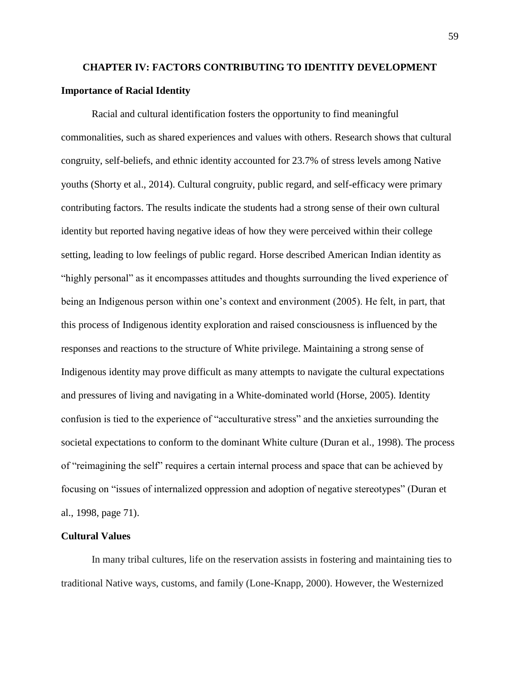# **CHAPTER IV: FACTORS CONTRIBUTING TO IDENTITY DEVELOPMENT Importance of Racial Identity**

Racial and cultural identification fosters the opportunity to find meaningful commonalities, such as shared experiences and values with others. Research shows that cultural congruity, self-beliefs, and ethnic identity accounted for 23.7% of stress levels among Native youths (Shorty et al., 2014). Cultural congruity, public regard, and self-efficacy were primary contributing factors. The results indicate the students had a strong sense of their own cultural identity but reported having negative ideas of how they were perceived within their college setting, leading to low feelings of public regard. Horse described American Indian identity as "highly personal" as it encompasses attitudes and thoughts surrounding the lived experience of being an Indigenous person within one's context and environment (2005). He felt, in part, that this process of Indigenous identity exploration and raised consciousness is influenced by the responses and reactions to the structure of White privilege. Maintaining a strong sense of Indigenous identity may prove difficult as many attempts to navigate the cultural expectations and pressures of living and navigating in a White-dominated world (Horse, 2005). Identity confusion is tied to the experience of "acculturative stress" and the anxieties surrounding the societal expectations to conform to the dominant White culture (Duran et al., 1998). The process of "reimagining the self" requires a certain internal process and space that can be achieved by focusing on "issues of internalized oppression and adoption of negative stereotypes" (Duran et al., 1998, page 71).

### **Cultural Values**

In many tribal cultures, life on the reservation assists in fostering and maintaining ties to traditional Native ways, customs, and family (Lone-Knapp, 2000). However, the Westernized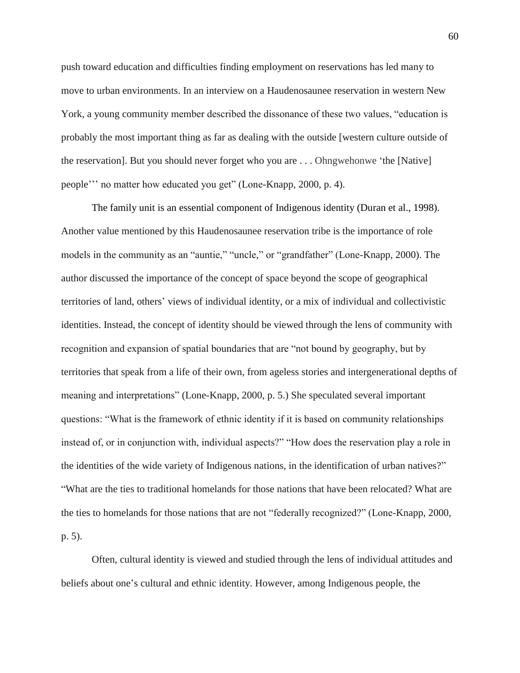push toward education and difficulties finding employment on reservations has led many to move to urban environments. In an interview on a Haudenosaunee reservation in western New York, a young community member described the dissonance of these two values, "education is probably the most important thing as far as dealing with the outside [western culture outside of the reservation]. But you should never forget who you are . . . Ohngwehonwe 'the [Native] people''' no matter how educated you get" (Lone-Knapp, 2000, p. 4).

The family unit is an essential component of Indigenous identity (Duran et al., 1998). Another value mentioned by this Haudenosaunee reservation tribe is the importance of role models in the community as an "auntie," "uncle," or "grandfather" (Lone-Knapp, 2000). The author discussed the importance of the concept of space beyond the scope of geographical territories of land, others' views of individual identity, or a mix of individual and collectivistic identities. Instead, the concept of identity should be viewed through the lens of community with recognition and expansion of spatial boundaries that are "not bound by geography, but by territories that speak from a life of their own, from ageless stories and intergenerational depths of meaning and interpretations" (Lone-Knapp, 2000, p. 5.) She speculated several important questions: "What is the framework of ethnic identity if it is based on community relationships instead of, or in conjunction with, individual aspects?" "How does the reservation play a role in the identities of the wide variety of Indigenous nations, in the identification of urban natives?" "What are the ties to traditional homelands for those nations that have been relocated? What are the ties to homelands for those nations that are not "federally recognized?" (Lone-Knapp, 2000, p. 5).

Often, cultural identity is viewed and studied through the lens of individual attitudes and beliefs about one's cultural and ethnic identity. However, among Indigenous people, the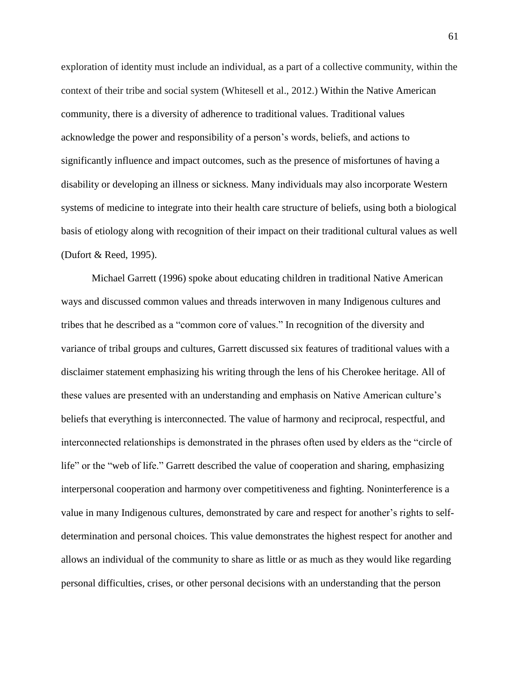exploration of identity must include an individual, as a part of a collective community, within the context of their tribe and social system (Whitesell et al., 2012.) Within the Native American community, there is a diversity of adherence to traditional values. Traditional values acknowledge the power and responsibility of a person's words, beliefs, and actions to significantly influence and impact outcomes, such as the presence of misfortunes of having a disability or developing an illness or sickness. Many individuals may also incorporate Western systems of medicine to integrate into their health care structure of beliefs, using both a biological basis of etiology along with recognition of their impact on their traditional cultural values as well (Dufort & Reed, 1995).

Michael Garrett (1996) spoke about educating children in traditional Native American ways and discussed common values and threads interwoven in many Indigenous cultures and tribes that he described as a "common core of values." In recognition of the diversity and variance of tribal groups and cultures, Garrett discussed six features of traditional values with a disclaimer statement emphasizing his writing through the lens of his Cherokee heritage. All of these values are presented with an understanding and emphasis on Native American culture's beliefs that everything is interconnected. The value of harmony and reciprocal, respectful, and interconnected relationships is demonstrated in the phrases often used by elders as the "circle of life" or the "web of life." Garrett described the value of cooperation and sharing, emphasizing interpersonal cooperation and harmony over competitiveness and fighting. Noninterference is a value in many Indigenous cultures, demonstrated by care and respect for another's rights to selfdetermination and personal choices. This value demonstrates the highest respect for another and allows an individual of the community to share as little or as much as they would like regarding personal difficulties, crises, or other personal decisions with an understanding that the person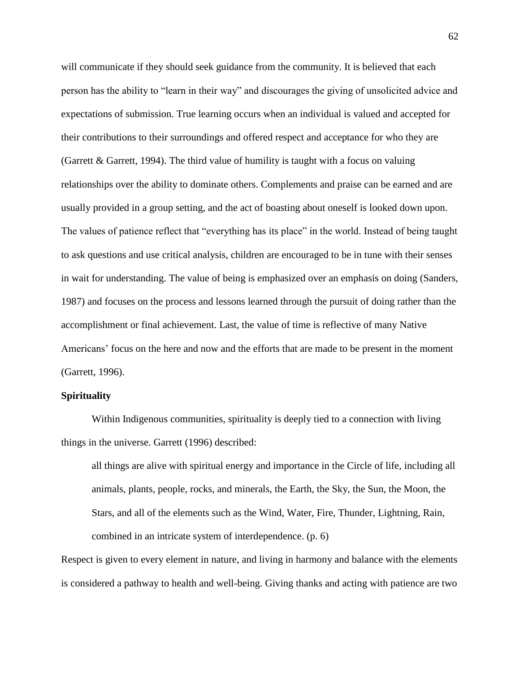will communicate if they should seek guidance from the community. It is believed that each person has the ability to "learn in their way" and discourages the giving of unsolicited advice and expectations of submission. True learning occurs when an individual is valued and accepted for their contributions to their surroundings and offered respect and acceptance for who they are (Garrett & Garrett, 1994). The third value of humility is taught with a focus on valuing relationships over the ability to dominate others. Complements and praise can be earned and are usually provided in a group setting, and the act of boasting about oneself is looked down upon. The values of patience reflect that "everything has its place" in the world. Instead of being taught to ask questions and use critical analysis, children are encouraged to be in tune with their senses in wait for understanding. The value of being is emphasized over an emphasis on doing (Sanders, 1987) and focuses on the process and lessons learned through the pursuit of doing rather than the accomplishment or final achievement. Last, the value of time is reflective of many Native Americans' focus on the here and now and the efforts that are made to be present in the moment (Garrett, 1996).

## **Spirituality**

Within Indigenous communities, spirituality is deeply tied to a connection with living things in the universe. Garrett (1996) described:

all things are alive with spiritual energy and importance in the Circle of life, including all animals, plants, people, rocks, and minerals, the Earth, the Sky, the Sun, the Moon, the Stars, and all of the elements such as the Wind, Water, Fire, Thunder, Lightning, Rain, combined in an intricate system of interdependence. (p. 6)

Respect is given to every element in nature, and living in harmony and balance with the elements is considered a pathway to health and well-being. Giving thanks and acting with patience are two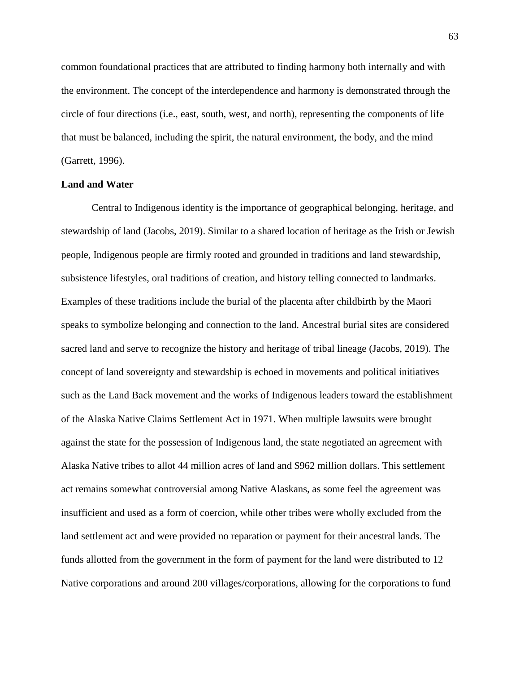common foundational practices that are attributed to finding harmony both internally and with the environment. The concept of the interdependence and harmony is demonstrated through the circle of four directions (i.e., east, south, west, and north), representing the components of life that must be balanced, including the spirit, the natural environment, the body, and the mind (Garrett, 1996).

#### **Land and Water**

Central to Indigenous identity is the importance of geographical belonging, heritage, and stewardship of land (Jacobs, 2019). Similar to a shared location of heritage as the Irish or Jewish people, Indigenous people are firmly rooted and grounded in traditions and land stewardship, subsistence lifestyles, oral traditions of creation, and history telling connected to landmarks. Examples of these traditions include the burial of the placenta after childbirth by the Maori speaks to symbolize belonging and connection to the land. Ancestral burial sites are considered sacred land and serve to recognize the history and heritage of tribal lineage (Jacobs, 2019). The concept of land sovereignty and stewardship is echoed in movements and political initiatives such as the Land Back movement and the works of Indigenous leaders toward the establishment of the Alaska Native Claims Settlement Act in 1971. When multiple lawsuits were brought against the state for the possession of Indigenous land, the state negotiated an agreement with Alaska Native tribes to allot 44 million acres of land and \$962 million dollars. This settlement act remains somewhat controversial among Native Alaskans, as some feel the agreement was insufficient and used as a form of coercion, while other tribes were wholly excluded from the land settlement act and were provided no reparation or payment for their ancestral lands. The funds allotted from the government in the form of payment for the land were distributed to 12 Native corporations and around 200 villages/corporations, allowing for the corporations to fund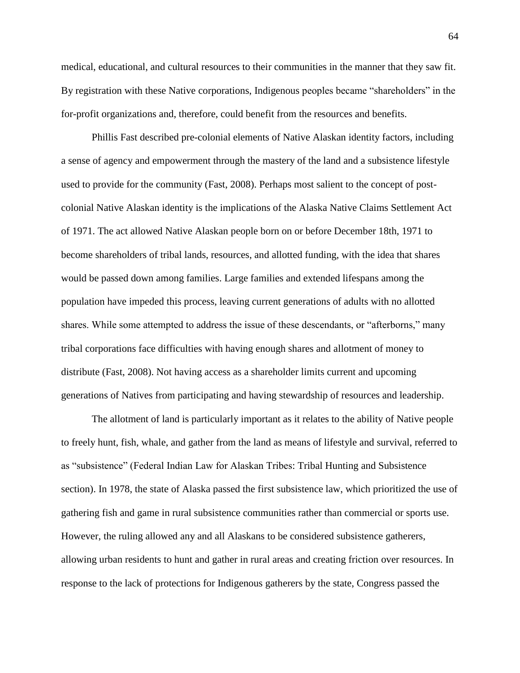medical, educational, and cultural resources to their communities in the manner that they saw fit. By registration with these Native corporations, Indigenous peoples became "shareholders" in the for-profit organizations and, therefore, could benefit from the resources and benefits.

Phillis Fast described pre-colonial elements of Native Alaskan identity factors, including a sense of agency and empowerment through the mastery of the land and a subsistence lifestyle used to provide for the community (Fast, 2008). Perhaps most salient to the concept of postcolonial Native Alaskan identity is the implications of the Alaska Native Claims Settlement Act of 1971. The act allowed Native Alaskan people born on or before December 18th, 1971 to become shareholders of tribal lands, resources, and allotted funding, with the idea that shares would be passed down among families. Large families and extended lifespans among the population have impeded this process, leaving current generations of adults with no allotted shares. While some attempted to address the issue of these descendants, or "afterborns," many tribal corporations face difficulties with having enough shares and allotment of money to distribute (Fast, 2008). Not having access as a shareholder limits current and upcoming generations of Natives from participating and having stewardship of resources and leadership.

The allotment of land is particularly important as it relates to the ability of Native people to freely hunt, fish, whale, and gather from the land as means of lifestyle and survival, referred to as "subsistence" (Federal Indian Law for Alaskan Tribes: Tribal Hunting and Subsistence section). In 1978, the state of Alaska passed the first subsistence law, which prioritized the use of gathering fish and game in rural subsistence communities rather than commercial or sports use. However, the ruling allowed any and all Alaskans to be considered subsistence gatherers, allowing urban residents to hunt and gather in rural areas and creating friction over resources. In response to the lack of protections for Indigenous gatherers by the state, Congress passed the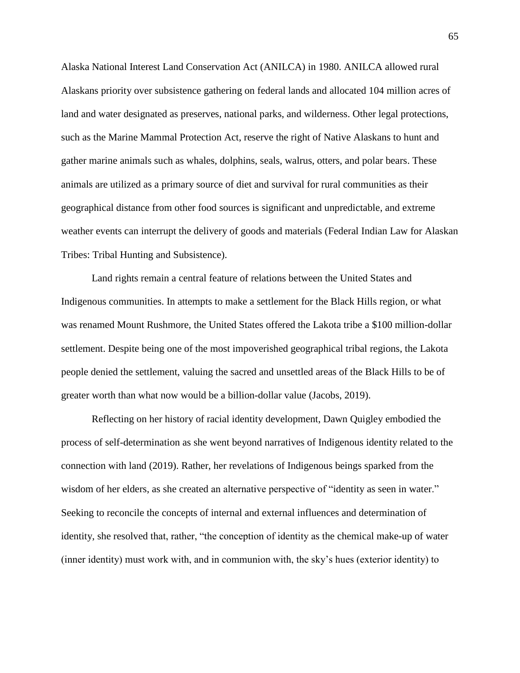Alaska National Interest Land Conservation Act (ANILCA) in 1980. ANILCA allowed rural Alaskans priority over subsistence gathering on federal lands and allocated 104 million acres of land and water designated as preserves, national parks, and wilderness. Other legal protections, such as the Marine Mammal Protection Act, reserve the right of Native Alaskans to hunt and gather marine animals such as whales, dolphins, seals, walrus, otters, and polar bears. These animals are utilized as a primary source of diet and survival for rural communities as their geographical distance from other food sources is significant and unpredictable, and extreme weather events can interrupt the delivery of goods and materials (Federal Indian Law for Alaskan Tribes: Tribal Hunting and Subsistence).

Land rights remain a central feature of relations between the United States and Indigenous communities. In attempts to make a settlement for the Black Hills region, or what was renamed Mount Rushmore, the United States offered the Lakota tribe a \$100 million-dollar settlement. Despite being one of the most impoverished geographical tribal regions, the Lakota people denied the settlement, valuing the sacred and unsettled areas of the Black Hills to be of greater worth than what now would be a billion-dollar value (Jacobs, 2019).

Reflecting on her history of racial identity development, Dawn Quigley embodied the process of self-determination as she went beyond narratives of Indigenous identity related to the connection with land (2019). Rather, her revelations of Indigenous beings sparked from the wisdom of her elders, as she created an alternative perspective of "identity as seen in water." Seeking to reconcile the concepts of internal and external influences and determination of identity, she resolved that, rather, "the conception of identity as the chemical make-up of water (inner identity) must work with, and in communion with, the sky's hues (exterior identity) to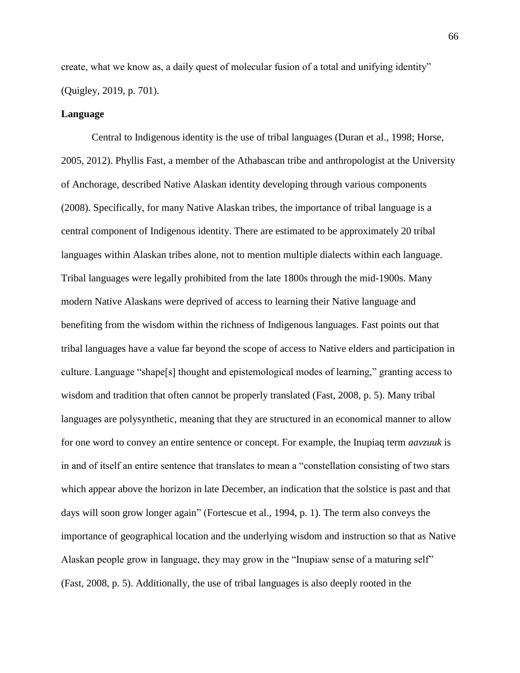create, what we know as, a daily quest of molecular fusion of a total and unifying identity" (Quigley, 2019, p. 701).

## **Language**

Central to Indigenous identity is the use of tribal languages (Duran et al., 1998; Horse, 2005, 2012). Phyllis Fast, a member of the Athabascan tribe and anthropologist at the University of Anchorage, described Native Alaskan identity developing through various components (2008). Specifically, for many Native Alaskan tribes, the importance of tribal language is a central component of Indigenous identity. There are estimated to be approximately 20 tribal languages within Alaskan tribes alone, not to mention multiple dialects within each language. Tribal languages were legally prohibited from the late 1800s through the mid-1900s. Many modern Native Alaskans were deprived of access to learning their Native language and benefiting from the wisdom within the richness of Indigenous languages. Fast points out that tribal languages have a value far beyond the scope of access to Native elders and participation in culture. Language "shape[s] thought and epistemological modes of learning," granting access to wisdom and tradition that often cannot be properly translated (Fast, 2008, p. 5). Many tribal languages are polysynthetic, meaning that they are structured in an economical manner to allow for one word to convey an entire sentence or concept. For example, the Inupiaq term *aavzuuk* is in and of itself an entire sentence that translates to mean a "constellation consisting of two stars which appear above the horizon in late December, an indication that the solstice is past and that days will soon grow longer again" (Fortescue et al., 1994, p. 1). The term also conveys the importance of geographical location and the underlying wisdom and instruction so that as Native Alaskan people grow in language, they may grow in the "Inupiaw sense of a maturing self" (Fast, 2008, p. 5). Additionally, the use of tribal languages is also deeply rooted in the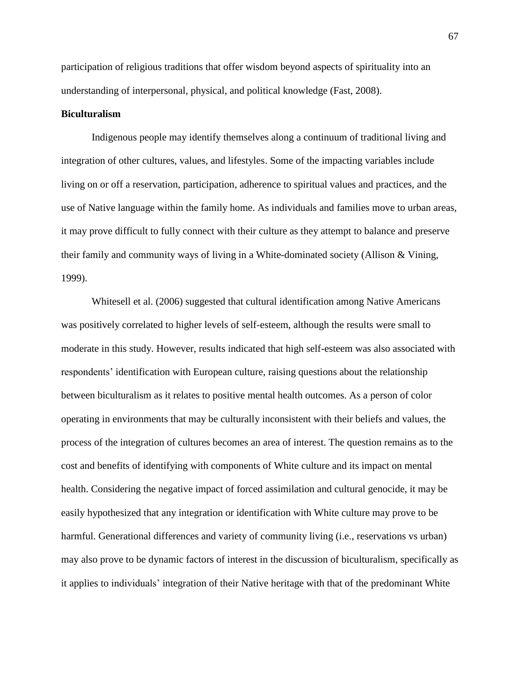participation of religious traditions that offer wisdom beyond aspects of spirituality into an understanding of interpersonal, physical, and political knowledge (Fast, 2008).

## **Biculturalism**

Indigenous people may identify themselves along a continuum of traditional living and integration of other cultures, values, and lifestyles. Some of the impacting variables include living on or off a reservation, participation, adherence to spiritual values and practices, and the use of Native language within the family home. As individuals and families move to urban areas, it may prove difficult to fully connect with their culture as they attempt to balance and preserve their family and community ways of living in a White-dominated society (Allison & Vining, 1999).

Whitesell et al. (2006) suggested that cultural identification among Native Americans was positively correlated to higher levels of self-esteem, although the results were small to moderate in this study. However, results indicated that high self-esteem was also associated with respondents' identification with European culture, raising questions about the relationship between biculturalism as it relates to positive mental health outcomes. As a person of color operating in environments that may be culturally inconsistent with their beliefs and values, the process of the integration of cultures becomes an area of interest. The question remains as to the cost and benefits of identifying with components of White culture and its impact on mental health. Considering the negative impact of forced assimilation and cultural genocide, it may be easily hypothesized that any integration or identification with White culture may prove to be harmful. Generational differences and variety of community living (i.e., reservations vs urban) may also prove to be dynamic factors of interest in the discussion of biculturalism, specifically as it applies to individuals' integration of their Native heritage with that of the predominant White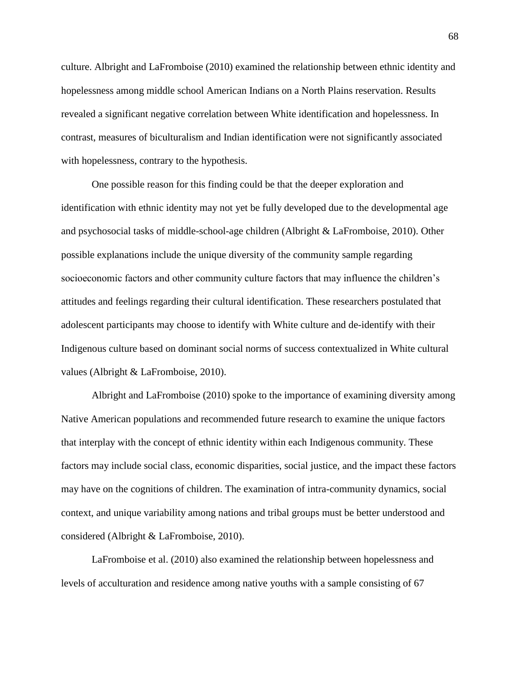culture. Albright and LaFromboise (2010) examined the relationship between ethnic identity and hopelessness among middle school American Indians on a North Plains reservation. Results revealed a significant negative correlation between White identification and hopelessness. In contrast, measures of biculturalism and Indian identification were not significantly associated with hopelessness, contrary to the hypothesis.

One possible reason for this finding could be that the deeper exploration and identification with ethnic identity may not yet be fully developed due to the developmental age and psychosocial tasks of middle-school-age children (Albright & LaFromboise, 2010). Other possible explanations include the unique diversity of the community sample regarding socioeconomic factors and other community culture factors that may influence the children's attitudes and feelings regarding their cultural identification. These researchers postulated that adolescent participants may choose to identify with White culture and de-identify with their Indigenous culture based on dominant social norms of success contextualized in White cultural values (Albright & LaFromboise, 2010).

Albright and LaFromboise (2010) spoke to the importance of examining diversity among Native American populations and recommended future research to examine the unique factors that interplay with the concept of ethnic identity within each Indigenous community. These factors may include social class, economic disparities, social justice, and the impact these factors may have on the cognitions of children. The examination of intra-community dynamics, social context, and unique variability among nations and tribal groups must be better understood and considered (Albright & LaFromboise, 2010).

LaFromboise et al. (2010) also examined the relationship between hopelessness and levels of acculturation and residence among native youths with a sample consisting of 67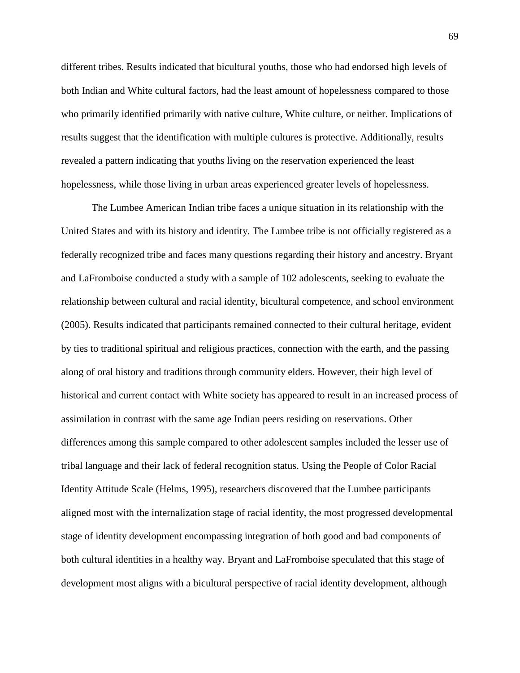different tribes. Results indicated that bicultural youths, those who had endorsed high levels of both Indian and White cultural factors, had the least amount of hopelessness compared to those who primarily identified primarily with native culture, White culture, or neither. Implications of results suggest that the identification with multiple cultures is protective. Additionally, results revealed a pattern indicating that youths living on the reservation experienced the least hopelessness, while those living in urban areas experienced greater levels of hopelessness.

The Lumbee American Indian tribe faces a unique situation in its relationship with the United States and with its history and identity. The Lumbee tribe is not officially registered as a federally recognized tribe and faces many questions regarding their history and ancestry. Bryant and LaFromboise conducted a study with a sample of 102 adolescents, seeking to evaluate the relationship between cultural and racial identity, bicultural competence, and school environment (2005). Results indicated that participants remained connected to their cultural heritage, evident by ties to traditional spiritual and religious practices, connection with the earth, and the passing along of oral history and traditions through community elders. However, their high level of historical and current contact with White society has appeared to result in an increased process of assimilation in contrast with the same age Indian peers residing on reservations. Other differences among this sample compared to other adolescent samples included the lesser use of tribal language and their lack of federal recognition status. Using the People of Color Racial Identity Attitude Scale (Helms, 1995), researchers discovered that the Lumbee participants aligned most with the internalization stage of racial identity, the most progressed developmental stage of identity development encompassing integration of both good and bad components of both cultural identities in a healthy way. Bryant and LaFromboise speculated that this stage of development most aligns with a bicultural perspective of racial identity development, although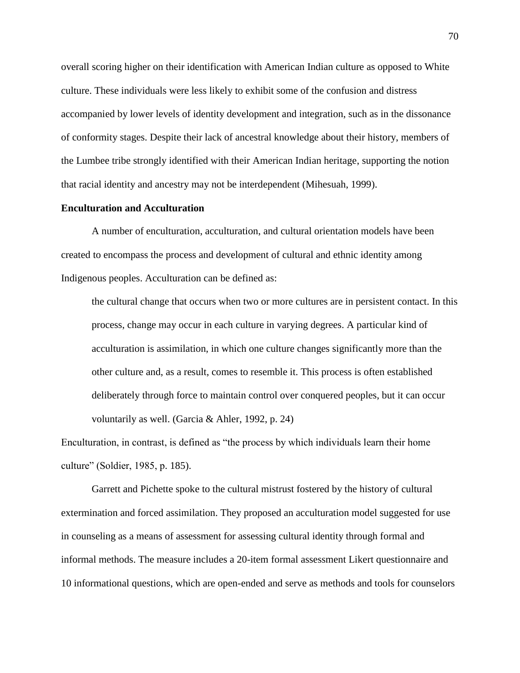overall scoring higher on their identification with American Indian culture as opposed to White culture. These individuals were less likely to exhibit some of the confusion and distress accompanied by lower levels of identity development and integration, such as in the dissonance of conformity stages. Despite their lack of ancestral knowledge about their history, members of the Lumbee tribe strongly identified with their American Indian heritage, supporting the notion that racial identity and ancestry may not be interdependent (Mihesuah, 1999).

# **Enculturation and Acculturation**

A number of enculturation, acculturation, and cultural orientation models have been created to encompass the process and development of cultural and ethnic identity among Indigenous peoples. Acculturation can be defined as:

the cultural change that occurs when two or more cultures are in persistent contact. In this process, change may occur in each culture in varying degrees. A particular kind of acculturation is assimilation, in which one culture changes significantly more than the other culture and, as a result, comes to resemble it. This process is often established deliberately through force to maintain control over conquered peoples, but it can occur voluntarily as well. (Garcia & Ahler, 1992, p. 24)

Enculturation, in contrast, is defined as "the process by which individuals learn their home culture" (Soldier, 1985, p. 185).

Garrett and Pichette spoke to the cultural mistrust fostered by the history of cultural extermination and forced assimilation. They proposed an acculturation model suggested for use in counseling as a means of assessment for assessing cultural identity through formal and informal methods. The measure includes a 20-item formal assessment Likert questionnaire and 10 informational questions, which are open-ended and serve as methods and tools for counselors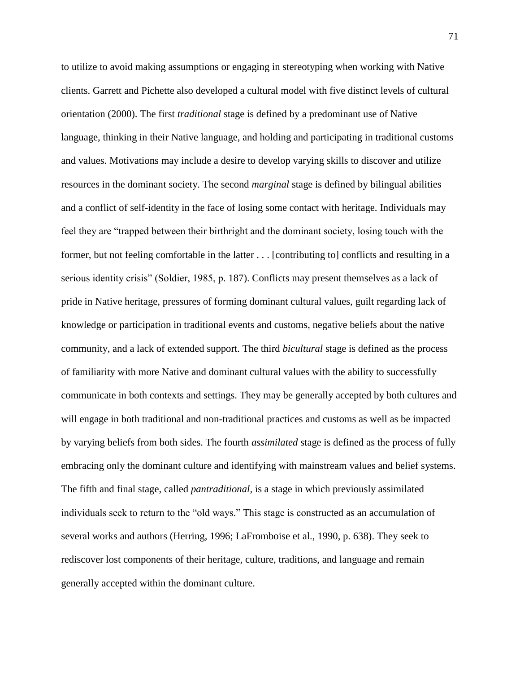to utilize to avoid making assumptions or engaging in stereotyping when working with Native clients. Garrett and Pichette also developed a cultural model with five distinct levels of cultural orientation (2000). The first *traditional* stage is defined by a predominant use of Native language, thinking in their Native language, and holding and participating in traditional customs and values. Motivations may include a desire to develop varying skills to discover and utilize resources in the dominant society. The second *marginal* stage is defined by bilingual abilities and a conflict of self-identity in the face of losing some contact with heritage. Individuals may feel they are "trapped between their birthright and the dominant society, losing touch with the former, but not feeling comfortable in the latter . . . [contributing to] conflicts and resulting in a serious identity crisis" (Soldier, 1985, p. 187). Conflicts may present themselves as a lack of pride in Native heritage, pressures of forming dominant cultural values, guilt regarding lack of knowledge or participation in traditional events and customs, negative beliefs about the native community, and a lack of extended support. The third *bicultural* stage is defined as the process of familiarity with more Native and dominant cultural values with the ability to successfully communicate in both contexts and settings. They may be generally accepted by both cultures and will engage in both traditional and non-traditional practices and customs as well as be impacted by varying beliefs from both sides. The fourth *assimilated* stage is defined as the process of fully embracing only the dominant culture and identifying with mainstream values and belief systems. The fifth and final stage, called *pantraditional,* is a stage in which previously assimilated individuals seek to return to the "old ways." This stage is constructed as an accumulation of several works and authors (Herring, 1996; LaFromboise et al., 1990, p. 638). They seek to rediscover lost components of their heritage, culture, traditions, and language and remain generally accepted within the dominant culture.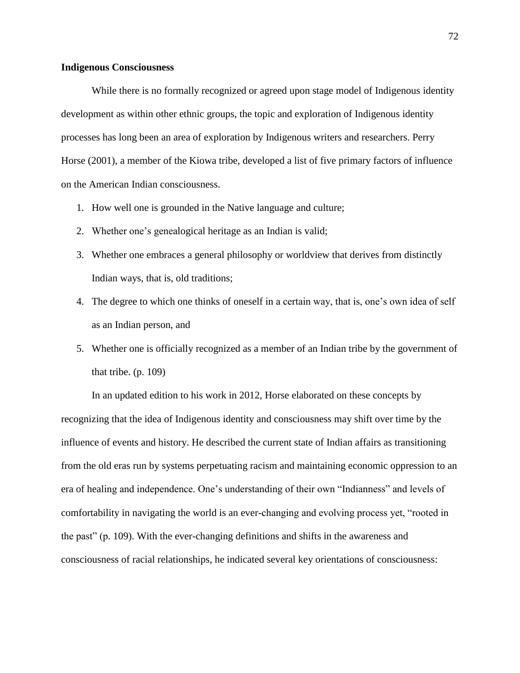## **Indigenous Consciousness**

While there is no formally recognized or agreed upon stage model of Indigenous identity development as within other ethnic groups, the topic and exploration of Indigenous identity processes has long been an area of exploration by Indigenous writers and researchers. Perry Horse (2001), a member of the Kiowa tribe, developed a list of five primary factors of influence on the American Indian consciousness.

- 1. How well one is grounded in the Native language and culture;
- 2. Whether one's genealogical heritage as an Indian is valid;
- 3. Whether one embraces a general philosophy or worldview that derives from distinctly Indian ways, that is, old traditions;
- 4. The degree to which one thinks of oneself in a certain way, that is, one's own idea of self as an Indian person, and
- 5. Whether one is officially recognized as a member of an Indian tribe by the government of that tribe.  $(p. 109)$

In an updated edition to his work in 2012, Horse elaborated on these concepts by recognizing that the idea of Indigenous identity and consciousness may shift over time by the influence of events and history. He described the current state of Indian affairs as transitioning from the old eras run by systems perpetuating racism and maintaining economic oppression to an era of healing and independence. One's understanding of their own "Indianness" and levels of comfortability in navigating the world is an ever-changing and evolving process yet, "rooted in the past" (p. 109). With the ever-changing definitions and shifts in the awareness and consciousness of racial relationships, he indicated several key orientations of consciousness: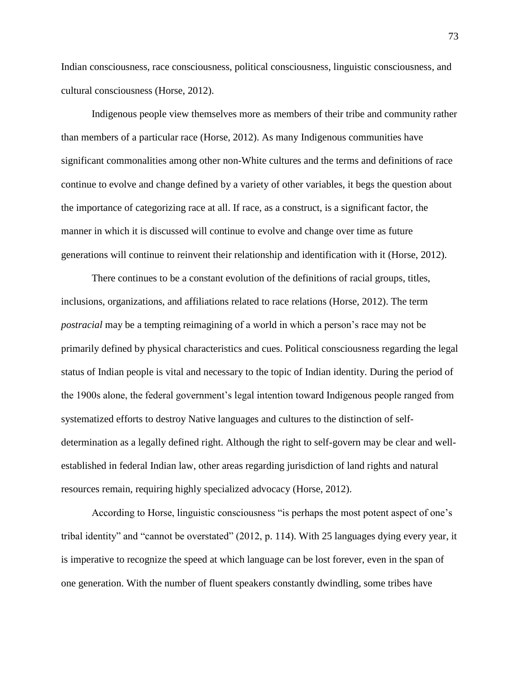Indian consciousness, race consciousness, political consciousness, linguistic consciousness, and cultural consciousness (Horse, 2012).

Indigenous people view themselves more as members of their tribe and community rather than members of a particular race (Horse, 2012). As many Indigenous communities have significant commonalities among other non-White cultures and the terms and definitions of race continue to evolve and change defined by a variety of other variables, it begs the question about the importance of categorizing race at all. If race, as a construct, is a significant factor, the manner in which it is discussed will continue to evolve and change over time as future generations will continue to reinvent their relationship and identification with it (Horse, 2012).

There continues to be a constant evolution of the definitions of racial groups, titles, inclusions, organizations, and affiliations related to race relations (Horse, 2012). The term *postracial* may be a tempting reimagining of a world in which a person's race may not be primarily defined by physical characteristics and cues. Political consciousness regarding the legal status of Indian people is vital and necessary to the topic of Indian identity. During the period of the 1900s alone, the federal government's legal intention toward Indigenous people ranged from systematized efforts to destroy Native languages and cultures to the distinction of selfdetermination as a legally defined right. Although the right to self-govern may be clear and wellestablished in federal Indian law, other areas regarding jurisdiction of land rights and natural resources remain, requiring highly specialized advocacy (Horse, 2012).

According to Horse, linguistic consciousness "is perhaps the most potent aspect of one's tribal identity" and "cannot be overstated" (2012, p. 114). With 25 languages dying every year, it is imperative to recognize the speed at which language can be lost forever, even in the span of one generation. With the number of fluent speakers constantly dwindling, some tribes have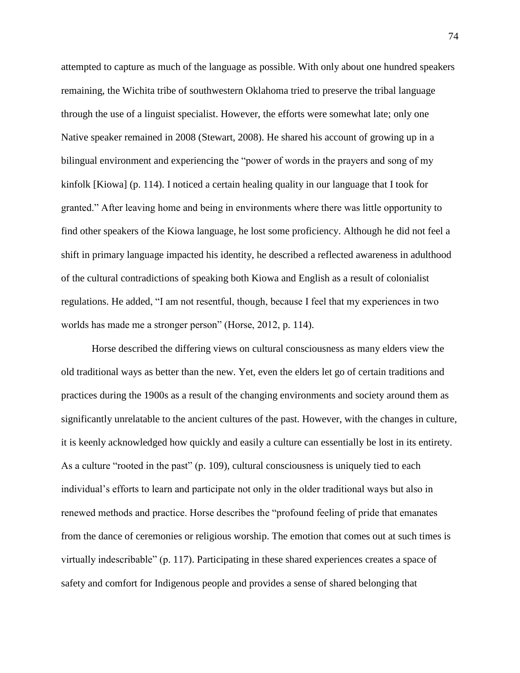attempted to capture as much of the language as possible. With only about one hundred speakers remaining, the Wichita tribe of southwestern Oklahoma tried to preserve the tribal language through the use of a linguist specialist. However, the efforts were somewhat late; only one Native speaker remained in 2008 (Stewart, 2008). He shared his account of growing up in a bilingual environment and experiencing the "power of words in the prayers and song of my kinfolk [Kiowa] (p. 114). I noticed a certain healing quality in our language that I took for granted." After leaving home and being in environments where there was little opportunity to find other speakers of the Kiowa language, he lost some proficiency. Although he did not feel a shift in primary language impacted his identity, he described a reflected awareness in adulthood of the cultural contradictions of speaking both Kiowa and English as a result of colonialist regulations. He added, "I am not resentful, though, because I feel that my experiences in two worlds has made me a stronger person" (Horse, 2012, p. 114).

Horse described the differing views on cultural consciousness as many elders view the old traditional ways as better than the new. Yet, even the elders let go of certain traditions and practices during the 1900s as a result of the changing environments and society around them as significantly unrelatable to the ancient cultures of the past. However, with the changes in culture, it is keenly acknowledged how quickly and easily a culture can essentially be lost in its entirety. As a culture "rooted in the past" (p. 109), cultural consciousness is uniquely tied to each individual's efforts to learn and participate not only in the older traditional ways but also in renewed methods and practice. Horse describes the "profound feeling of pride that emanates from the dance of ceremonies or religious worship. The emotion that comes out at such times is virtually indescribable" (p. 117). Participating in these shared experiences creates a space of safety and comfort for Indigenous people and provides a sense of shared belonging that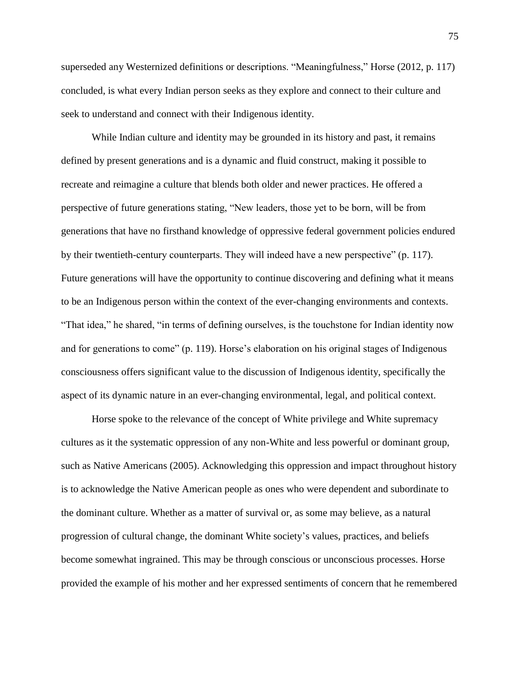superseded any Westernized definitions or descriptions. "Meaningfulness," Horse (2012, p. 117) concluded, is what every Indian person seeks as they explore and connect to their culture and seek to understand and connect with their Indigenous identity.

While Indian culture and identity may be grounded in its history and past, it remains defined by present generations and is a dynamic and fluid construct, making it possible to recreate and reimagine a culture that blends both older and newer practices. He offered a perspective of future generations stating, "New leaders, those yet to be born, will be from generations that have no firsthand knowledge of oppressive federal government policies endured by their twentieth-century counterparts. They will indeed have a new perspective" (p. 117). Future generations will have the opportunity to continue discovering and defining what it means to be an Indigenous person within the context of the ever-changing environments and contexts. "That idea," he shared, "in terms of defining ourselves, is the touchstone for Indian identity now and for generations to come" (p. 119). Horse's elaboration on his original stages of Indigenous consciousness offers significant value to the discussion of Indigenous identity, specifically the aspect of its dynamic nature in an ever-changing environmental, legal, and political context.

Horse spoke to the relevance of the concept of White privilege and White supremacy cultures as it the systematic oppression of any non-White and less powerful or dominant group, such as Native Americans (2005). Acknowledging this oppression and impact throughout history is to acknowledge the Native American people as ones who were dependent and subordinate to the dominant culture. Whether as a matter of survival or, as some may believe, as a natural progression of cultural change, the dominant White society's values, practices, and beliefs become somewhat ingrained. This may be through conscious or unconscious processes. Horse provided the example of his mother and her expressed sentiments of concern that he remembered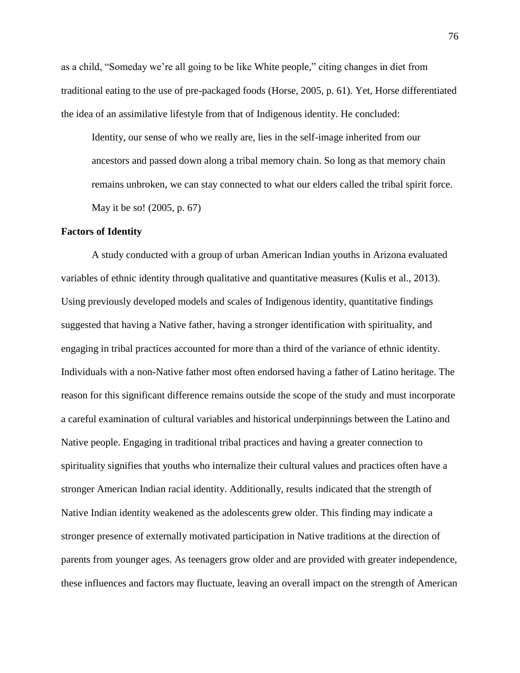as a child, "Someday we're all going to be like White people," citing changes in diet from traditional eating to the use of pre-packaged foods (Horse, 2005, p. 61). Yet, Horse differentiated the idea of an assimilative lifestyle from that of Indigenous identity. He concluded:

Identity, our sense of who we really are, lies in the self-image inherited from our ancestors and passed down along a tribal memory chain. So long as that memory chain remains unbroken, we can stay connected to what our elders called the tribal spirit force. May it be so! (2005, p. 67)

### **Factors of Identity**

A study conducted with a group of urban American Indian youths in Arizona evaluated variables of ethnic identity through qualitative and quantitative measures (Kulis et al., 2013). Using previously developed models and scales of Indigenous identity, quantitative findings suggested that having a Native father, having a stronger identification with spirituality, and engaging in tribal practices accounted for more than a third of the variance of ethnic identity. Individuals with a non-Native father most often endorsed having a father of Latino heritage. The reason for this significant difference remains outside the scope of the study and must incorporate a careful examination of cultural variables and historical underpinnings between the Latino and Native people. Engaging in traditional tribal practices and having a greater connection to spirituality signifies that youths who internalize their cultural values and practices often have a stronger American Indian racial identity. Additionally, results indicated that the strength of Native Indian identity weakened as the adolescents grew older. This finding may indicate a stronger presence of externally motivated participation in Native traditions at the direction of parents from younger ages. As teenagers grow older and are provided with greater independence, these influences and factors may fluctuate, leaving an overall impact on the strength of American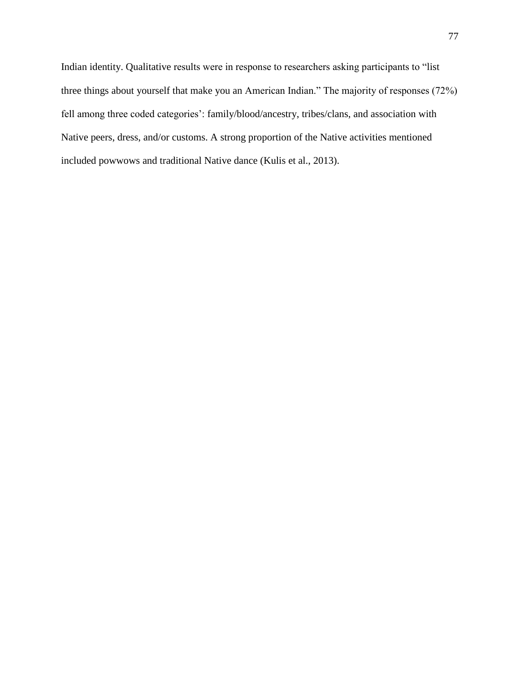Indian identity. Qualitative results were in response to researchers asking participants to "list three things about yourself that make you an American Indian." The majority of responses (72%) fell among three coded categories': family/blood/ancestry, tribes/clans, and association with Native peers, dress, and/or customs. A strong proportion of the Native activities mentioned included powwows and traditional Native dance (Kulis et al., 2013).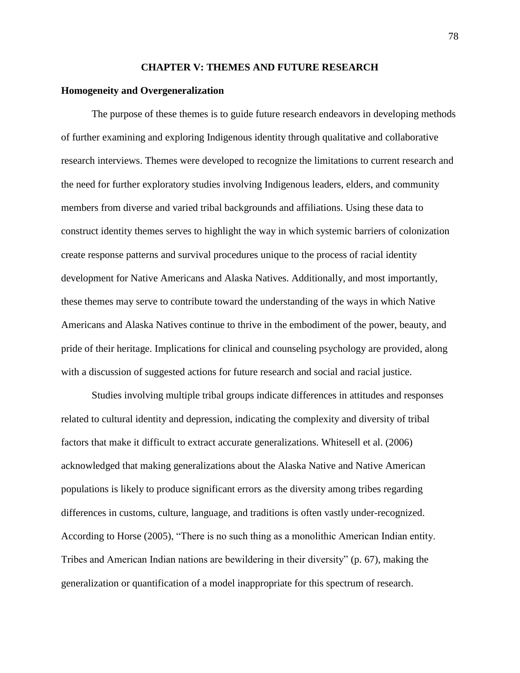#### **CHAPTER V: THEMES AND FUTURE RESEARCH**

### **Homogeneity and Overgeneralization**

The purpose of these themes is to guide future research endeavors in developing methods of further examining and exploring Indigenous identity through qualitative and collaborative research interviews. Themes were developed to recognize the limitations to current research and the need for further exploratory studies involving Indigenous leaders, elders, and community members from diverse and varied tribal backgrounds and affiliations. Using these data to construct identity themes serves to highlight the way in which systemic barriers of colonization create response patterns and survival procedures unique to the process of racial identity development for Native Americans and Alaska Natives. Additionally, and most importantly, these themes may serve to contribute toward the understanding of the ways in which Native Americans and Alaska Natives continue to thrive in the embodiment of the power, beauty, and pride of their heritage. Implications for clinical and counseling psychology are provided, along with a discussion of suggested actions for future research and social and racial justice.

Studies involving multiple tribal groups indicate differences in attitudes and responses related to cultural identity and depression, indicating the complexity and diversity of tribal factors that make it difficult to extract accurate generalizations. Whitesell et al. (2006) acknowledged that making generalizations about the Alaska Native and Native American populations is likely to produce significant errors as the diversity among tribes regarding differences in customs, culture, language, and traditions is often vastly under-recognized. According to Horse (2005), "There is no such thing as a monolithic American Indian entity. Tribes and American Indian nations are bewildering in their diversity" (p. 67), making the generalization or quantification of a model inappropriate for this spectrum of research.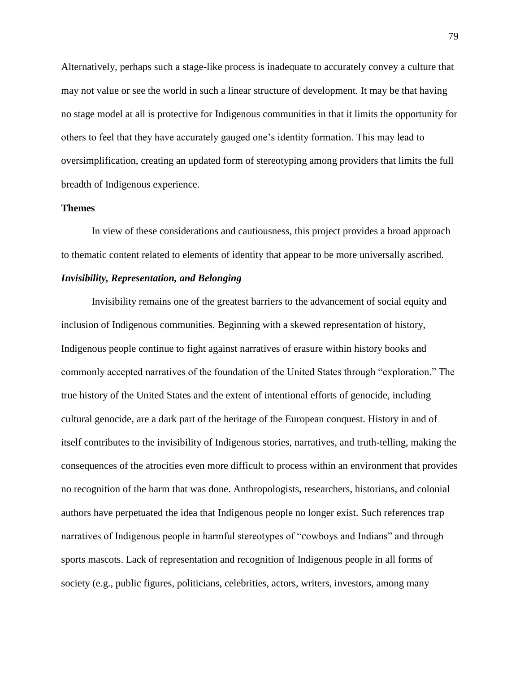Alternatively, perhaps such a stage-like process is inadequate to accurately convey a culture that may not value or see the world in such a linear structure of development. It may be that having no stage model at all is protective for Indigenous communities in that it limits the opportunity for others to feel that they have accurately gauged one's identity formation. This may lead to oversimplification, creating an updated form of stereotyping among providers that limits the full breadth of Indigenous experience.

## **Themes**

In view of these considerations and cautiousness, this project provides a broad approach to thematic content related to elements of identity that appear to be more universally ascribed.

# *Invisibility, Representation, and Belonging*

Invisibility remains one of the greatest barriers to the advancement of social equity and inclusion of Indigenous communities. Beginning with a skewed representation of history, Indigenous people continue to fight against narratives of erasure within history books and commonly accepted narratives of the foundation of the United States through "exploration." The true history of the United States and the extent of intentional efforts of genocide, including cultural genocide, are a dark part of the heritage of the European conquest. History in and of itself contributes to the invisibility of Indigenous stories, narratives, and truth-telling, making the consequences of the atrocities even more difficult to process within an environment that provides no recognition of the harm that was done. Anthropologists, researchers, historians, and colonial authors have perpetuated the idea that Indigenous people no longer exist. Such references trap narratives of Indigenous people in harmful stereotypes of "cowboys and Indians" and through sports mascots. Lack of representation and recognition of Indigenous people in all forms of society (e.g., public figures, politicians, celebrities, actors, writers, investors, among many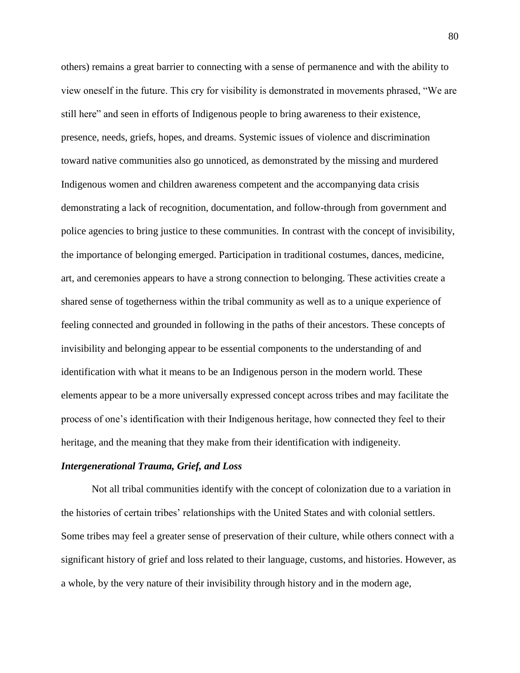others) remains a great barrier to connecting with a sense of permanence and with the ability to view oneself in the future. This cry for visibility is demonstrated in movements phrased, "We are still here" and seen in efforts of Indigenous people to bring awareness to their existence, presence, needs, griefs, hopes, and dreams. Systemic issues of violence and discrimination toward native communities also go unnoticed, as demonstrated by the missing and murdered Indigenous women and children awareness competent and the accompanying data crisis demonstrating a lack of recognition, documentation, and follow-through from government and police agencies to bring justice to these communities. In contrast with the concept of invisibility, the importance of belonging emerged. Participation in traditional costumes, dances, medicine, art, and ceremonies appears to have a strong connection to belonging. These activities create a shared sense of togetherness within the tribal community as well as to a unique experience of feeling connected and grounded in following in the paths of their ancestors. These concepts of invisibility and belonging appear to be essential components to the understanding of and identification with what it means to be an Indigenous person in the modern world. These elements appear to be a more universally expressed concept across tribes and may facilitate the process of one's identification with their Indigenous heritage, how connected they feel to their heritage, and the meaning that they make from their identification with indigeneity.

#### *Intergenerational Trauma, Grief, and Loss*

Not all tribal communities identify with the concept of colonization due to a variation in the histories of certain tribes' relationships with the United States and with colonial settlers. Some tribes may feel a greater sense of preservation of their culture, while others connect with a significant history of grief and loss related to their language, customs, and histories. However, as a whole, by the very nature of their invisibility through history and in the modern age,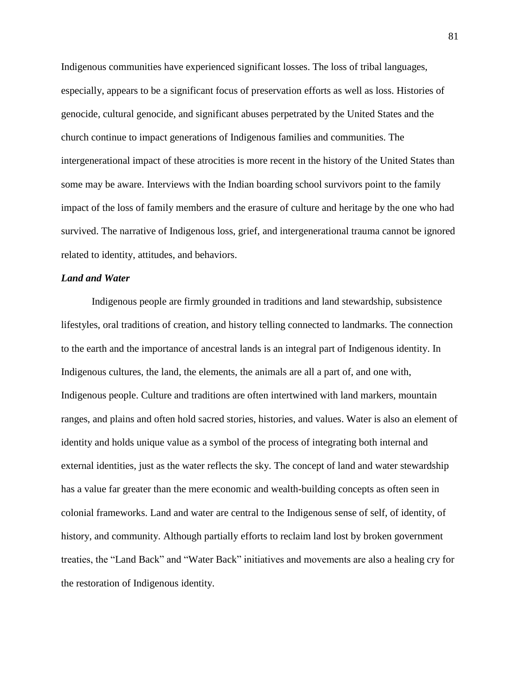Indigenous communities have experienced significant losses. The loss of tribal languages, especially, appears to be a significant focus of preservation efforts as well as loss. Histories of genocide, cultural genocide, and significant abuses perpetrated by the United States and the church continue to impact generations of Indigenous families and communities. The intergenerational impact of these atrocities is more recent in the history of the United States than some may be aware. Interviews with the Indian boarding school survivors point to the family impact of the loss of family members and the erasure of culture and heritage by the one who had survived. The narrative of Indigenous loss, grief, and intergenerational trauma cannot be ignored related to identity, attitudes, and behaviors.

## *Land and Water*

Indigenous people are firmly grounded in traditions and land stewardship, subsistence lifestyles, oral traditions of creation, and history telling connected to landmarks. The connection to the earth and the importance of ancestral lands is an integral part of Indigenous identity. In Indigenous cultures, the land, the elements, the animals are all a part of, and one with, Indigenous people. Culture and traditions are often intertwined with land markers, mountain ranges, and plains and often hold sacred stories, histories, and values. Water is also an element of identity and holds unique value as a symbol of the process of integrating both internal and external identities, just as the water reflects the sky. The concept of land and water stewardship has a value far greater than the mere economic and wealth-building concepts as often seen in colonial frameworks. Land and water are central to the Indigenous sense of self, of identity, of history, and community. Although partially efforts to reclaim land lost by broken government treaties, the "Land Back" and "Water Back" initiatives and movements are also a healing cry for the restoration of Indigenous identity.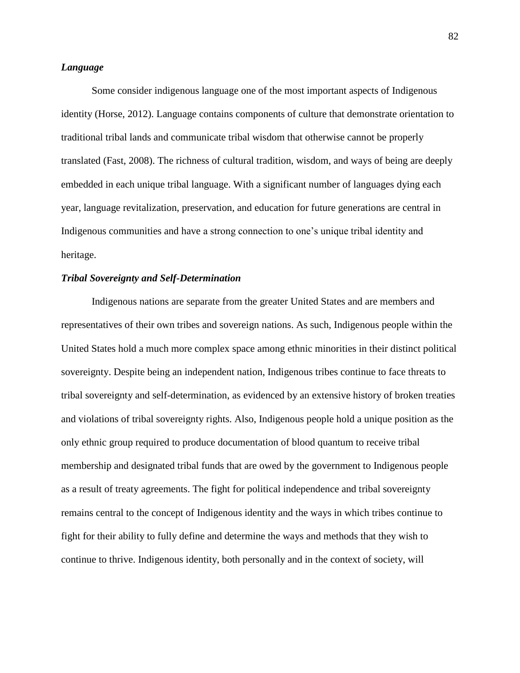# *Language*

Some consider indigenous language one of the most important aspects of Indigenous identity (Horse, 2012). Language contains components of culture that demonstrate orientation to traditional tribal lands and communicate tribal wisdom that otherwise cannot be properly translated (Fast, 2008). The richness of cultural tradition, wisdom, and ways of being are deeply embedded in each unique tribal language. With a significant number of languages dying each year, language revitalization, preservation, and education for future generations are central in Indigenous communities and have a strong connection to one's unique tribal identity and heritage.

## *Tribal Sovereignty and Self-Determination*

Indigenous nations are separate from the greater United States and are members and representatives of their own tribes and sovereign nations. As such, Indigenous people within the United States hold a much more complex space among ethnic minorities in their distinct political sovereignty. Despite being an independent nation, Indigenous tribes continue to face threats to tribal sovereignty and self-determination, as evidenced by an extensive history of broken treaties and violations of tribal sovereignty rights. Also, Indigenous people hold a unique position as the only ethnic group required to produce documentation of blood quantum to receive tribal membership and designated tribal funds that are owed by the government to Indigenous people as a result of treaty agreements. The fight for political independence and tribal sovereignty remains central to the concept of Indigenous identity and the ways in which tribes continue to fight for their ability to fully define and determine the ways and methods that they wish to continue to thrive. Indigenous identity, both personally and in the context of society, will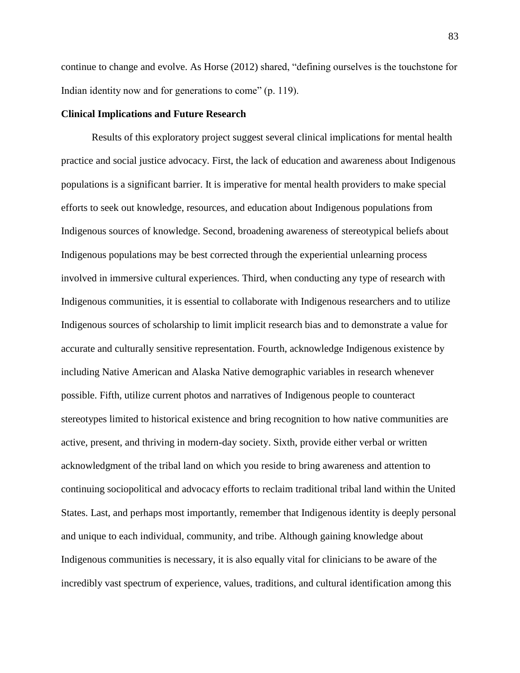continue to change and evolve. As Horse (2012) shared, "defining ourselves is the touchstone for Indian identity now and for generations to come" (p. 119).

## **Clinical Implications and Future Research**

Results of this exploratory project suggest several clinical implications for mental health practice and social justice advocacy. First, the lack of education and awareness about Indigenous populations is a significant barrier. It is imperative for mental health providers to make special efforts to seek out knowledge, resources, and education about Indigenous populations from Indigenous sources of knowledge. Second, broadening awareness of stereotypical beliefs about Indigenous populations may be best corrected through the experiential unlearning process involved in immersive cultural experiences. Third, when conducting any type of research with Indigenous communities, it is essential to collaborate with Indigenous researchers and to utilize Indigenous sources of scholarship to limit implicit research bias and to demonstrate a value for accurate and culturally sensitive representation. Fourth, acknowledge Indigenous existence by including Native American and Alaska Native demographic variables in research whenever possible. Fifth, utilize current photos and narratives of Indigenous people to counteract stereotypes limited to historical existence and bring recognition to how native communities are active, present, and thriving in modern-day society. Sixth, provide either verbal or written acknowledgment of the tribal land on which you reside to bring awareness and attention to continuing sociopolitical and advocacy efforts to reclaim traditional tribal land within the United States. Last, and perhaps most importantly, remember that Indigenous identity is deeply personal and unique to each individual, community, and tribe. Although gaining knowledge about Indigenous communities is necessary, it is also equally vital for clinicians to be aware of the incredibly vast spectrum of experience, values, traditions, and cultural identification among this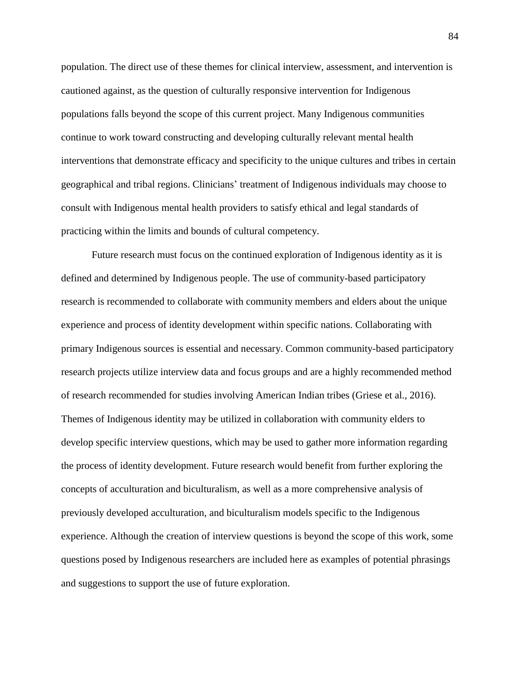population. The direct use of these themes for clinical interview, assessment, and intervention is cautioned against, as the question of culturally responsive intervention for Indigenous populations falls beyond the scope of this current project. Many Indigenous communities continue to work toward constructing and developing culturally relevant mental health interventions that demonstrate efficacy and specificity to the unique cultures and tribes in certain geographical and tribal regions. Clinicians' treatment of Indigenous individuals may choose to consult with Indigenous mental health providers to satisfy ethical and legal standards of practicing within the limits and bounds of cultural competency.

Future research must focus on the continued exploration of Indigenous identity as it is defined and determined by Indigenous people. The use of community-based participatory research is recommended to collaborate with community members and elders about the unique experience and process of identity development within specific nations. Collaborating with primary Indigenous sources is essential and necessary. Common community-based participatory research projects utilize interview data and focus groups and are a highly recommended method of research recommended for studies involving American Indian tribes (Griese et al., 2016). Themes of Indigenous identity may be utilized in collaboration with community elders to develop specific interview questions, which may be used to gather more information regarding the process of identity development. Future research would benefit from further exploring the concepts of acculturation and biculturalism, as well as a more comprehensive analysis of previously developed acculturation, and biculturalism models specific to the Indigenous experience. Although the creation of interview questions is beyond the scope of this work, some questions posed by Indigenous researchers are included here as examples of potential phrasings and suggestions to support the use of future exploration.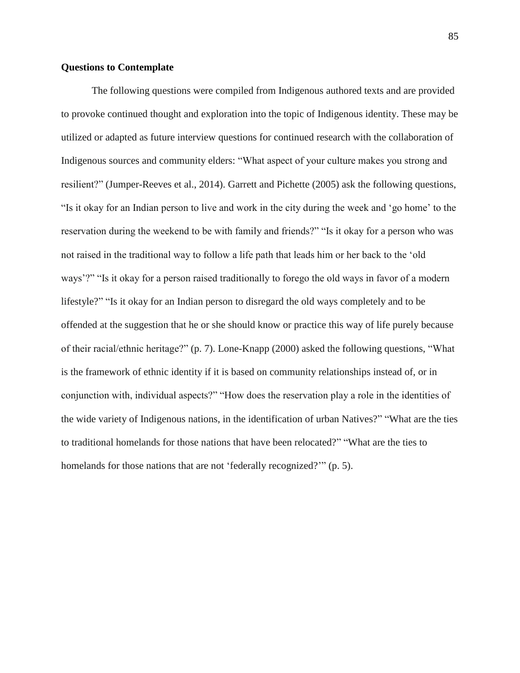## **Questions to Contemplate**

The following questions were compiled from Indigenous authored texts and are provided to provoke continued thought and exploration into the topic of Indigenous identity. These may be utilized or adapted as future interview questions for continued research with the collaboration of Indigenous sources and community elders: "What aspect of your culture makes you strong and resilient?" (Jumper-Reeves et al., 2014). Garrett and Pichette (2005) ask the following questions, "Is it okay for an Indian person to live and work in the city during the week and 'go home' to the reservation during the weekend to be with family and friends?" "Is it okay for a person who was not raised in the traditional way to follow a life path that leads him or her back to the 'old ways'?" "Is it okay for a person raised traditionally to forego the old ways in favor of a modern lifestyle?" "Is it okay for an Indian person to disregard the old ways completely and to be offended at the suggestion that he or she should know or practice this way of life purely because of their racial/ethnic heritage?" (p. 7). Lone-Knapp (2000) asked the following questions, "What is the framework of ethnic identity if it is based on community relationships instead of, or in conjunction with, individual aspects?" "How does the reservation play a role in the identities of the wide variety of Indigenous nations, in the identification of urban Natives?" "What are the ties to traditional homelands for those nations that have been relocated?" "What are the ties to homelands for those nations that are not 'federally recognized?'" (p. 5).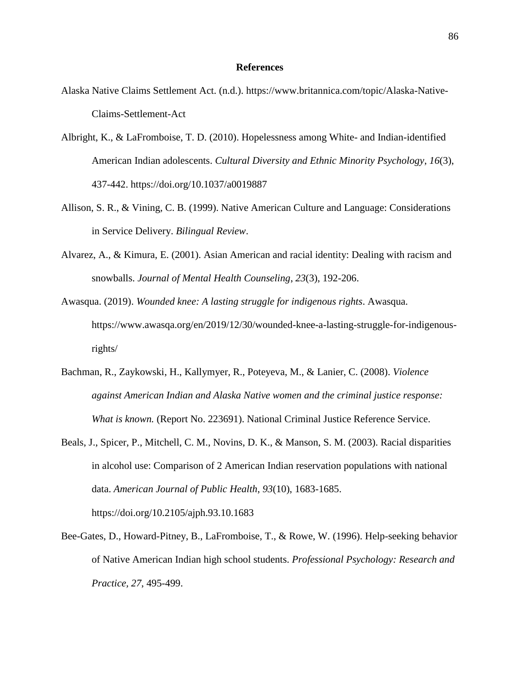## **References**

- Alaska Native Claims Settlement Act. (n.d.). [https://www.britannica.com/topic/Alaska-Native-](https://www.britannica.com/topic/Alaska-Native-Claims-Settlement-Act)[Claims-Settlement-Act](https://www.britannica.com/topic/Alaska-Native-Claims-Settlement-Act)
- Albright, K., & LaFromboise, T. D. (2010). Hopelessness among White- and Indian-identified American Indian adolescents. *Cultural Diversity and Ethnic Minority Psychology*, *16*(3), 437-442. https://doi.org/10.1037/a0019887
- Allison, S. R., & Vining, C. B. (1999). Native American Culture and Language: Considerations in Service Delivery. *Bilingual Review*.
- Alvarez, A., & Kimura, E. (2001). Asian American and racial identity: Dealing with racism and snowballs. *Journal of Mental Health Counseling*, *23*(3), 192-206.
- Awasqua. (2019). *Wounded knee: A lasting struggle for indigenous rights*. Awasqua. [https://www.awasqa.org/en/2019/12/30/wounded-knee-a-lasting-struggle-for-indigenous](https://www.awasqa.org/en/2019/12/30/wounded-knee-a-lasting-struggle-for-indigenous-rights/)[rights/](https://www.awasqa.org/en/2019/12/30/wounded-knee-a-lasting-struggle-for-indigenous-rights/)
- Bachman, R., Zaykowski, H., Kallymyer, R., Poteyeva, M., & Lanier, C. (2008). *Violence against American Indian and Alaska Native women and the criminal justice response: What is known.* (Report No. 223691). National Criminal Justice Reference Service.
- Beals, J., Spicer, P., Mitchell, C. M., Novins, D. K., & Manson, S. M. (2003). Racial disparities in alcohol use: Comparison of 2 American Indian reservation populations with national data. *American Journal of Public Health*, *93*(10), 1683-1685. https://doi.org/10.2105/ajph.93.10.1683
- Bee-Gates, D., Howard-Pitney, B., LaFromboise, T., & Rowe, W. (1996). Help-seeking behavior of Native American Indian high school students. *Professional Psychology: Research and Practice, 27*, 495-499.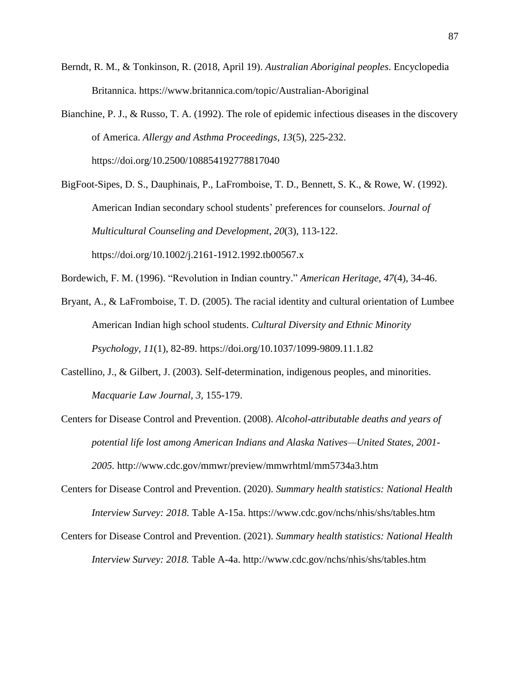- Berndt, R. M., & Tonkinson, R. (2018, April 19). *Australian Aboriginal peoples*. Encyclopedia Britannica. [https://www.britannica.com/topic/Australian-A](https://www.britannica.com/topic/Australian-)boriginal
- Bianchine, P. J., & Russo, T. A. (1992). The role of epidemic infectious diseases in the discovery of America. *Allergy and Asthma Proceedings*, *13*(5), 225-232. https://doi.org/10.2500/108854192778817040
- BigFoot-Sipes, D. S., Dauphinais, P., LaFromboise, T. D., Bennett, S. K., & Rowe, W. (1992). American Indian secondary school students' preferences for counselors. *Journal of Multicultural Counseling and Development*, *20*(3), 113-122. <https://doi.org/10.1002/j.2161-1912.1992.tb00567.x>
- Bordewich, F. M. (1996). "Revolution in Indian country." *American Heritage, 47*(4), 34-46.
- Bryant, A., & LaFromboise, T. D. (2005). The racial identity and cultural orientation of Lumbee American Indian high school students. *Cultural Diversity and Ethnic Minority Psychology*, *11*(1), 82-89.<https://doi.org/10.1037/1099-9809.11.1.82>
- Castellino, J., & Gilbert, J. (2003). Self-determination, indigenous peoples, and minorities. *Macquarie Law Journal, 3,* 155-179.
- Centers for Disease Control and Prevention. (2008). *Alcohol-attributable deaths and years of potential life lost among American Indians and Alaska Natives—United States, 2001- 2005.* <http://www.cdc.gov/mmwr/preview/mmwrhtml/mm5734a3.htm>
- Centers for Disease Control and Prevention. (2020). *Summary health statistics: National Health Interview Survey: 2018*. Table A-15a.<https://www.cdc.gov/nchs/nhis/shs/tables.htm>
- Centers for Disease Control and Prevention. (2021). *Summary health statistics: National Health Interview Survey: 2018.* Table A-4a.<http://www.cdc.gov/nchs/nhis/shs/tables.htm>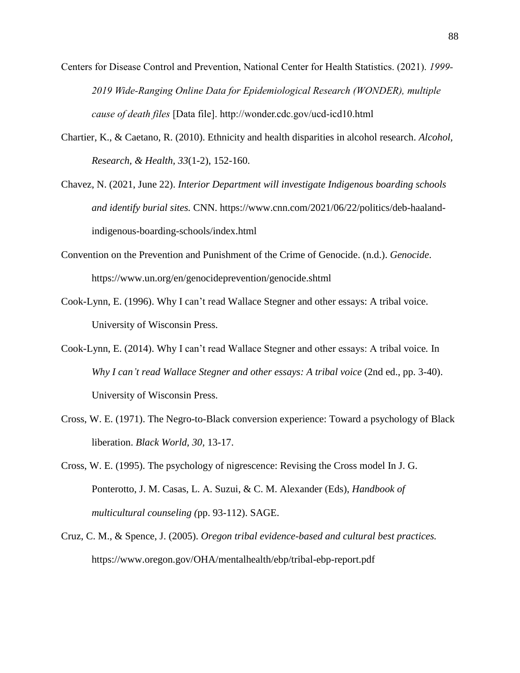- Centers for Disease Control and Prevention, National Center for Health Statistics. (2021). *1999- 2019 Wide-Ranging Online Data for Epidemiological Research (WONDER), multiple cause of death files* [Data file].<http://wonder.cdc.gov/ucd-icd10.html>
- Chartier, K., & Caetano, R. (2010). Ethnicity and health disparities in alcohol research. *Alcohol, Research, & Health, 33*(1-2), 152-160.
- Chavez, N. (2021, June 22). *Interior Department will investigate Indigenous boarding schools and identify burial sites.* CNN. [https://www.cnn.com/2021/06/22/politics/deb-haaland](https://www.cnn.com/2021/06/22/politics/deb-haaland-indigenous-boarding-schools/index.html)[indigenous-boarding-schools/index.html](https://www.cnn.com/2021/06/22/politics/deb-haaland-indigenous-boarding-schools/index.html)
- Convention on the Prevention and Punishment of the Crime of Genocide. (n.d.). *Genocide*. <https://www.un.org/en/genocideprevention/genocide.shtml>
- Cook-Lynn, E. (1996). Why I can't read Wallace Stegner and other essays: A tribal voice. University of Wisconsin Press.
- Cook-Lynn, E. (2014). Why I can't read Wallace Stegner and other essays: A tribal voice*.* In *Why I can't read Wallace Stegner and other essays: A tribal voice* (2nd ed., pp. 3-40). University of Wisconsin Press.
- Cross, W. E. (1971). The Negro-to-Black conversion experience: Toward a psychology of Black liberation. *Black World, 30,* 13-17.
- Cross, W. E. (1995). The psychology of nigrescence: Revising the Cross model In J. G. Ponterotto, J. M. Casas, L. A. Suzui, & C. M. Alexander (Eds), *Handbook of multicultural counseling (*pp. 93-112). SAGE.
- Cruz, C. M., & Spence, J. (2005). *Oregon tribal evidence-based and cultural best practices.* https:/[/www.oregon.gov/OHA/mentalhealth/ebp/tribal-ebp-report.pdf](http://www.oregon.gov/OHA/mentalhealth/ebp/tribal-ebp-report.pdf)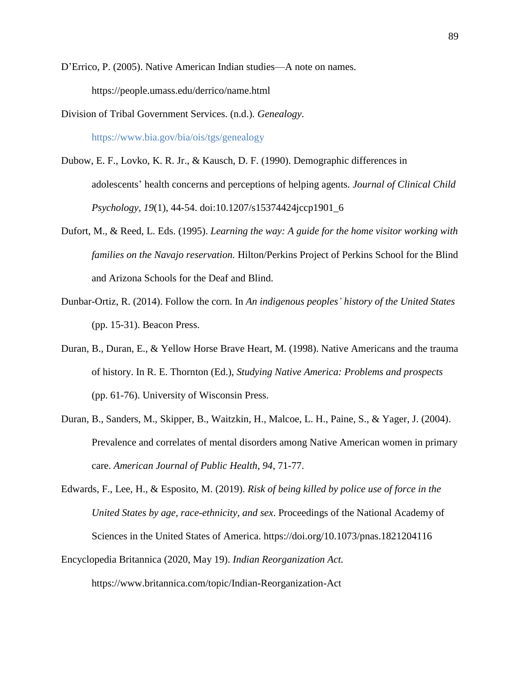D'Errico, P. (2005). Native American Indian studies—A note on names. <https://people.umass.edu/derrico/name.html>

- Division of Tribal Government Services. (n.d.). *Genealogy*. <https://www.bia.gov/bia/ois/tgs/genealogy>
- Dubow, E. F., Lovko, K. R. Jr., & Kausch, D. F. (1990). Demographic differences in adolescents' health concerns and perceptions of helping agents. *Journal of Clinical Child Psychology, 19*(1), 44-54. doi:10.1207/s15374424jccp1901\_6
- Dufort, M., & Reed, L. Eds. (1995). *Learning the way: A guide for the home visitor working with families on the Navajo reservation.* Hilton/Perkins Project of Perkins School for the Blind and Arizona Schools for the Deaf and Blind.
- Dunbar-Ortiz, R. (2014). Follow the corn. In *An indigenous peoples' history of the United States* (pp. 15-31). Beacon Press.
- Duran, B., Duran, E., & Yellow Horse Brave Heart, M. (1998). Native Americans and the trauma of history. In R. E. Thornton (Ed.), *Studying Native America: Problems and prospects* (pp. 61-76). University of Wisconsin Press.
- Duran, B., Sanders, M., Skipper, B., Waitzkin, H., Malcoe, L. H., Paine, S., & Yager, J. (2004). Prevalence and correlates of mental disorders among Native American women in primary care. *American Journal of Public Health, 94*, 71-77.
- Edwards, F., Lee, H., & Esposito, M. (2019). *Risk of being killed by police use of force in the United States by age, race-ethnicity, and sex*. Proceedings of the National Academy of Sciences in the United States of America.<https://doi.org/10.1073/pnas.1821204116>
- Encyclopedia Britannica (2020, May 19). *Indian Reorganization Act.*

<https://www.britannica.com/topic/Indian-Reorganization-Act>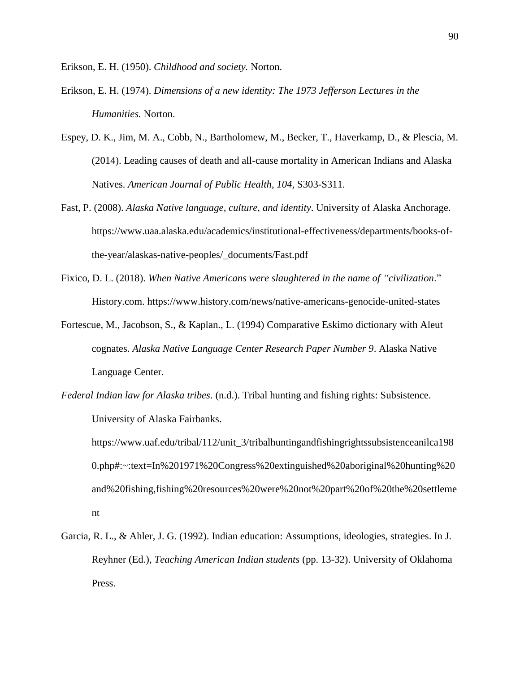Erikson, E. H. (1950). *Childhood and society.* Norton.

- Erikson, E. H. (1974). *Dimensions of a new identity: The 1973 Jefferson Lectures in the Humanities.* Norton.
- Espey, D. K., Jim, M. A., Cobb, N., Bartholomew, M., Becker, T., Haverkamp, D., & Plescia, M. (2014). Leading causes of death and all-cause mortality in American Indians and Alaska Natives. *American Journal of Public Health, 104,* S303-S311.
- Fast, P. (2008). *Alaska Native language, culture, and identity*. University of Alaska Anchorage. [https://www.uaa.alaska.edu/academics/institutional-effectiveness/departments/books-of](https://www.uaa.alaska.edu/academics/institutional-effectiveness/departments/books-of-the-year/alaskas-native-peoples/_documents/Fast.pdf)[the-year/alaskas-native-peoples/\\_documents/Fast.pdf](https://www.uaa.alaska.edu/academics/institutional-effectiveness/departments/books-of-the-year/alaskas-native-peoples/_documents/Fast.pdf)
- Fixico, D. L. (2018). *When Native Americans were slaughtered in the name of "civilization*." History.com. https://www.history.com/news/native-americans-genocide-united-states
- Fortescue, M., Jacobson, S., & Kaplan., L. (1994) Comparative Eskimo dictionary with Aleut cognates. *Alaska Native Language Center Research Paper Number 9*. Alaska Native Language Center.
- *Federal Indian law for Alaska tribes*. (n.d.). Tribal hunting and fishing rights: Subsistence. University of Alaska Fairbanks.

[https://www.uaf.edu/tribal/112/unit\\_3/tribalhuntingandfishingrightssubsistenceanilca198](https://www.uaf.edu/tribal/112/unit_3/tribalhuntingandfishingrightssubsistenceanilca1980.php#:~:text=In%201971%20Congress%20extinguished%20aboriginal%20hunting%20and%20fishing,fishing%20resources%20were%20not%20part%20of%20the%20settlement) [0.php#:~:text=In%201971%20Congress%20extinguished%20aboriginal%20hunting%20](https://www.uaf.edu/tribal/112/unit_3/tribalhuntingandfishingrightssubsistenceanilca1980.php#:~:text=In%201971%20Congress%20extinguished%20aboriginal%20hunting%20and%20fishing,fishing%20resources%20were%20not%20part%20of%20the%20settlement) [and%20fishing,fishing%20resources%20were%20not%20part%20of%20the%20settleme](https://www.uaf.edu/tribal/112/unit_3/tribalhuntingandfishingrightssubsistenceanilca1980.php#:~:text=In%201971%20Congress%20extinguished%20aboriginal%20hunting%20and%20fishing,fishing%20resources%20were%20not%20part%20of%20the%20settlement) [nt](https://www.uaf.edu/tribal/112/unit_3/tribalhuntingandfishingrightssubsistenceanilca1980.php#:~:text=In%201971%20Congress%20extinguished%20aboriginal%20hunting%20and%20fishing,fishing%20resources%20were%20not%20part%20of%20the%20settlement)

Garcia, R. L., & Ahler, J. G. (1992). Indian education: Assumptions, ideologies, strategies. In J. Reyhner (Ed.), *Teaching American Indian students* (pp. 13-32). University of Oklahoma Press.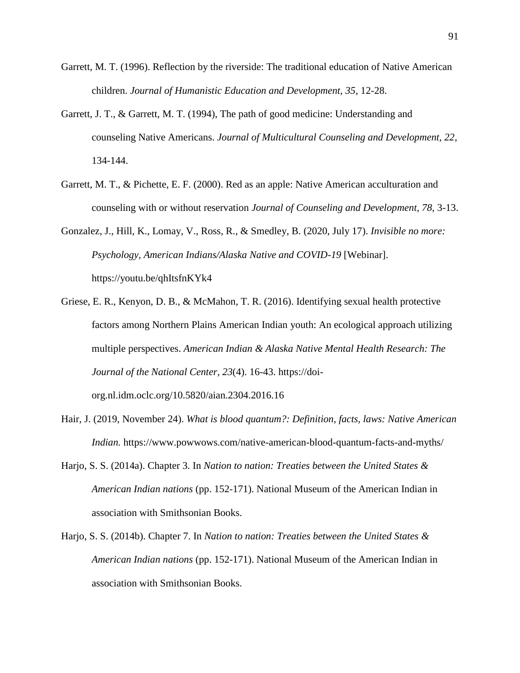- Garrett, M. T. (1996). Reflection by the riverside: The traditional education of Native American children. *Journal of Humanistic Education and Development, 35*, 12-28.
- Garrett, J. T., & Garrett, M. T. (1994), The path of good medicine: Understanding and counseling Native Americans. *Journal of Multicultural Counseling and Development, 22*, 134-144.
- Garrett, M. T., & Pichette, E. F. (2000). Red as an apple: Native American acculturation and counseling with or without reservation *Journal of Counseling and Development, 78,* 3-13.
- Gonzalez, J., Hill, K., Lomay, V., Ross, R., & Smedley, B. (2020, July 17). *Invisible no more: Psychology, American Indians/Alaska Native and COVID-19* [Webinar]. https://youtu.be/qhItsfnKYk4
- Griese, E. R., Kenyon, D. B., & McMahon, T. R. (2016). Identifying sexual health protective factors among Northern Plains American Indian youth: An ecological approach utilizing multiple perspectives. *American Indian & Alaska Native Mental Health Research: The Journal of the National Center, 23*(4). 16-43. [https://doi](https://doi-org.nl.idm.oclc.org/10.5820/aian.2304.2016.16)[org.nl.idm.oclc.org/10.5820/aian.2304.2016.16](https://doi-org.nl.idm.oclc.org/10.5820/aian.2304.2016.16)
	-
- Hair, J. (2019, November 24). *What is blood quantum?: Definition, facts, laws: Native American Indian.* <https://www.powwows.com/native-american-blood-quantum-facts-and-myths/>
- Harjo, S. S. (2014a). Chapter 3. In *Nation to nation: Treaties between the United States & American Indian nations* (pp. 152-171). National Museum of the American Indian in association with Smithsonian Books.
- Harjo, S. S. (2014b). Chapter 7. In *Nation to nation: Treaties between the United States & American Indian nations* (pp. 152-171). National Museum of the American Indian in association with Smithsonian Books.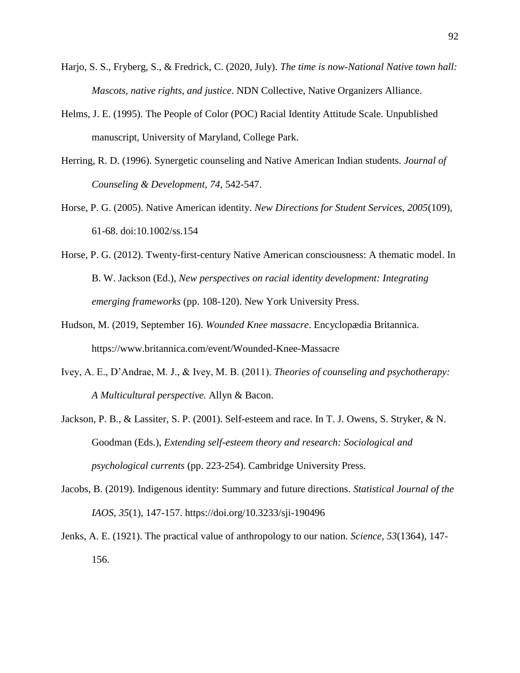- Harjo, S. S., Fryberg, S., & Fredrick, C. (2020, July). *The time is now-National Native town hall: Mascots, native rights, and justice*. NDN Collective, Native Organizers Alliance.
- Helms, J. E. (1995). The People of Color (POC) Racial Identity Attitude Scale. Unpublished manuscript, University of Maryland, College Park.
- Herring, R. D. (1996). Synergetic counseling and Native American Indian students*. Journal of Counseling & Development, 74*, 542-547.
- Horse, P. G. (2005). Native American identity. *New Directions for Student Services, 2005*(109), 61-68. doi:10.1002/ss.154
- Horse, P. G. (2012). Twenty-first-century Native American consciousness: A thematic model. In B. W. Jackson (Ed.), *New perspectives on racial identity development: Integrating emerging frameworks* (pp. 108-120). New York University Press.
- Hudson, M. (2019, September 16). *Wounded Knee massacre*. Encyclopædia Britannica. <https://www.britannica.com/event/Wounded-Knee-Massacre>
- Ivey, A. E., D'Andrae, M. J., & Ivey, M. B. (2011). *Theories of counseling and psychotherapy: A Multicultural perspective.* Allyn & Bacon.
- Jackson, P. B., & Lassiter, S. P. (2001). Self-esteem and race. In T. J. Owens, S. Stryker, & N. Goodman (Eds.), *Extending self-esteem theory and research: Sociological and psychological currents* (pp. 223-254). Cambridge University Press.
- Jacobs, B. (2019). Indigenous identity: Summary and future directions. *Statistical Journal of the IAOS*, *35*(1), 147-157.<https://doi.org/10.3233/sji-190496>
- Jenks, A. E. (1921). The practical value of anthropology to our nation. *Science, 53*(1364), 147- 156.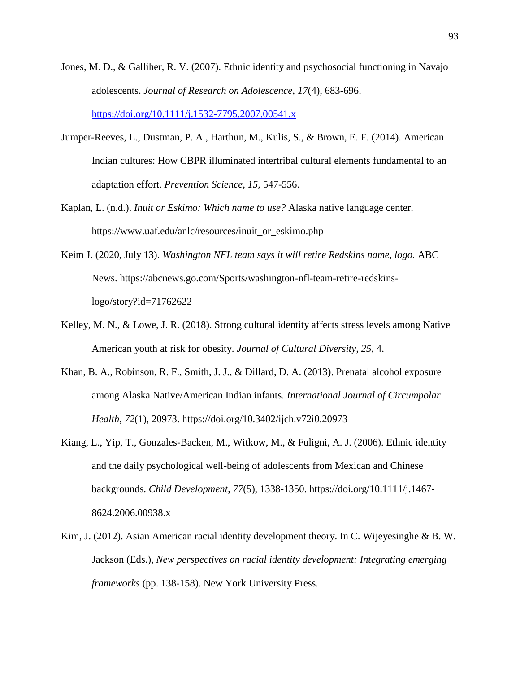- Jones, M. D., & Galliher, R. V. (2007). Ethnic identity and psychosocial functioning in Navajo adolescents. *Journal of Research on Adolescence, 17*(4), 683-696. <https://doi.org/10.1111/j.1532-7795.2007.00541.x>
- Jumper-Reeves, L., Dustman, P. A., Harthun, M., Kulis, S., & Brown, E. F. (2014). American Indian cultures: How CBPR illuminated intertribal cultural elements fundamental to an adaptation effort. *Prevention Science, 15,* 547-556.
- Kaplan, L. (n.d.). *Inuit or Eskimo: Which name to use?* Alaska native language center. [https://www.uaf.edu/anlc/resources/inuit\\_or\\_eskimo.php](https://www.uaf.edu/anlc/resources/inuit_or_eskimo.php)
- Keim J. (2020, July 13). *Washington NFL team says it will retire Redskins name, logo.* ABC News. [https://abcnews.go.com/Sports/washington-nfl-team-retire-redskins](https://abcnews.go.com/Sports/washington-nfl-team-retire-redskins-logo/story?id=71762622)[logo/story?id=71762622](https://abcnews.go.com/Sports/washington-nfl-team-retire-redskins-logo/story?id=71762622)
- Kelley, M. N., & Lowe, J. R. (2018). Strong cultural identity affects stress levels among Native American youth at risk for obesity. *Journal of Cultural Diversity, 25,* 4.
- Khan, B. A., Robinson, R. F., Smith, J. J., & Dillard, D. A. (2013). Prenatal alcohol exposure among Alaska Native/American Indian infants. *International Journal of Circumpolar Health*, *72*(1), 20973.<https://doi.org/10.3402/ijch.v72i0.20973>
- Kiang, L., Yip, T., Gonzales-Backen, M., Witkow, M., & Fuligni, A. J. (2006). Ethnic identity and the daily psychological well-being of adolescents from Mexican and Chinese backgrounds. *Child Development*, *77*(5), 1338-1350. [https://doi.org/10.1111/j.1467-](https://doi.org/10.1111/j.1467-8624.2006.00938.x) [8624.2006.00938.x](https://doi.org/10.1111/j.1467-8624.2006.00938.x)
- Kim, J. (2012). Asian American racial identity development theory. In C. Wijeyesinghe & B. W. Jackson (Eds.), *New perspectives on racial identity development: Integrating emerging frameworks* (pp. 138-158). New York University Press.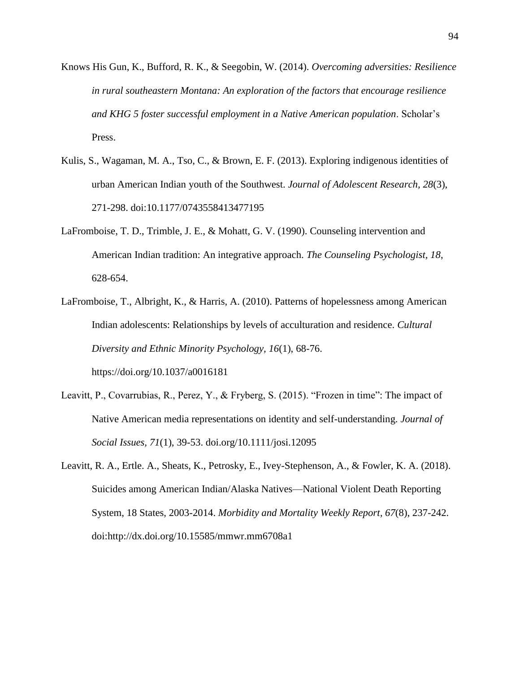- Knows His Gun, K., Bufford, R. K., & Seegobin, W. (2014). *Overcoming adversities: Resilience in rural southeastern Montana: An exploration of the factors that encourage resilience and KHG 5 foster successful employment in a Native American population*. Scholar's Press.
- Kulis, S., Wagaman, M. A., Tso, C., & Brown, E. F. (2013). Exploring indigenous identities of urban American Indian youth of the Southwest. *Journal of Adolescent Research, 28*(3), 271-298. doi:10.1177/0743558413477195
- LaFromboise, T. D., Trimble, J. E., & Mohatt, G. V. (1990). Counseling intervention and American Indian tradition: An integrative approach. *The Counseling Psychologist, 18*, 628-654.
- LaFromboise, T., Albright, K., & Harris, A. (2010). Patterns of hopelessness among American Indian adolescents: Relationships by levels of acculturation and residence. *Cultural Diversity and Ethnic Minority Psychology, 16*(1), 68-76. <https://doi.org/10.1037/a0016181>
- Leavitt, P., Covarrubias, R., Perez, Y., & Fryberg, S. (2015). "Frozen in time": The impact of Native American media representations on identity and self-understanding. *Journal of Social Issues, 71*(1), 39-53. doi.org/10.1111/josi.12095
- Leavitt, R. A., Ertle. A., Sheats, K., Petrosky, E., Ivey-Stephenson, A., & Fowler, K. A. (2018). Suicides among American Indian/Alaska Natives—National Violent Death Reporting System, 18 States, 2003-2014. *[Morbidity and Mortality Weekly Report,](https://www.cdc.gov/mmwr/index.html) 67*(8), 237-242. doi[:http://dx.doi.org/10.15585/mmwr.mm6708a1](http://dx.doi.org/10.15585/mmwr.mm6708a1)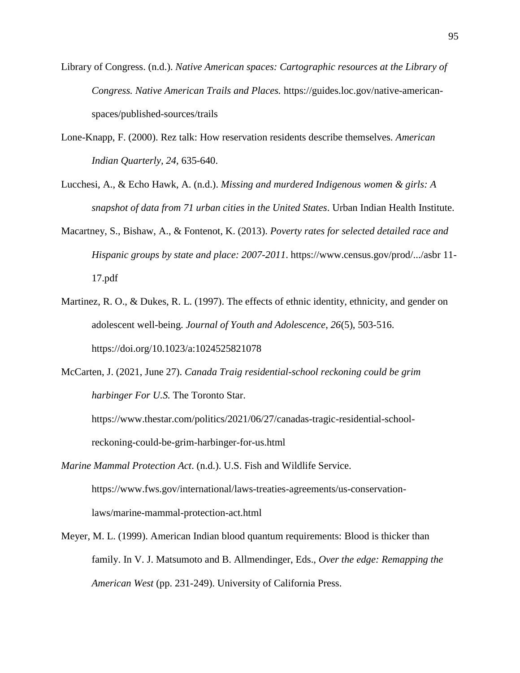- Library of Congress. (n.d.). *Native American spaces: Cartographic resources at the Library of Congress. Native American Trails and Places.* [https://guides.loc.gov/native-american](https://guides.loc.gov/native-american-spaces/published-sources/trails)[spaces/published-sources/trails](https://guides.loc.gov/native-american-spaces/published-sources/trails)
- Lone-Knapp, F. (2000). Rez talk: How reservation residents describe themselves. *American Indian Quarterly, 24,* 635-640.
- Lucchesi, A., & Echo Hawk, A. (n.d.). *Missing and murdered Indigenous women & girls: A snapshot of data from 71 urban cities in the United States*. Urban Indian Health Institute.
- Macartney, S., Bishaw, A., & Fontenot, K. (2013). *Poverty rates for selected detailed race and Hispanic groups by state and place: 2007-2011*. https:/[/www.census.gov/prod/.../asbr 11-](http://www.census.gov/prod/.../asbr%2011-17.pdf) [17.pdf](http://www.census.gov/prod/.../asbr%2011-17.pdf)
- Martinez, R. O., & Dukes, R. L. (1997). The effects of ethnic identity, ethnicity, and gender on adolescent well-being. *Journal of Youth and Adolescence*, *26*(5), 503-516. <https://doi.org/10.1023/a:1024525821078>
- McCarten, J. (2021, June 27). *Canada Traig residential-school reckoning could be grim harbinger For U.S.* The Toronto Star.

[https://www.thestar.com/politics/2021/06/27/canadas-tragic-residential-school](https://www.thestar.com/politics/2021/06/27/canadas-tragic-residential-school-reckoning-could-be-grim-harbinger-for-us.html)[reckoning-could-be-grim-harbinger-for-us.html](https://www.thestar.com/politics/2021/06/27/canadas-tragic-residential-school-reckoning-could-be-grim-harbinger-for-us.html)

- *Marine Mammal Protection Act*. (n.d.). U.S. Fish and Wildlife Service. [https://www.fws.gov/international/laws-treaties-agreements/us-conservation](https://www.fws.gov/international/laws-treaties-agreements/us-conservation-laws/marine-mammal-protection-act.html)[laws/marine-mammal-protection-act.html](https://www.fws.gov/international/laws-treaties-agreements/us-conservation-laws/marine-mammal-protection-act.html)
- Meyer, M. L. (1999). American Indian blood quantum requirements: Blood is thicker than family. In V. J. Matsumoto and B. Allmendinger, Eds., *Over the edge: Remapping the American West* (pp. 231-249). University of California Press.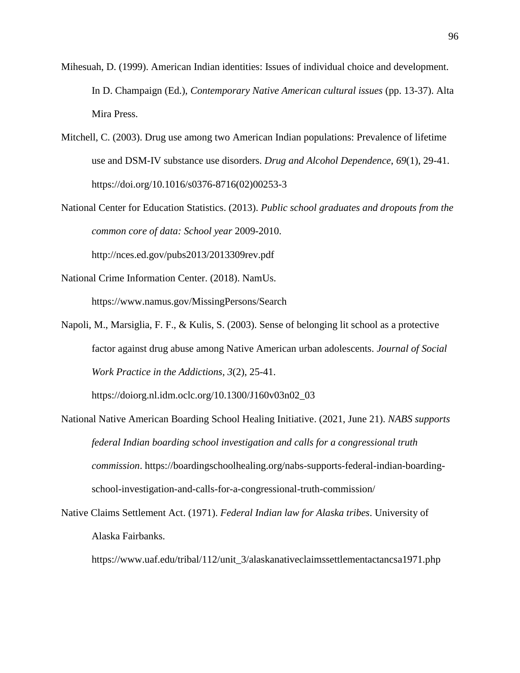- Mihesuah, D. (1999). American Indian identities: Issues of individual choice and development. In D. Champaign (Ed.), *Contemporary Native American cultural issues* (pp. 13-37). Alta Mira Press.
- Mitchell, C. (2003). Drug use among two American Indian populations: Prevalence of lifetime use and DSM-IV substance use disorders. *Drug and Alcohol Dependence*, *69*(1), 29-41. [https://doi.org/10.1016/s0376-8716\(02\)00253-3](https://doi.org/10.1016/s0376-8716(02)00253-3)
- National Center for Education Statistics. (2013). *Public school graduates and dropouts from the common core of data: School year* 2009-2010.

<http://nces.ed.gov/pubs2013/2013309rev.pdf>

- National Crime Information Center. (2018). NamUs. <https://www.namus.gov/MissingPersons/Search>
- Napoli, M., Marsiglia, F. F., & Kulis, S. (2003). Sense of belonging lit school as a protective factor against drug abuse among Native American urban adolescents. *Journal of Social Work Practice in the Addictions, 3*(2), 25-41.

[https://doiorg.nl.idm.oclc.org/10.1300/J160v03n02\\_03](https://doiorg.nl.idm.oclc.org/10.1300/J160v03n02_03)

- National Native American Boarding School Healing Initiative. (2021, June 21). *NABS supports federal Indian boarding school investigation and calls for a congressional truth commission*. [https://boardingschoolhealing.org/nabs-supports-federal-indian-boarding](https://boardingschoolhealing.org/nabs-supports-federal-indian-boarding-school-investigation-and-calls-for-a-congressional-truth-commission/)[school-investigation-and-calls-for-a-congressional-truth-commission/](https://boardingschoolhealing.org/nabs-supports-federal-indian-boarding-school-investigation-and-calls-for-a-congressional-truth-commission/)
- Native Claims Settlement Act. (1971). *Federal Indian law for Alaska tribes*. University of Alaska Fairbanks.

[https://www.uaf.edu/tribal/112/unit\\_3/alaskanativeclaimssettlementactancsa1971.php](https://www.uaf.edu/tribal/112/unit_3/alaskanativeclaimssettlementactancsa1971.php)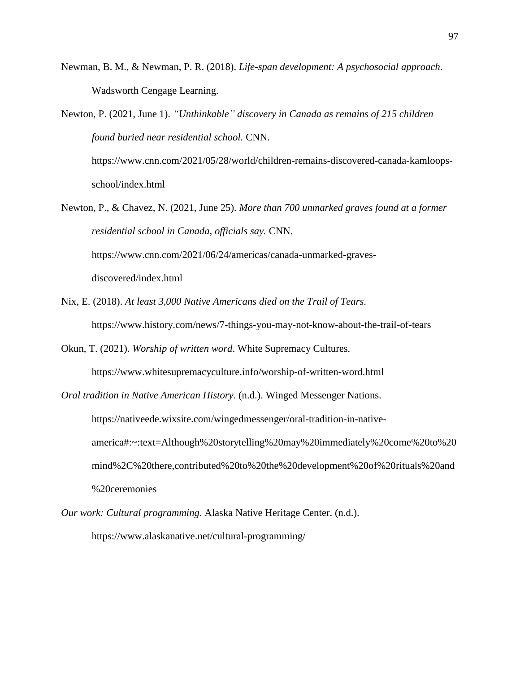- Newman, B. M., & Newman, P. R. (2018). *Life-span development: A psychosocial approach*. Wadsworth Cengage Learning.
- Newton, P. (2021, June 1). *"Unthinkable" discovery in Canada as remains of 215 children found buried near residential school.* CNN. [https://www.cnn.com/2021/05/28/world/children-remains-discovered-canada-kamloops](https://www.cnn.com/2021/05/28/world/children-remains-discovered-canada-kamloops-school/index.html)[school/index.html](https://www.cnn.com/2021/05/28/world/children-remains-discovered-canada-kamloops-school/index.html)
- Newton, P., & Chavez, N. (2021, June 25). *More than 700 unmarked graves found at a former residential school in Canada, officials say.* CNN. [https://www.cnn.com/2021/06/24/americas/canada-unmarked-graves](https://www.cnn.com/2021/06/24/americas/canada-unmarked-graves-discovered/index.html)[discovered/index.html](https://www.cnn.com/2021/06/24/americas/canada-unmarked-graves-discovered/index.html)
- Nix, E. (2018). *At least 3,000 Native Americans died on the Trail of Tears*. <https://www.history.com/news/7-things-you-may-not-know-about-the-trail-of-tears>
- Okun, T. (2021). *Worship of written word*. White Supremacy Cultures. <https://www.whitesupremacyculture.info/worship-of-written-word.html>
- *Oral tradition in Native American History*. (n.d.). Winged Messenger Nations. [https://nativeede.wixsite.com/wingedmessenger/oral-tradition-in-native](https://nativeede.wixsite.com/wingedmessenger/oral-tradition-in-native-america#:~:text=Although%20storytelling%20may%20immediately%20come%20to%20mind%2C%20there,contributed%20to%20the%20development%20of%20rituals%20and%20ceremonies)[america#:~:text=Although%20storytelling%20may%20immediately%20come%20to%20](https://nativeede.wixsite.com/wingedmessenger/oral-tradition-in-native-america#:~:text=Although%20storytelling%20may%20immediately%20come%20to%20mind%2C%20there,contributed%20to%20the%20development%20of%20rituals%20and%20ceremonies) [mind%2C%20there,contributed%20to%20the%20development%20of%20rituals%20and](https://nativeede.wixsite.com/wingedmessenger/oral-tradition-in-native-america#:~:text=Although%20storytelling%20may%20immediately%20come%20to%20mind%2C%20there,contributed%20to%20the%20development%20of%20rituals%20and%20ceremonies) [%20ceremonies](https://nativeede.wixsite.com/wingedmessenger/oral-tradition-in-native-america#:~:text=Although%20storytelling%20may%20immediately%20come%20to%20mind%2C%20there,contributed%20to%20the%20development%20of%20rituals%20and%20ceremonies)
- *Our work: Cultural programming*. Alaska Native Heritage Center. (n.d.).

https://www.alaskanative.net/cultural-programming/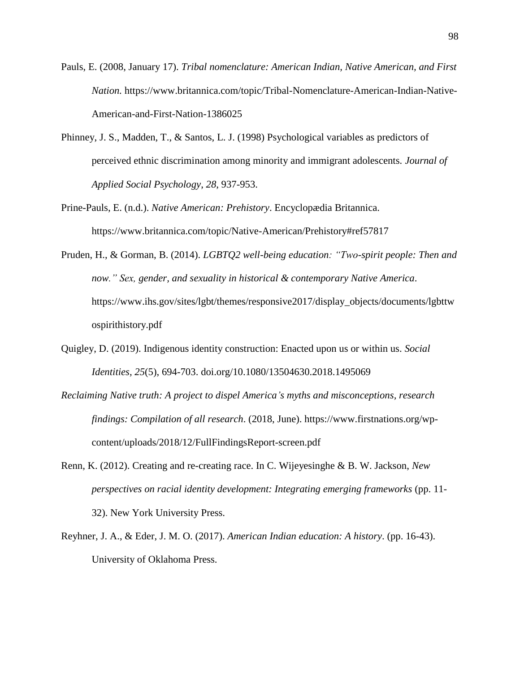- Pauls, E. (2008, January 17). *Tribal nomenclature: American Indian, Native American, and First Nation.* [https://www.britannica.com/topic/Tribal-Nomenclature-American-Indian-Native-](https://www.britannica.com/topic/Tribal-Nomenclature-American-Indian-Native-American-and-First-Nation-1386025)[American-and-First-Nation-1386025](https://www.britannica.com/topic/Tribal-Nomenclature-American-Indian-Native-American-and-First-Nation-1386025)
- Phinney, J. S., Madden, T., & Santos, L. J. (1998) Psychological variables as predictors of perceived ethnic discrimination among minority and immigrant adolescents*. Journal of Applied Social Psychology*, *28*, 937-953.
- Prine-Pauls, E. (n.d.). *Native American: Prehistory*. Encyclopædia Britannica. <https://www.britannica.com/topic/Native-American/Prehistory#ref57817>
- Pruden, H., & Gorman, B. (2014). *LGBTQ2 well-being education: "Two-spirit people: Then and now." Sex, gender, and sexuality in historical & contemporary Native America*. [https://www.ihs.gov/sites/lgbt/themes/responsive2017/display\\_objects/documents/lgbttw](https://www.ihs.gov/sites/lgbt/themes/responsive2017/display_objects/documents/lgbttwospirithistory.pdf) [ospirithistory.pdf](https://www.ihs.gov/sites/lgbt/themes/responsive2017/display_objects/documents/lgbttwospirithistory.pdf)
- Quigley, D. (2019). Indigenous identity construction: Enacted upon us or within us. *Social Identities, 25*(5), 694-703. doi.org/10.1080/13504630.2018.1495069
- *Reclaiming Native truth: A project to dispel America's myths and misconceptions, research findings: Compilation of all research*. (2018, June). [https://www.firstnations.org/wp](https://www.firstnations.org/wp-content/uploads/2018/12/FullFindingsReport-screen.pdf)[content/uploads/2018/12/FullFindingsReport-screen.pdf](https://www.firstnations.org/wp-content/uploads/2018/12/FullFindingsReport-screen.pdf)
- Renn, K. (2012). Creating and re-creating race. In C. Wijeyesinghe & B. W. Jackson, *New perspectives on racial identity development: Integrating emerging frameworks* (pp. 11- 32). New York University Press.
- Reyhner, J. A., & Eder, J. M. O. (2017). *American Indian education: A history*. (pp. 16-43). University of Oklahoma Press.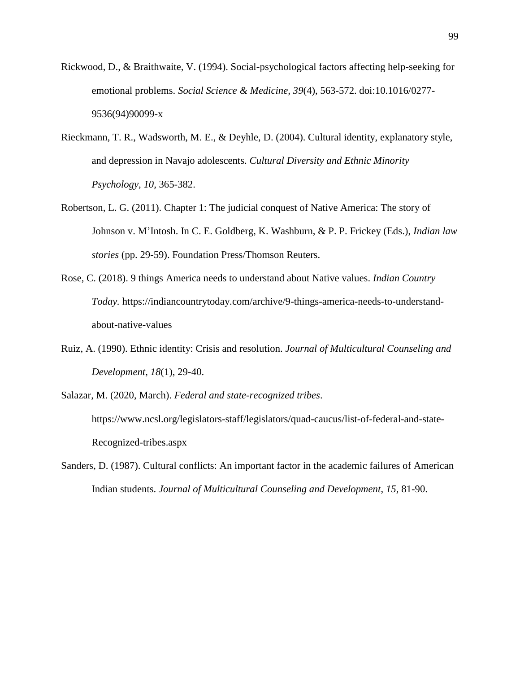- Rickwood, D., & Braithwaite, V. (1994). Social-psychological factors affecting help-seeking for emotional problems. *Social Science & Medicine, 39*(4), 563-572. doi:10.1016/0277- 9536(94)90099-x
- Rieckmann, T. R., Wadsworth, M. E., & Deyhle, D. (2004). Cultural identity, explanatory style, and depression in Navajo adolescents. *Cultural Diversity and Ethnic Minority Psychology, 10,* 365-382.
- Robertson, L. G. (2011). Chapter 1: The judicial conquest of Native America: The story of Johnson v. M'Intosh. In C. E. Goldberg, K. Washburn, & P. P. Frickey (Eds.), *Indian law stories* (pp. 29-59). Foundation Press/Thomson Reuters.
- Rose, C. (2018). 9 things America needs to understand about Native values. *Indian Country Today.* [https://indiancountrytoday.com/archive/9-things-america-needs-to-understand](https://indiancountrytoday.com/archive/9-things-america-needs-to-understand-about-native-values)[about-native-values](https://indiancountrytoday.com/archive/9-things-america-needs-to-understand-about-native-values)
- Ruiz, A. (1990). Ethnic identity: Crisis and resolution. *Journal of Multicultural Counseling and Development, 18*(1), 29-40.
- Salazar, M. (2020, March). *Federal and state-recognized tribes*. [https://www.ncsl.org/legislators-staff/legislators/quad-caucus/list-of-federal-and-state-](https://www.ncsl.org/legislators-staff/legislators/quad-caucus/list-of-federal-and-state-Recognized-tribes.aspx)[Recognized-tribes.aspx](https://www.ncsl.org/legislators-staff/legislators/quad-caucus/list-of-federal-and-state-Recognized-tribes.aspx)
- Sanders, D. (1987). Cultural conflicts: An important factor in the academic failures of American Indian students. *Journal of Multicultural Counseling and Development*, *15*, 81-90.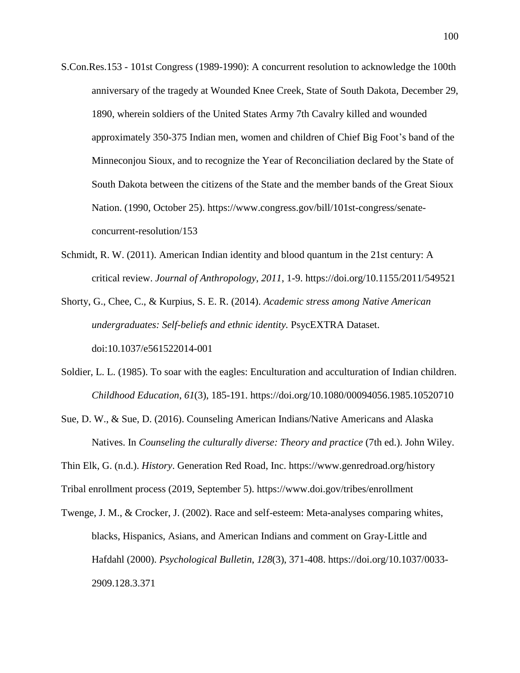- S.Con.Res.153 101st Congress (1989-1990): A concurrent resolution to acknowledge the 100th anniversary of the tragedy at Wounded Knee Creek, State of South Dakota, December 29, 1890, wherein soldiers of the United States Army 7th Cavalry killed and wounded approximately 350-375 Indian men, women and children of Chief Big Foot's band of the Minneconjou Sioux, and to recognize the Year of Reconciliation declared by the State of South Dakota between the citizens of the State and the member bands of the Great Sioux Nation. (1990, October 25). https://www.congress.gov/bill/101st-congress/senateconcurrent-resolution/153
- Schmidt, R. W. (2011). American Indian identity and blood quantum in the 21st century: A critical review. *Journal of Anthropology*, *2011*, 1-9.<https://doi.org/10.1155/2011/549521>
- Shorty, G., Chee, C., & Kurpius, S. E. R. (2014). *Academic stress among Native American undergraduates: Self-beliefs and ethnic identity.* PsycEXTRA Dataset. doi:10.1037/e561522014-001
- Soldier, L. L. (1985). To soar with the eagles: Enculturation and acculturation of Indian children. *Childhood Education*, *61*(3), 185-191.<https://doi.org/10.1080/00094056.1985.10520710>
- Sue, D. W., & Sue, D. (2016). Counseling American Indians/Native Americans and Alaska Natives. In *Counseling the culturally diverse: Theory and practice* (7th ed.). John Wiley.
- Thin Elk, G. (n.d.). *History*. Generation Red Road, Inc.<https://www.genredroad.org/history>

Tribal enrollment process (2019, September 5).<https://www.doi.gov/tribes/enrollment>

Twenge, J. M., & Crocker, J. (2002). Race and self-esteem: Meta-analyses comparing whites, blacks, Hispanics, Asians, and American Indians and comment on Gray-Little and Hafdahl (2000). *Psychological Bulletin*, *128*(3), 371-408. [https://doi.org/10.1037/0033-](https://doi.org/10.1037/0033-2909.128.3.371) [2909.128.3.371](https://doi.org/10.1037/0033-2909.128.3.371)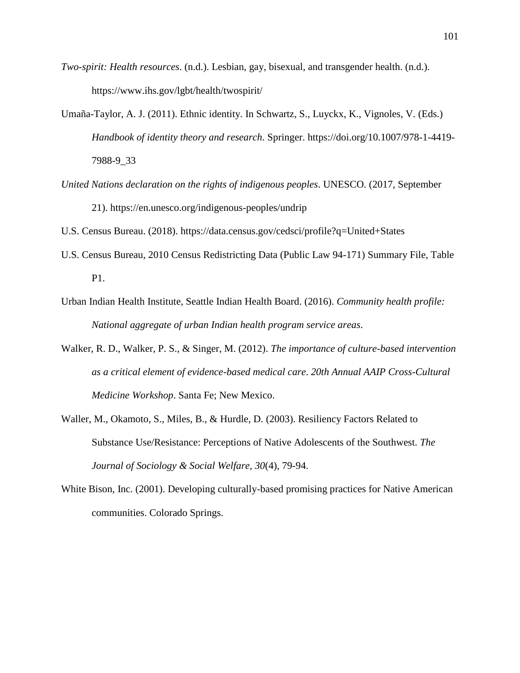- *Two-spirit: Health resources*. (n.d.). Lesbian, gay, bisexual, and transgender health. (n.d.). <https://www.ihs.gov/lgbt/health/twospirit/>
- Umaña-Taylor, A. J. (2011). Ethnic identity. In Schwartz, S., Luyckx, K., Vignoles, V. (Eds.) *Handbook of identity theory and research*. Springer. [https://doi.org/10.1007/978-1-4419-](https://doi.org/10.1007/978-1-4419-7988-9_33) [7988-9\\_33](https://doi.org/10.1007/978-1-4419-7988-9_33)
- *United Nations declaration on the rights of indigenous peoples*. UNESCO. (2017, September 21).<https://en.unesco.org/indigenous-peoples/undrip>
- U.S. Census Bureau. (2018).<https://data.census.gov/cedsci/profile?q=United+States>
- U.S. Census Bureau, 2010 Census Redistricting Data (Public Law 94-171) Summary File, Table P1.
- Urban Indian Health Institute, Seattle Indian Health Board. (2016). *Community health profile: National aggregate of urban Indian health program service areas*.
- Walker, R. D., Walker, P. S., & Singer, M. (2012). *The importance of culture-based intervention as a critical element of evidence-based medical care*. *20th Annual AAIP Cross-Cultural Medicine Workshop*. Santa Fe; New Mexico.
- Waller, M., Okamoto, S., Miles, B., & Hurdle, D. (2003). Resiliency Factors Related to Substance Use/Resistance: Perceptions of Native Adolescents of the Southwest. *The Journal of Sociology & Social Welfare, 30*(4), 79-94.
- White Bison, Inc. (2001). Developing culturally-based promising practices for Native American communities. Colorado Springs.